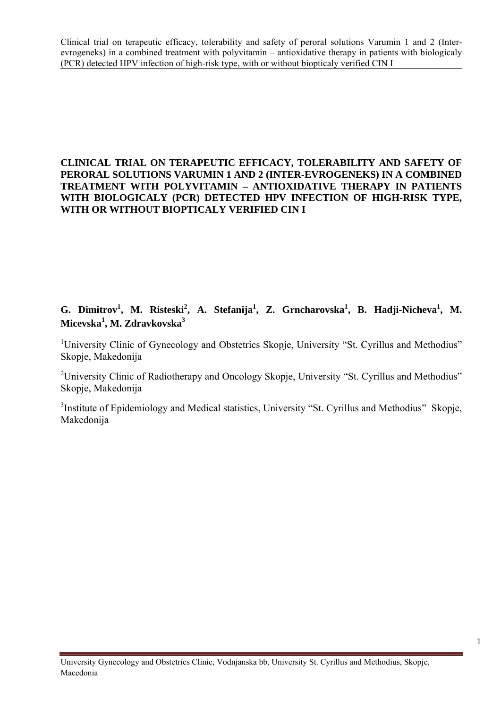# **CLINICAL TRIAL ON TERAPEUTIC EFFICACY, TOLERABILITY AND SAFETY OF PERORAL SOLUTIONS VARUMIN 1 AND 2 (INTER-EVROGENEKS) IN A COMBINED TREATMENT WITH POLYVITAMIN – ANTIOXIDATIVE THERAPY IN PATIENTS WITH BIOLOGICALY (PCR) DETECTED HPV INFECTION OF HIGH-RISK TYPE, WITH OR WITHOUT BIOPTICALY VERIFIED CIN I**

# G. Dimitrov<sup>1</sup>, M. Risteski<sup>2</sup>, A. Stefanija<sup>1</sup>, Z. Grncharovska<sup>1</sup>, B. Hadji-Nicheva<sup>1</sup>, M. **Micevska1 , M. Zdravkovska3**

<sup>1</sup>University Clinic of Gynecology and Obstetrics Skopje, University "St. Cyrillus and Methodius" Skopje, Makedonija

<sup>2</sup>University Clinic of Radiotherapy and Oncology Skopje, University "St. Cyrillus and Methodius" Skopje, Makedonija

<sup>3</sup>Institute of Epidemiology and Medical statistics, University "St. Cyrillus and Methodius" Skopje, Makedonija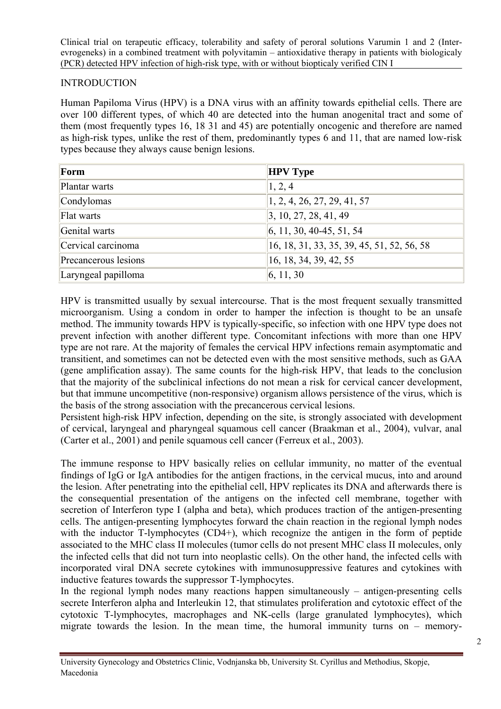#### **INTRODUCTION**

Human Papiloma Virus (HPV) is a DNA virus with an affinity towards epithelial cells. There are over 100 different types, of which 40 are detected into the human anogenital tract and some of them (most frequently types 16, 18 31 and 45) are potentially oncogenic and therefore are named as high-risk types, unlike the rest of them, predominantly types 6 and 11, that are named low-risk types because they always cause benign lesions.

| Form                 | <b>HPV Type</b>                            |
|----------------------|--------------------------------------------|
| Plantar warts        | 1, 2, 4                                    |
| Condylomas           | 1, 2, 4, 26, 27, 29, 41, 57                |
| Flat warts           | $\vert 3, 10, 27, 28, 41, 49 \vert$        |
| Genital warts        | $\vert 6, 11, 30, 40-45, 51, 54 \vert$     |
| Cervical carcinoma   | 16, 18, 31, 33, 35, 39, 45, 51, 52, 56, 58 |
| Precancerous lesions | 16, 18, 34, 39, 42, 55                     |
| Laryngeal papilloma  | 6, 11, 30                                  |

HPV is transmitted usually by sexual intercourse. That is the most frequent sexually transmitted microorganism. Using a condom in order to hamper the infection is thought to be an unsafe method. The immunity towards HPV is typically-specific, so infection with one HPV type does not prevent infection with another different type. Concomitant infections with more than one HPV type are not rare. At the majority of females the cervical HPV infections remain asymptomatic and transitient, and sometimes can not be detected even with the most sensitive methods, such as GAA (gene amplification assay). The same counts for the high-risk HPV, that leads to the conclusion that the majority of the subclinical infections do not mean a risk for cervical cancer development, but that immune uncompetitive (non-responsive) organism allows persistence of the virus, which is the basis of the strong association with the precancerous cervical lesions.

Persistent high-risk HPV infection, depending on the site, is strongly associated with development of cervical, laryngeal and pharyngeal squamous cell cancer (Braakman et al., 2004), vulvar, anal (Carter et al., 2001) and penile squamous cell cancer (Ferreux et al., 2003).

The immune response to HPV basically relies on cellular immunity, no matter of the eventual findings of IgG or IgA antibodies for the antigen fractions, in the cervical mucus, into and around the lesion. After penetrating into the epithelial cell, HPV replicates its DNA and afterwards there is the consequential presentation of the antigens on the infected cell membrane, together with secretion of Interferon type I (alpha and beta), which produces traction of the antigen-presenting cells. The antigen-presenting lymphocytes forward the chain reaction in the regional lymph nodes with the inductor T-lymphocytes (CD4+), which recognize the antigen in the form of peptide associated to the MHC class II molecules (tumor cells do not present MHC class II molecules, only the infected cells that did not turn into neoplastic cells). On the other hand, the infected cells with incorporated viral DNA secrete cytokines with immunosuppressive features and cytokines with inductive features towards the suppressor T-lymphocytes.

In the regional lymph nodes many reactions happen simultaneously – antigen-presenting cells secrete Interferon alpha and Interleukin 12, that stimulates proliferation and cytotoxic effect of the cytotoxic T-lymphocytes, macrophages and NK-cells (large granulated lymphocytes), which migrate towards the lesion. In the mean time, the humoral immunity turns on – memory-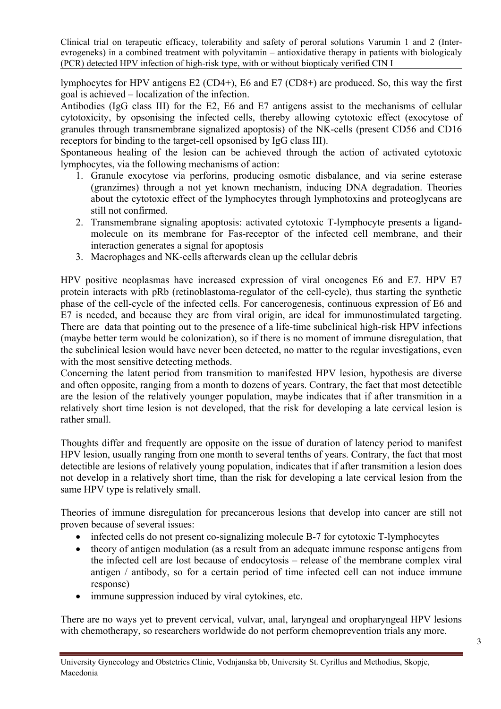lymphocytes for HPV antigens E2 (CD4+), E6 and E7 (CD8+) are produced. So, this way the first goal is achieved – localization of the infection.

Antibodies (IgG class III) for the E2, E6 and E7 antigens assist to the mechanisms of cellular cytotoxicity, by opsonising the infected cells, thereby allowing cytotoxic effect (exocytose of granules through transmembrane signalized apoptosis) of the NK-cells (present CD56 and CD16 receptors for binding to the target-cell opsonised by IgG class III).

Spontaneous healing of the lesion can be achieved through the action of activated cytotoxic lymphocytes, via the following mechanisms of action:

- 1. Granule exocytose via perforins, producing osmotic disbalance, and via serine esterase (granzimes) through a not yet known mechanism, inducing DNA degradation. Theories about the cytotoxic effect of the lymphocytes through lymphotoxins and proteoglycans are still not confirmed.
- 2. Transmembrane signaling apoptosis: activated cytotoxic T-lymphocyte presents a ligandmolecule on its membrane for Fas-receptor of the infected cell membrane, and their interaction generates a signal for apoptosis
- 3. Macrophages and NK-cells afterwards clean up the cellular debris

HPV positive neoplasmas have increased expression of viral oncogenes E6 and E7. HPV E7 protein interacts with pRb (retinoblastoma-regulator of the cell-cycle), thus starting the synthetic phase of the cell-cycle of the infected cells. For cancerogenesis, continuous expression of E6 and E7 is needed, and because they are from viral origin, are ideal for immunostimulated targeting. There are data that pointing out to the presence of a life-time subclinical high-risk HPV infections (maybe better term would be colonization), so if there is no moment of immune disregulation, that the subclinical lesion would have never been detected, no matter to the regular investigations, even with the most sensitive detecting methods.

Concerning the latent period from transmition to manifested HPV lesion, hypothesis are diverse and often opposite, ranging from a month to dozens of years. Contrary, the fact that most detectible are the lesion of the relatively younger population, maybe indicates that if after transmition in a relatively short time lesion is not developed, that the risk for developing a late cervical lesion is rather small.

Thoughts differ and frequently are opposite on the issue of duration of latency period to manifest HPV lesion, usually ranging from one month to several tenths of years. Contrary, the fact that most detectible are lesions of relatively young population, indicates that if after transmition a lesion does not develop in a relatively short time, than the risk for developing a late cervical lesion from the same HPV type is relatively small.

Theories of immune disregulation for precancerous lesions that develop into cancer are still not proven because of several issues:

- infected cells do not present co-signalizing molecule B-7 for cytotoxic T-lymphocytes
- theory of antigen modulation (as a result from an adequate immune response antigens from the infected cell are lost because of endocytosis – release of the membrane complex viral antigen / antibody, so for a certain period of time infected cell can not induce immune response)
- immune suppression induced by viral cytokines, etc.

There are no ways yet to prevent cervical, vulvar, anal, laryngeal and oropharyngeal HPV lesions with chemotherapy, so researchers worldwide do not perform chemoprevention trials any more.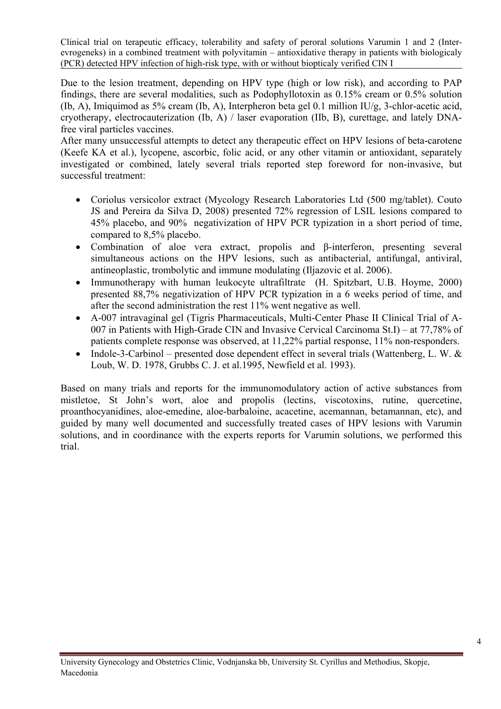Due to the lesion treatment, depending on HPV type (high or low risk), and according to PAP findings, there are several modalities, such as Podophyllotoxin as 0.15% cream or 0.5% solution (Ib, A), Imiquimod as 5% cream (Ib, A), Interpheron beta gel 0.1 million IU/g, 3-chlor-acetic acid, cryotherapy, electrocauterization (Ib, A) / laser evaporation (IIb, B), curettage, and lately DNAfree viral particles vaccines.

After many unsuccessful attempts to detect any therapeutic effect on HPV lesions of beta-carotene (Keefe KA et al.), lycopene, ascorbic, folic acid, or any other vitamin or antioxidant, separately investigated or combined, lately several trials reported step foreword for non-invasive, but successful treatment:

- Coriolus versicolor extract (Mycology Research Laboratories Ltd (500 mg/tablet). Couto JS and Pereira da Silva D, 2008) presented 72% regression of LSIL lesions compared to 45% placebo, and 90% negativization of HPV PCR typization in a short period of time, compared to 8,5% placebo.
- Combination of aloe vera extract, propolis and β-interferon, presenting several simultaneous actions on the HPV lesions, such as antibacterial, antifungal, antiviral, antineoplastic, trombolytic and immune modulating (Iljazovic et al. 2006).
- Immunotherapy with human leukocyte ultrafiltrate (H. Spitzbart, U.B. Hoyme, 2000) presented 88,7% negativization of HPV PCR typization in a 6 weeks period of time, and after the second administration the rest 11% went negative as well.
- A-007 intravaginal gel (Tigris Pharmaceuticals, Multi-Center Phase II Clinical Trial of A-007 in Patients with High-Grade CIN and Invasive Cervical Carcinoma St.I) – at 77,78% of patients complete response was observed, at 11,22% partial response, 11% non-responders.
- Indole-3-Carbinol presented dose dependent effect in several trials (Wattenberg, L. W. & Loub, W. D. 1978, Grubbs C. J. et al.1995, Newfield et al. 1993).

Based on many trials and reports for the immunomodulatory action of active substances from mistletoe, St John's wort, aloe and propolis (lectins, viscotoxins, rutine, quercetine, proanthocyanidines, aloe-emedine, aloe-barbaloine, acacetine, acemannan, betamannan, etc), and guided by many well documented and successfully treated cases of HPV lesions with Varumin solutions, and in coordinance with the experts reports for Varumin solutions, we performed this trial.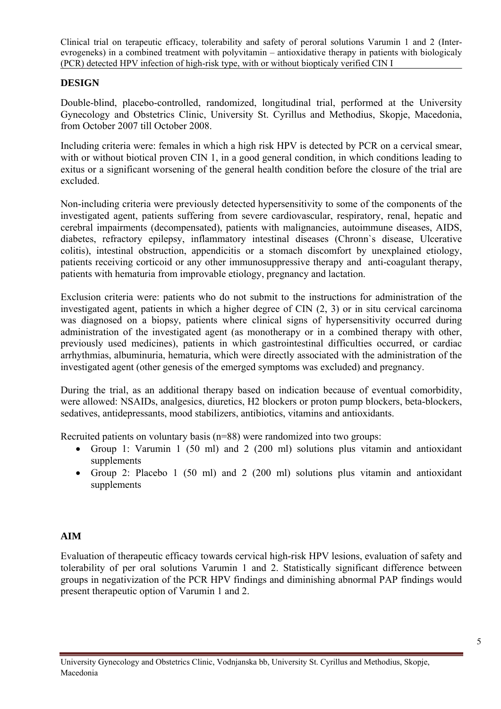# **DESIGN**

Double-blind, placebo-controlled, randomized, longitudinal trial, performed at the University Gynecology and Obstetrics Clinic, University St. Cyrillus and Methodius, Skopje, Macedonia, from October 2007 till October 2008.

Including criteria were: females in which a high risk HPV is detected by PCR on a cervical smear, with or without biotical proven CIN 1, in a good general condition, in which conditions leading to exitus or a significant worsening of the general health condition before the closure of the trial are excluded.

Non-including criteria were previously detected hypersensitivity to some of the components of the investigated agent, patients suffering from severe cardiovascular, respiratory, renal, hepatic and cerebral impairments (decompensated), patients with malignancies, autoimmune diseases, AIDS, diabetes, refractory epilepsy, inflammatory intestinal diseases (Chronn`s disease, Ulcerative colitis), intestinal obstruction, appendicitis or a stomach discomfort by unexplained etiology, patients receiving corticoid or any other immunosuppressive therapy and anti-coagulant therapy, patients with hematuria from improvable etiology, pregnancy and lactation.

Exclusion criteria were: patients who do not submit to the instructions for administration of the investigated agent, patients in which a higher degree of CIN (2, 3) or in situ cervical carcinoma was diagnosed on a biopsy, patients where clinical signs of hypersensitivity occurred during administration of the investigated agent (as monotherapy or in a combined therapy with other, previously used medicines), patients in which gastrointestinal difficulties occurred, or cardiac arrhythmias, albuminuria, hematuria, which were directly associated with the administration of the investigated agent (other genesis of the emerged symptoms was excluded) and pregnancy.

During the trial, as an additional therapy based on indication because of eventual comorbidity, were allowed: NSAIDs, analgesics, diuretics, H2 blockers or proton pump blockers, beta-blockers, sedatives, antidepressants, mood stabilizers, antibiotics, vitamins and antioxidants.

Recruited patients on voluntary basis (n=88) were randomized into two groups:

- Group 1: Varumin 1 (50 ml) and 2 (200 ml) solutions plus vitamin and antioxidant supplements
- Group 2: Placebo 1 (50 ml) and 2 (200 ml) solutions plus vitamin and antioxidant supplements

# **AIM**

Evaluation of therapeutic efficacy towards cervical high-risk HPV lesions, evaluation of safety and tolerability of per oral solutions Varumin 1 and 2. Statistically significant difference between groups in negativization of the PCR HPV findings and diminishing abnormal PAP findings would present therapeutic option of Varumin 1 and 2.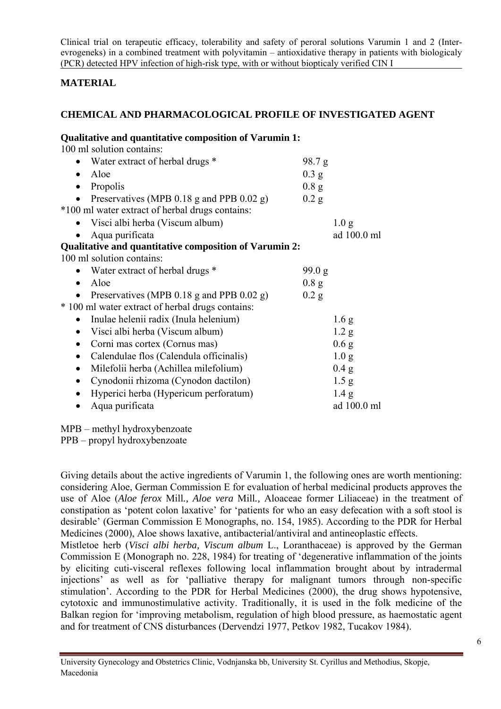# **MATERIAL**

# **CHEMICAL AND PHARMACOLOGICAL PROFILE OF INVESTIGATED AGENT**

| Qualitative and quantitative composition of Varumin 1: |         |                  |
|--------------------------------------------------------|---------|------------------|
| 100 ml solution contains:                              |         |                  |
| Water extract of herbal drugs *<br>$\bullet$           | 98.7 g  |                  |
| Aloe<br>$\bullet$                                      | $0.3$ g |                  |
| Propolis<br>$\bullet$                                  | 0.8 g   |                  |
| Preservatives (MPB 0.18 g and PPB 0.02 g)              | 0.2 g   |                  |
| *100 ml water extract of herbal drugs contains:        |         |                  |
| Visci albi herba (Viscum album)<br>$\bullet$           |         | 1.0 <sub>g</sub> |
| Aqua purificata                                        |         | ad 100.0 ml      |
| Qualitative and quantitative composition of Varumin 2: |         |                  |
| 100 ml solution contains:                              |         |                  |
| Water extract of herbal drugs *                        | 99.0 g  |                  |
| Aloe<br>$\bullet$                                      | 0.8 g   |                  |
| Preservatives (MPB $0.18$ g and PPB $0.02$ g)          | $0.2$ g |                  |
| * 100 ml water extract of herbal drugs contains:       |         |                  |
| Inulae helenii radix (Inula helenium)<br>$\bullet$     |         | 1.6 <sub>g</sub> |
| Visci albi herba (Viscum album)                        |         | 1.2 <sub>g</sub> |
| Corni mas cortex (Cornus mas)<br>$\bullet$             |         | 0.6 <sub>g</sub> |
| Calendulae flos (Calendula officinalis)<br>$\bullet$   |         | 1.0 <sub>g</sub> |
| Milefolii herba (Achillea milefolium)<br>$\bullet$     |         | 0.4 g            |
| Cynodonii rhizoma (Cynodon dactilon)<br>$\bullet$      |         | 1.5 <sub>g</sub> |
| Hyperici herba (Hypericum perforatum)<br>٠             |         | 1.4 g            |
| Aqua purificata                                        |         | ad 100.0 ml      |
|                                                        |         |                  |

MPB – methyl hydroxybenzoate

PPB – propyl hydroxybenzoate

Giving details about the active ingredients of Varumin 1, the following ones are worth mentioning: considering Aloe, German Commission E for evaluation of herbal medicinal products approves the use of Aloe (*Aloe ferox* Mill*., Aloe vera* Mill*.,* Aloaceae former Liliaceae) in the treatment of constipation as 'potent colon laxative' for 'patients for who an easy defecation with a soft stool is desirable' (German Commission E Monographs, no. 154, 1985). According to the PDR for Herbal Medicines (2000), Aloe shows laxative, antibacterial/antiviral and antineoplastic effects.

Mistletoe herb (*Visci albi herba, Viscum album* L., Loranthaceae) is approved by the German Commission E (Monograph no. 228, 1984) for treating of 'degenerative inflammation of the joints by eliciting cuti-visceral reflexes following local inflammation brought about by intradermal injections' as well as for 'palliative therapy for malignant tumors through non-specific stimulation'. According to the PDR for Herbal Medicines (2000), the drug shows hypotensive, cytotoxic and immunostimulative activity. Traditionally, it is used in the folk medicine of the Balkan region for 'improving metabolism, regulation of high blood pressure, as haemostatic agent and for treatment of CNS disturbances (Dervendzi 1977, Petkov 1982, Tucakov 1984).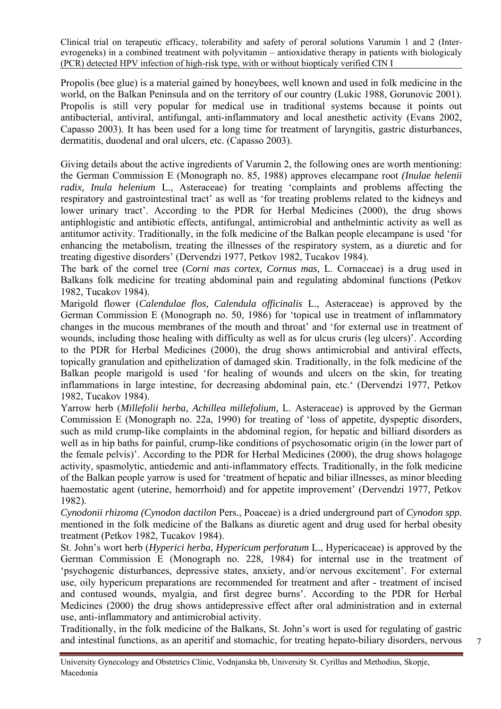Propolis (bee glue) is a material gained by honeybees, well known and used in folk medicine in the world, on the Balkan Peninsula and on the territory of our country (Lukic 1988, Gorunovic 2001). Propolis is still very popular for medical use in traditional systems because it points out antibacterial, antiviral, antifungal, anti-inflammatory and local anesthetic activity (Evans 2002, Capasso 2003). It has been used for a long time for treatment of laryngitis, gastric disturbances, dermatitis, duodenal and oral ulcers, etc. (Capasso 2003).

Giving details about the active ingredients of Varumin 2, the following ones are worth mentioning: the German Commission E (Monograph no. 85, 1988) approves elecampane root *(Inulae helenii radix, Inula helenium* L., Asteraceae) for treating 'complaints and problems affecting the respiratory and gastrointestinal tract' as well as 'for treating problems related to the kidneys and lower urinary tract'. According to the PDR for Herbal Medicines (2000), the drug shows antiphlogistic and antibiotic effects, antifungal, antimicrobial and anthelmintic activity as well as antitumor activity. Traditionally, in the folk medicine of the Balkan people elecampane is used 'for enhancing the metabolism, treating the illnesses of the respiratory system, as a diuretic and for treating digestive disorders' (Dervendzi 1977, Petkov 1982, Tucakov 1984).

The bark of the cornel tree (*Corni mas cortex, Cornus mas,* L. Cornaceae) is a drug used in Balkans folk medicine for treating abdominal pain and regulating abdominal functions (Petkov 1982, Tucakov 1984).

Marigold flower (*Calendulae flos, Calendula officinalis* L., Asteraceae) is approved by the German Commission E (Monograph no. 50, 1986) for 'topical use in treatment of inflammatory changes in the mucous membranes of the mouth and throat' and 'for external use in treatment of wounds, including those healing with difficulty as well as for ulcus cruris (leg ulcers)'. According to the PDR for Herbal Medicines (2000), the drug shows antimicrobial and antiviral effects, topically granulation and epithelization of damaged skin. Traditionally, in the folk medicine of the Balkan people marigold is used 'for healing of wounds and ulcers on the skin, for treating inflammations in large intestine, for decreasing abdominal pain, etc.' (Dervendzi 1977, Petkov 1982, Tucakov 1984).

Yarrow herb (*Millefolii herba, Achillea millefolium,* L. Asteraceae) is approved by the German Commission E (Monograph no. 22a, 1990) for treating of 'loss of appetite, dyspeptic disorders, such as mild crump-like complaints in the abdominal region, for hepatic and billiard disorders as well as in hip baths for painful, crump-like conditions of psychosomatic origin (in the lower part of the female pelvis)'. According to the PDR for Herbal Medicines (2000), the drug shows holagoge activity, spasmolytic, antiedemic and anti-inflammatory effects. Traditionally, in the folk medicine of the Balkan people yarrow is used for 'treatment of hepatic and biliar illnesses, as minor bleeding haemostatic agent (uterine, hemorrhoid) and for appetite improvement' (Dervendzi 1977, Petkov 1982).

*Cynodonii rhizoma (Cynodon dactilon* Pers., Poaceae) is a dried underground part of *Cynodon spp.*  mentioned in the folk medicine of the Balkans as diuretic agent and drug used for herbal obesity treatment (Petkov 1982, Tucakov 1984).

St. John's wort herb (*Hyperici herba, Hypericum perforatum* L., Hypericaceae) is approved by the German Commission E (Monograph no. 228, 1984) for internal use in the treatment of 'psychogenic disturbances, depressive states, anxiety, and/or nervous excitement'. For external use, oily hypericum preparations are recommended for treatment and after - treatment of incised and contused wounds, myalgia, and first degree burns'. According to the PDR for Herbal Medicines (2000) the drug shows antidepressive effect after oral administration and in external use, anti-inflammatory and antimicrobial activity.

Traditionally, in the folk medicine of the Balkans, St. John's wort is used for regulating of gastric and intestinal functions, as an aperitif and stomachic, for treating hepato-biliary disorders, nervous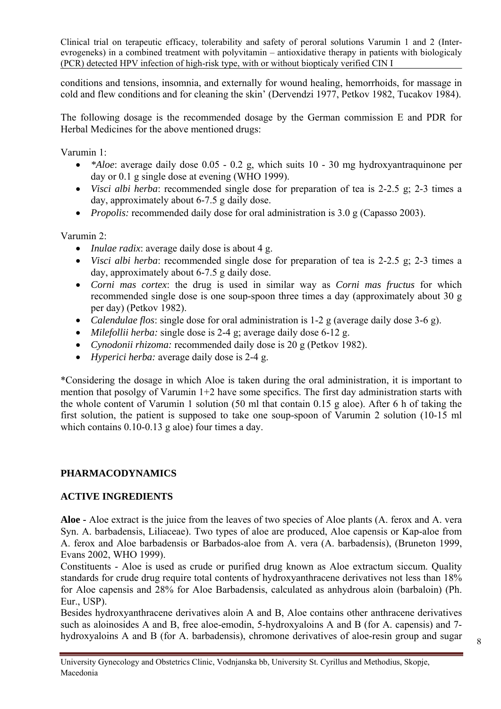conditions and tensions, insomnia, and externally for wound healing, hemorrhoids, for massage in cold and flew conditions and for cleaning the skin' (Dervendzi 1977, Petkov 1982, Tucakov 1984).

The following dosage is the recommended dosage by the German commission E and PDR for Herbal Medicines for the above mentioned drugs:

Varumin 1:

- *\*Aloe*: average daily dose 0.05 0.2 g, which suits 10 30 mg hydroxyantraquinone per day or 0.1 g single dose at evening (WHO 1999).
- *Visci albi herba*: recommended single dose for preparation of tea is 2-2.5 g; 2-3 times a day, approximately about 6-7.5 g daily dose.
- *Propolis:* recommended daily dose for oral administration is 3.0 g (Capasso 2003).

Varumin 2:

- *Inulae radix*: average daily dose is about 4 g.
- *Visci albi herba*: recommended single dose for preparation of tea is 2-2.5 g; 2-3 times a day, approximately about 6-7.5 g daily dose.
- *Corni mas cortex*: the drug is used in similar way as *Corni mas fructus* for which recommended single dose is one soup-spoon three times a day (approximately about 30 g per day) (Petkov 1982).
- *Calendulae flos*: single dose for oral administration is 1-2 g (average daily dose 3-6 g).
- *Milefollii herba:* single dose is 2-4 g; average daily dose 6-12 g.
- *Cynodonii rhizoma:* recommended daily dose is 20 g (Petkov 1982).
- *Hyperici herba:* average daily dose is 2-4 g.

\*Considering the dosage in which Aloe is taken during the oral administration, it is important to mention that posolgy of Varumin 1+2 have some specifics. The first day administration starts with the whole content of Varumin 1 solution (50 ml that contain 0.15 g aloe). After 6 h of taking the first solution, the patient is supposed to take one soup-spoon of Varumin 2 solution (10-15 ml which contains  $0.10$ - $0.13$  g aloe) four times a day.

# **PHARMACODYNAMICS**

# **ACTIVE INGREDIENTS**

**Aloe -** Aloe extract is the juice from the leaves of two species of Aloe plants (A. ferox and A. vera Syn. A. barbadensis, Liliaceae). Two types of aloe are produced, Aloe capensis or Kap-aloe from A. ferox and Aloe barbadensis or Barbados-aloe from A. vera (A. barbadensis), (Bruneton 1999, Evans 2002, WHO 1999).

Constituents - Aloe is used as crude or purified drug known as Aloe extractum siccum. Quality standards for crude drug require total contents of hydroxyanthracene derivatives not less than 18% for Aloe capensis and 28% for Aloe Barbadensis, calculated as anhydrous aloin (barbaloin) (Ph. Eur., USP).

Besides hydroxyanthracene derivatives aloin A and B, Aloe contains other anthracene derivatives such as aloinosides A and B, free aloe-emodin, 5-hydroxyaloins A and B (for A. capensis) and 7 hydroxyaloins A and B (for A. barbadensis), chromone derivatives of aloe-resin group and sugar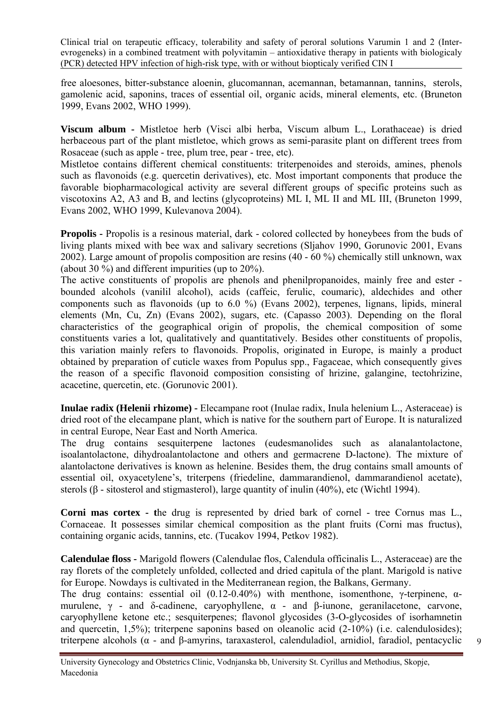free aloesones, bitter-substance aloenin, glucomannan, acemannan, betamannan, tannins, sterols, gamolenic acid, saponins, traces of essential oil, organic acids, mineral elements, etc. (Bruneton 1999, Evans 2002, WHO 1999).

**Viscum album -** Mistletoe herb (Visci albi herba, Viscum album L., Lorathaceae) is dried herbaceous part of the plant mistletoe, which grows as semi-parasite plant on different trees from Rosaceae (such as apple - tree, plum tree, pear - tree, etc).

Mistletoe contains different chemical constituents: triterpenoides and steroids, amines, phenols such as flavonoids (e.g. quercetin derivatives), etc. Most important components that produce the favorable biopharmacological activity are several different groups of specific proteins such as viscotoxins A2, A3 and B, and lectins (glycoproteins) ML I, ML II and ML III, (Bruneton 1999, Evans 2002, WHO 1999, Kulevanova 2004).

**Propolis -** Propolis is a resinous material, dark - colored collected by honeybees from the buds of living plants mixed with bee wax and salivary secretions (Sljahov 1990, Gorunovic 2001, Evans 2002). Large amount of propolis composition are resins (40 - 60 %) chemically still unknown, wax (about 30 %) and different impurities (up to 20%).

The active constituents of propolis are phenols and phenilpropanoides, mainly free and ester bounded alcohols (vanilil alcohol), acids (caffeic, ferulic, coumaric), aldechides and other components such as flavonoids (up to 6.0 %) (Evans 2002), terpenes, lignans, lipids, mineral elements (Mn, Cu, Zn) (Evans 2002), sugars, etc. (Capasso 2003). Depending on the floral characteristics of the geographical origin of propolis, the chemical composition of some constituents varies a lot, qualitatively and quantitatively. Besides other constituents of propolis, this variation mainly refers to flavonoids. Propolis, originated in Europe, is mainly a product obtained by preparation of cuticle waxes from Populus spp., Fagaceae, which consequently gives the reason of a specific flavonoid composition consisting of hrizine, galangine, tectohrizine, acacetine, quercetin, etc. (Gorunovic 2001).

**Inulae radix (Helenii rhizome) -** Elecampane root (Inulae radix, Inula helenium L., Asteraceae) is dried root of the elecampane plant, which is native for the southern part of Europe. It is naturalized in central Europe, Near East and North America.

The drug contains sesquiterpene lactones (eudesmanolides such as alanalantolactone, isoalantolactone, dihydroalantolactone and others and germacrene D-lactone). The mixture of alantolactone derivatives is known as helenine. Besides them, the drug contains small amounts of essential oil, oxyacetylene's, triterpens (friedeline, dammarandienol, dammarandienol acetate), sterols (β - sitosterol and stigmasterol), large quantity of inulin (40%), etc (Wichtl 1994).

**Corni mas cortex - t**he drug is represented by dried bark of cornel - tree Cornus mas L., Cornaceae. It possesses similar chemical composition as the plant fruits (Corni mas fructus), containing organic acids, tannins, etc. (Tucakov 1994, Petkov 1982).

**Calendulae floss -** Marigold flowers (Calendulae flos, Calendula officinalis L., Asteraceae) are the ray florets of the completely unfolded, collected and dried capitula of the plant. Marigold is native for Europe. Nowdays is cultivated in the Mediterranean region, the Balkans, Germany.

The drug contains: essential oil  $(0.12{\text -}0.40\%)$  with menthone, isomenthone, γ-terpinene, αmurulene,  $\gamma$  - and δ-cadinene, caryophyllene,  $\alpha$  - and β-iunone, geranilacetone, carvone, caryophyllene ketone etc.; sesquiterpenes; flavonol glycosides (3-O-glycosides of isorhamnetin and quercetin, 1,5%); triterpene saponins based on oleanolic acid (2-10%) (i.e. calendulosides); triterpene alcohols (α - and β-amyrins, taraxasterol, calenduladiol, arnidiol, faradiol, pentacyclic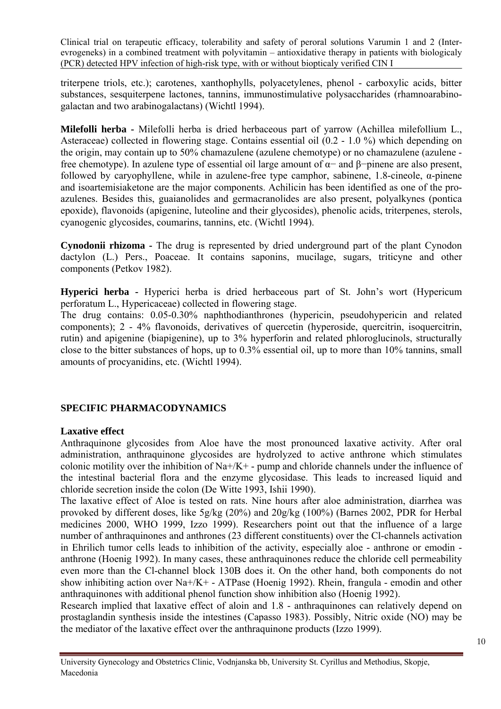triterpene triols, etc.); carotenes, xanthophylls, polyacetylenes, phenol - carboxylic acids, bitter substances, sesquiterpene lactones, tannins, immunostimulative polysaccharides (rhamnoarabinogalactan and two arabinogalactans) (Wichtl 1994).

**Milefolli herba -** Milefolli herba is dried herbaceous part of yarrow (Achillea milefollium L., Asteraceae) collected in flowering stage. Contains essential oil (0.2 - 1.0 %) which depending on the origin, may contain up to 50% chamazulene (azulene chemotype) or no chamazulene (azulene free chemotype). In azulene type of essential oil large amount of α− and β−pinene are also present, followed by caryophyllene, while in azulene-free type camphor, sabinene, 1.8-cineole,  $\alpha$ -pinene and isoartemisiaketone are the major components. Achilicin has been identified as one of the proazulenes. Besides this, guaianolides and germacranolides are also present, polyalkynes (pontica epoxide), flavonoids (apigenine, luteoline and their glycosides), phenolic acids, triterpenes, sterols, cyanogenic glycosides, coumarins, tannins, etc. (Wichtl 1994).

**Cynodonii rhizoma -** The drug is represented by dried underground part of the plant Cynodon dactylon (L.) Pers., Poaceae. It contains saponins, mucilage, sugars, triticyne and other components (Petkov 1982).

**Hyperici herba -** Hyperici herba is dried herbaceous part of St. John's wort (Hypericum perforatum L., Hypericaceae) collected in flowering stage.

The drug contains: 0.05-0.30% naphthodianthrones (hypericin, pseudohypericin and related components); 2 - 4% flavonoids, derivatives of quercetin (hyperoside, quercitrin, isoquercitrin, rutin) and apigenine (biapigenine), up to 3% hyperforin and related phloroglucinols, structurally close to the bitter substances of hops, up to 0.3% essential oil, up to more than 10% tannins, small amounts of procyanidins, etc. (Wichtl 1994).

# **SPECIFIC PHARMACODYNAMICS**

#### **Laxative effect**

Anthraquinone glycosides from Aloe have the most pronounced laxative activity. After oral administration, anthraquinone glycosides are hydrolyzed to active anthrone which stimulates colonic motility over the inhibition of Na+/K+ - pump and chloride channels under the influence of the intestinal bacterial flora and the enzyme glycosidase. This leads to increased liquid and chloride secretion inside the colon (De Witte 1993, Ishii 1990).

The laxative effect of Aloe is tested on rats. Nine hours after aloe administration, diarrhea was provoked by different doses, like 5g/kg (20%) and 20g/kg (100%) (Barnes 2002, PDR for Herbal medicines 2000, WHO 1999, Izzo 1999). Researchers point out that the influence of a large number of anthraquinones and anthrones (23 different constituents) over the Cl-channels activation in Ehrilich tumor cells leads to inhibition of the activity, especially aloe - anthrone or emodin anthrone (Hoenig 1992). In many cases, these anthraquinones reduce the chloride cell permeability even more than the Cl-channel block 130B does it. On the other hand, both components do not show inhibiting action over Na+/K+ - ATPase (Hoenig 1992). Rhein, frangula - emodin and other anthraquinones with additional phenol function show inhibition also (Hoenig 1992).

Research implied that laxative effect of aloin and 1.8 - anthraquinones can relatively depend on prostaglandin synthesis inside the intestines (Capasso 1983). Possibly, Nitric oxide (NO) may be the mediator of the laxative effect over the anthraquinone products (Izzo 1999).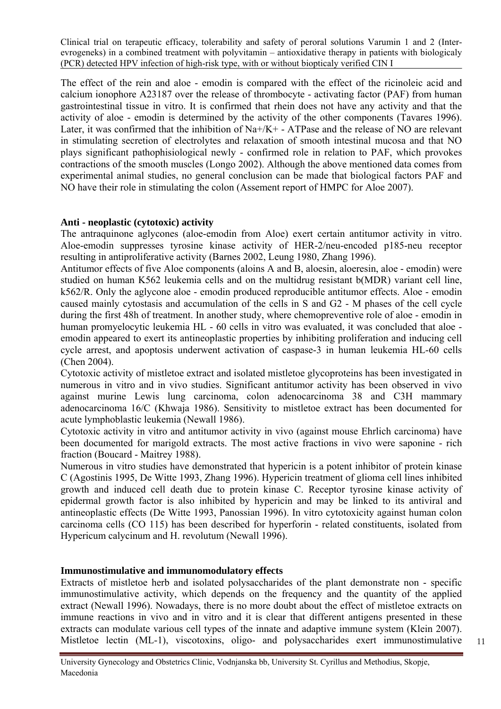The effect of the rein and aloe - emodin is compared with the effect of the ricinoleic acid and calcium ionophore A23187 over the release of thrombocyte - activating factor (PAF) from human gastrointestinal tissue in vitro. It is confirmed that rhein does not have any activity and that the activity of aloe - emodin is determined by the activity of the other components (Tavares 1996). Later, it was confirmed that the inhibition of  $Na + / K +$  - ATPase and the release of NO are relevant in stimulating secretion of electrolytes and relaxation of smooth intestinal mucosa and that NO plays significant pathophisiological newly - confirmed role in relation to PAF, which provokes contractions of the smooth muscles (Longo 2002). Although the above mentioned data comes from experimental animal studies, no general conclusion can be made that biological factors PAF and NO have their role in stimulating the colon (Assement report of HMPC for Aloe 2007).

#### **Anti - neoplastic (cytotoxic) activity**

The antraquinone aglycones (aloe-emodin from Aloe) exert certain antitumor activity in vitro. Aloe-emodin suppresses tyrosine kinase activity of HER-2/neu-encoded p185-neu receptor resulting in antiproliferative activity (Barnes 2002, Leung 1980, Zhang 1996).

Antitumor effects of five Aloe components (aloins A and B, aloesin, aloeresin, aloe - emodin) were studied on human K562 leukemia cells and on the multidrug resistant b(MDR) variant cell line, k562/R. Only the aglycone aloe - emodin produced reproducible antitumor effects. Aloe - emodin caused mainly cytostasis and accumulation of the cells in S and G2 - M phases of the cell cycle during the first 48h of treatment. In another study, where chemopreventive role of aloe - emodin in human promyelocytic leukemia HL - 60 cells in vitro was evaluated, it was concluded that aloe emodin appeared to exert its antineoplastic properties by inhibiting proliferation and inducing cell cycle arrest, and apoptosis underwent activation of caspase-3 in human leukemia HL-60 cells (Chen 2004).

Cytotoxic activity of mistletoe extract and isolated mistletoe glycoproteins has been investigated in numerous in vitro and in vivo studies. Significant antitumor activity has been observed in vivo against murine Lewis lung carcinoma, colon adenocarcinoma 38 and C3H mammary adenocarcinoma 16/C (Khwaja 1986). Sensitivity to mistletoe extract has been documented for acute lymphoblastic leukemia (Newall 1986).

Cytotoxic activity in vitro and antitumor activity in vivo (against mouse Ehrlich carcinoma) have been documented for marigold extracts. The most active fractions in vivo were saponine - rich fraction (Boucard - Maitrey 1988).

Numerous in vitro studies have demonstrated that hypericin is a potent inhibitor of protein kinase C (Agostinis 1995, De Witte 1993, Zhang 1996). Hypericin treatment of glioma cell lines inhibited growth and induced cell death due to protein kinase C. Receptor tyrosine kinase activity of epidermal growth factor is also inhibited by hypericin and may be linked to its antiviral and antineoplastic effects (De Witte 1993, Panossian 1996). In vitro cytotoxicity against human colon carcinoma cells (CO 115) has been described for hyperforin - related constituents, isolated from Hypericum calycinum and H. revolutum (Newall 1996).

# **Immunostimulative and immunomodulatory effects**

Extracts of mistletoe herb and isolated polysaccharides of the plant demonstrate non - specific immunostimulative activity, which depends on the frequency and the quantity of the applied extract (Newall 1996). Nowadays, there is no more doubt about the effect of mistletoe extracts on immune reactions in vivo and in vitro and it is clear that different antigens presented in these extracts can modulate various cell types of the innate and adaptive immune system (Klein 2007). Mistletoe lectin (ML-1), viscotoxins, oligo- and polysaccharides exert immunostimulative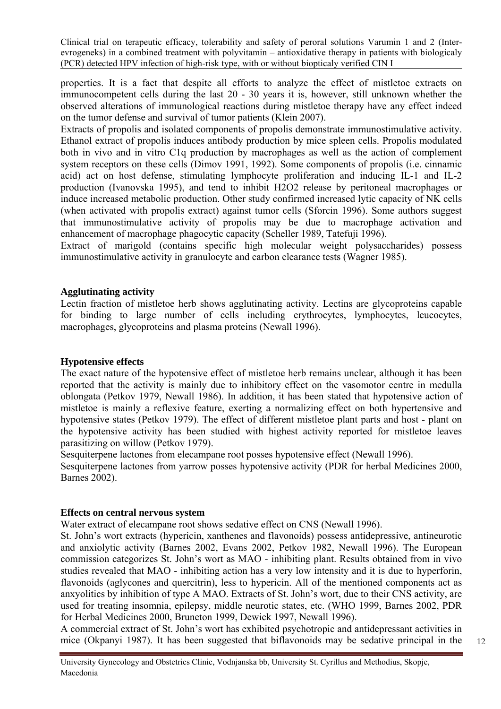properties. It is a fact that despite all efforts to analyze the effect of mistletoe extracts on immunocompetent cells during the last 20 - 30 years it is, however, still unknown whether the observed alterations of immunological reactions during mistletoe therapy have any effect indeed on the tumor defense and survival of tumor patients (Klein 2007).

Extracts of propolis and isolated components of propolis demonstrate immunostimulative activity. Ethanol extract of propolis induces antibody production by mice spleen cells. Propolis modulated both in vivo and in vitro C1q production by macrophages as well as the action of complement system receptors on these cells (Dimov 1991, 1992). Some components of propolis (i.e. cinnamic acid) act on host defense, stimulating lymphocyte proliferation and inducing IL-1 and IL-2 production (Ivanovska 1995), and tend to inhibit H2O2 release by peritoneal macrophages or induce increased metabolic production. Other study confirmed increased lytic capacity of NK cells (when activated with propolis extract) against tumor cells (Sforcin 1996). Some authors suggest that immunostimulative activity of propolis may be due to macrophage activation and enhancement of macrophage phagocytic capacity (Scheller 1989, Tatefuji 1996).

Extract of marigold (contains specific high molecular weight polysaccharides) possess immunostimulative activity in granulocyte and carbon clearance tests (Wagner 1985).

#### **Agglutinating activity**

Lectin fraction of mistletoe herb shows agglutinating activity. Lectins are glycoproteins capable for binding to large number of cells including erythrocytes, lymphocytes, leucocytes, macrophages, glycoproteins and plasma proteins (Newall 1996).

#### **Hypotensive effects**

The exact nature of the hypotensive effect of mistletoe herb remains unclear, although it has been reported that the activity is mainly due to inhibitory effect on the vasomotor centre in medulla oblongata (Petkov 1979, Newall 1986). In addition, it has been stated that hypotensive action of mistletoe is mainly a reflexive feature, exerting a normalizing effect on both hypertensive and hypotensive states (Petkov 1979). The effect of different mistletoe plant parts and host - plant on the hypotensive activity has been studied with highest activity reported for mistletoe leaves parasitizing on willow (Petkov 1979).

Sesquiterpene lactones from elecampane root posses hypotensive effect (Newall 1996).

Sesquiterpene lactones from yarrow posses hypotensive activity (PDR for herbal Medicines 2000, Barnes 2002).

#### **Effects on central nervous system**

Water extract of elecampane root shows sedative effect on CNS (Newall 1996).

St. John's wort extracts (hypericin, xanthenes and flavonoids) possess antidepressive, antineurotic and anxiolytic activity (Barnes 2002, Evans 2002, Petkov 1982, Newall 1996). The European commission categorizes St. John's wort as MAO - inhibiting plant. Results obtained from in vivo studies revealed that MAO - inhibiting action has a very low intensity and it is due to hyperforin, flavonoids (aglycones and quercitrin), less to hypericin. All of the mentioned components act as anxyolitics by inhibition of type A MAO. Extracts of St. John's wort, due to their CNS activity, are used for treating insomnia, epilepsy, middle neurotic states, etc. (WHO 1999, Barnes 2002, PDR for Herbal Medicines 2000, Bruneton 1999, Dewick 1997, Newall 1996).

A commercial extract of St. John's wort has exhibited psychotropic and antidepressant activities in mice (Okpanyi 1987). It has been suggested that biflavonoids may be sedative principal in the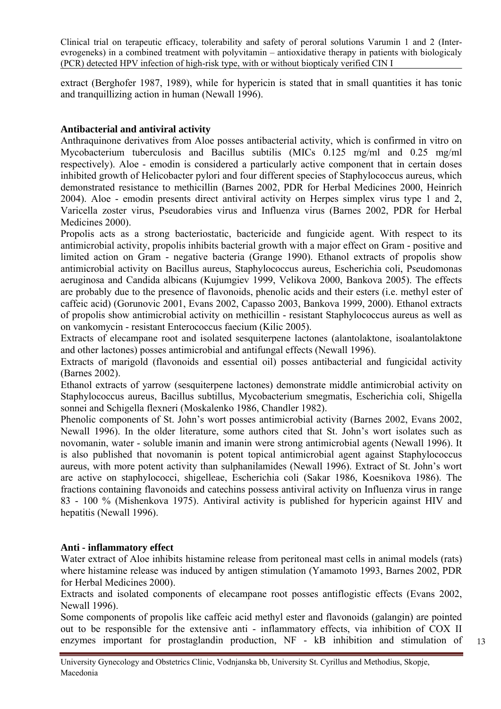extract (Berghofer 1987, 1989), while for hypericin is stated that in small quantities it has tonic and tranquillizing action in human (Newall 1996).

# **Antibacterial and antiviral activity**

Anthraquinone derivatives from Aloe posses antibacterial activity, which is confirmed in vitro on Mycobacterium tuberculosis and Bacillus subtilis (MICs 0.125 mg/ml and 0.25 mg/ml respectively). Aloe - emodin is considered a particularly active component that in certain doses inhibited growth of Helicobacter pylori and four different species of Staphylococcus aureus, which demonstrated resistance to methicillin (Barnes 2002, PDR for Herbal Medicines 2000, Heinrich 2004). Aloe - emodin presents direct antiviral activity on Herpes simplex virus type 1 and 2, Varicella zoster virus, Pseudorabies virus and Influenza virus (Barnes 2002, PDR for Herbal Medicines 2000).

Propolis acts as a strong bacteriostatic, bactericide and fungicide agent. With respect to its antimicrobial activity, propolis inhibits bacterial growth with a major effect on Gram - positive and limited action on Gram - negative bacteria (Grange 1990). Ethanol extracts of propolis show antimicrobial activity on Bacillus aureus, Staphylococcus aureus, Escherichia coli, Pseudomonas aeruginosa and Candida albicans (Kujumgiev 1999, Velikova 2000, Bankova 2005). The effects are probably due to the presence of flavonoids, phenolic acids and their esters (i.e. methyl ester of caffeic acid) (Gorunovic 2001, Evans 2002, Capasso 2003, Bankova 1999, 2000). Ethanol extracts of propolis show antimicrobial activity on methicillin - resistant Staphylococcus aureus as well as on vankomycin - resistant Enterococcus faecium (Kilic 2005).

Extracts of elecampane root and isolated sesquiterpene lactones (alantolaktone, isoalantolaktone and other lactones) posses antimicrobial and antifungal effects (Newall 1996).

Extracts of marigold (flavonoids and essential oil) posses antibacterial and fungicidal activity (Barnes 2002).

Ethanol extracts of yarrow (sesquiterpene lactones) demonstrate middle antimicrobial activity on Staphylococcus aureus, Bacillus subtillus, Mycobacterium smegmatis, Escherichia coli, Shigella sonnei and Schigella flexneri (Moskalenko 1986, Chandler 1982).

Phenolic components of St. John's wort posses antimicrobial activity (Barnes 2002, Evans 2002, Newall 1996). In the older literature, some authors cited that St. John's wort isolates such as novomanin, water - soluble imanin and imanin were strong antimicrobial agents (Newall 1996). It is also published that novomanin is potent topical antimicrobial agent against Staphylococcus aureus, with more potent activity than sulphanilamides (Newall 1996). Extract of St. John's wort are active on staphylococci, shigelleae, Escherichia coli (Sakar 1986, Koesnikova 1986). The fractions containing flavonoids and catechins possess antiviral activity on Influenza virus in range 83 - 100 % (Mishenkova 1975). Antiviral activity is published for hypericin against HIV and hepatitis (Newall 1996).

#### **Anti - inflammatory effect**

Water extract of Aloe inhibits histamine release from peritoneal mast cells in animal models (rats) where histamine release was induced by antigen stimulation (Yamamoto 1993, Barnes 2002, PDR for Herbal Medicines 2000).

Extracts and isolated components of elecampane root posses antiflogistic effects (Evans 2002, Newall 1996).

Some components of propolis like caffeic acid methyl ester and flavonoids (galangin) are pointed out to be responsible for the extensive anti - inflammatory effects, via inhibition of COX II enzymes important for prostaglandin production, NF - kB inhibition and stimulation of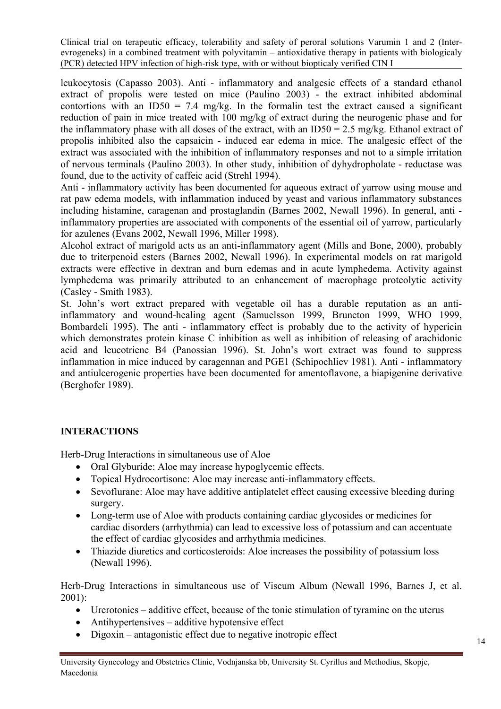leukocytosis (Capasso 2003). Anti - inflammatory and analgesic effects of a standard ethanol extract of propolis were tested on mice (Paulino 2003) - the extract inhibited abdominal contortions with an ID50 = 7.4 mg/kg. In the formal in test the extract caused a significant reduction of pain in mice treated with 100 mg/kg of extract during the neurogenic phase and for the inflammatory phase with all doses of the extract, with an  $ID50 = 2.5$  mg/kg. Ethanol extract of propolis inhibited also the capsaicin - induced ear edema in mice. The analgesic effect of the extract was associated with the inhibition of inflammatory responses and not to a simple irritation of nervous terminals (Paulino 2003). In other study, inhibition of dyhydropholate - reductase was found, due to the activity of caffeic acid (Strehl 1994).

Anti - inflammatory activity has been documented for aqueous extract of yarrow using mouse and rat paw edema models, with inflammation induced by yeast and various inflammatory substances including histamine, caragenan and prostaglandin (Barnes 2002, Newall 1996). In general, anti inflammatory properties are associated with components of the essential oil of yarrow, particularly for azulenes (Evans 2002, Newall 1996, Miller 1998).

Alcohol extract of marigold acts as an anti-inflammatory agent (Mills and Bone, 2000), probably due to triterpenoid esters (Barnes 2002, Newall 1996). In experimental models on rat marigold extracts were effective in dextran and burn edemas and in acute lymphedema. Activity against lymphedema was primarily attributed to an enhancement of macrophage proteolytic activity (Casley - Smith 1983).

St. John's wort extract prepared with vegetable oil has a durable reputation as an antiinflammatory and wound-healing agent (Samuelsson 1999, Bruneton 1999, WHO 1999, Bombardeli 1995). The anti - inflammatory effect is probably due to the activity of hypericin which demonstrates protein kinase C inhibition as well as inhibition of releasing of arachidonic acid and leucotriene B4 (Panossian 1996). St. John's wort extract was found to suppress inflammation in mice induced by caragennan and PGE1 (Schipochliev 1981). Anti - inflammatory and antiulcerogenic properties have been documented for amentoflavone, a biapigenine derivative (Berghofer 1989).

# **INTERACTIONS**

Herb-Drug Interactions in simultaneous use of Aloe

- Oral Glyburide: Aloe may increase hypoglycemic effects.
- Topical Hydrocortisone: Aloe may increase anti-inflammatory effects.
- Sevoflurane: Aloe may have additive antiplatelet effect causing excessive bleeding during surgery.
- Long-term use of Aloe with products containing cardiac glycosides or medicines for cardiac disorders (arrhythmia) can lead to excessive loss of potassium and can accentuate the effect of cardiac glycosides and arrhythmia medicines.
- Thiazide diuretics and corticosteroids: Aloe increases the possibility of potassium loss (Newall 1996).

Herb-Drug Interactions in simultaneous use of Viscum Album (Newall 1996, Barnes J, et al. 2001):

- Urerotonics additive effect, because of the tonic stimulation of tyramine on the uterus
- Antihypertensives additive hypotensive effect
- Digoxin antagonistic effect due to negative inotropic effect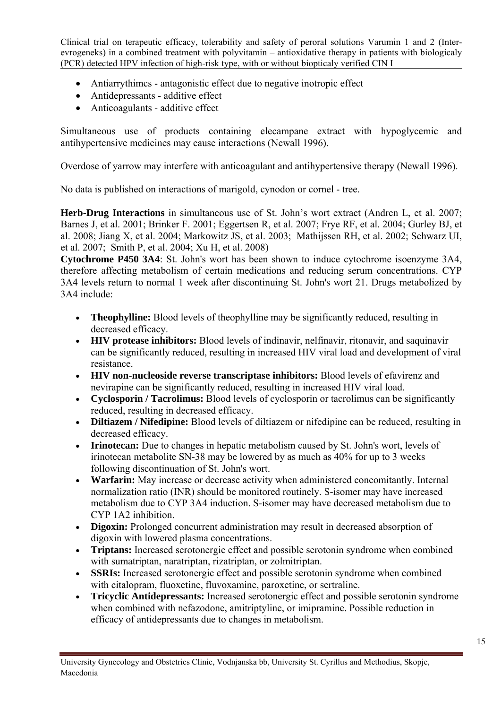- Antiarrythimcs antagonistic effect due to negative inotropic effect
- Antidepressants additive effect
- Anticoagulants additive effect

Simultaneous use of products containing elecampane extract with hypoglycemic and antihypertensive medicines may cause interactions (Newall 1996).

Overdose of yarrow may interfere with anticoagulant and antihypertensive therapy (Newall 1996).

No data is published on interactions of marigold, cynodon or cornel - tree.

**Herb-Drug Interactions** in simultaneous use of St. John's wort extract (Andren L, et al. 2007; Barnes J, et al. 2001; Brinker F. 2001; Eggertsen R, et al. 2007; Frye RF, et al. 2004; Gurley BJ, et al. 2008; Jiang X, et al. 2004; Markowitz JS, et al. 2003; Mathijssen RH, et al. 2002; Schwarz UI, et al. 2007; Smith P, et al. 2004; Xu H, et al. 2008)

**Cytochrome P450 3A4**: St. John's wort has been shown to induce cytochrome isoenzyme 3A4, therefore affecting metabolism of certain medications and reducing serum concentrations. CYP 3A4 levels return to normal 1 week after discontinuing St. John's wort 21. Drugs metabolized by 3A4 include:

- **Theophylline:** Blood levels of theophylline may be significantly reduced, resulting in decreased efficacy.
- **HIV protease inhibitors:** Blood levels of indinavir, nelfinavir, ritonavir, and saquinavir can be significantly reduced, resulting in increased HIV viral load and development of viral resistance.
- **HIV non-nucleoside reverse transcriptase inhibitors:** Blood levels of efavirenz and nevirapine can be significantly reduced, resulting in increased HIV viral load.
- **Cyclosporin / Tacrolimus:** Blood levels of cyclosporin or tacrolimus can be significantly reduced, resulting in decreased efficacy.
- **Diltiazem / Nifedipine:** Blood levels of diltiazem or nifedipine can be reduced, resulting in decreased efficacy.
- **Irinotecan:** Due to changes in hepatic metabolism caused by St. John's wort, levels of irinotecan metabolite SN-38 may be lowered by as much as 40% for up to 3 weeks following discontinuation of St. John's wort.
- **Warfarin:** May increase or decrease activity when administered concomitantly. Internal normalization ratio (INR) should be monitored routinely. S-isomer may have increased metabolism due to CYP 3A4 induction. S-isomer may have decreased metabolism due to CYP 1A2 inhibition.
- **Digoxin:** Prolonged concurrent administration may result in decreased absorption of digoxin with lowered plasma concentrations.
- **Triptans:** Increased serotonergic effect and possible serotonin syndrome when combined with sumatriptan, naratriptan, rizatriptan, or zolmitriptan.
- **SSRIs:** Increased serotonergic effect and possible serotonin syndrome when combined with citalopram, fluoxetine, fluvoxamine, paroxetine, or sertraline.
- **Tricyclic Antidepressants:** Increased serotonergic effect and possible serotonin syndrome when combined with nefazodone, amitriptyline, or imipramine. Possible reduction in efficacy of antidepressants due to changes in metabolism.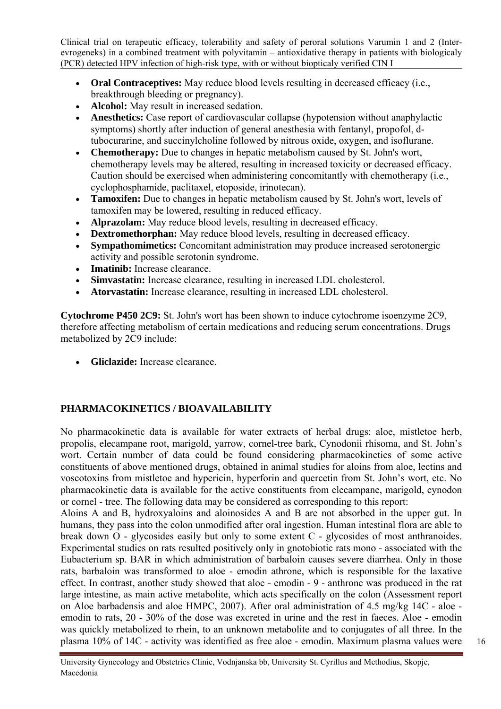- **Oral Contraceptives:** May reduce blood levels resulting in decreased efficacy (i.e., breakthrough bleeding or pregnancy).
- **Alcohol:** May result in increased sedation.
- **Anesthetics:** Case report of cardiovascular collapse (hypotension without anaphylactic symptoms) shortly after induction of general anesthesia with fentanyl, propofol, dtubocurarine, and succinylcholine followed by nitrous oxide, oxygen, and isoflurane.
- **Chemotherapy:** Due to changes in hepatic metabolism caused by St. John's wort, chemotherapy levels may be altered, resulting in increased toxicity or decreased efficacy. Caution should be exercised when administering concomitantly with chemotherapy (i.e., cyclophosphamide, paclitaxel, etoposide, irinotecan).
- **Tamoxifen:** Due to changes in hepatic metabolism caused by St. John's wort, levels of tamoxifen may be lowered, resulting in reduced efficacy.
- **Alprazolam:** May reduce blood levels, resulting in decreased efficacy.
- **Dextromethorphan:** May reduce blood levels, resulting in decreased efficacy.
- **Sympathomimetics:** Concomitant administration may produce increased serotonergic activity and possible serotonin syndrome.
- **Imatinib:** Increase clearance.
- **Simvastatin:** Increase clearance, resulting in increased LDL cholesterol.
- **Atorvastatin:** Increase clearance, resulting in increased LDL cholesterol.

**Cytochrome P450 2C9:** St. John's wort has been shown to induce cytochrome isoenzyme 2C9, therefore affecting metabolism of certain medications and reducing serum concentrations. Drugs metabolized by 2C9 include:

• **Gliclazide:** Increase clearance.

# **PHARMACOKINETICS / BIOAVAILABILITY**

No pharmacokinetic data is available for water extracts of herbal drugs: aloe, mistletoe herb, propolis, elecampane root, marigold, yarrow, cornel-tree bark, Cynodonii rhisoma, and St. John's wort. Certain number of data could be found considering pharmacokinetics of some active constituents of above mentioned drugs, obtained in animal studies for aloins from aloe, lectins and voscotoxins from mistletoe and hypericin, hyperforin and quercetin from St. John's wort, etc. No pharmacokinetic data is available for the active constituents from elecampane, marigold, cynodon or cornel - tree. The following data may be considered as corresponding to this report:

Aloins A and B, hydroxyaloins and aloinosides A and B are not absorbed in the upper gut. In humans, they pass into the colon unmodified after oral ingestion. Human intestinal flora are able to break down O - glycosides easily but only to some extent C - glycosides of most anthranoides. Experimental studies on rats resulted positively only in gnotobiotic rats mono - associated with the Eubacterium sp. BAR in which administration of barbaloin causes severe diarrhea. Only in those rats, barbaloin was transformed to aloe - emodin athrone, which is responsible for the laxative effect. In contrast, another study showed that aloe - emodin - 9 - anthrone was produced in the rat large intestine, as main active metabolite, which acts specifically on the colon (Assessment report on Aloe barbadensis and aloe HMPC, 2007). After oral administration of 4.5 mg/kg 14C - aloe emodin to rats, 20 - 30% of the dose was excreted in urine and the rest in faeces. Aloe - emodin was quickly metabolized to rhein, to an unknown metabolite and to conjugates of all three. In the plasma 10% of 14C - activity was identified as free aloe - emodin. Maximum plasma values were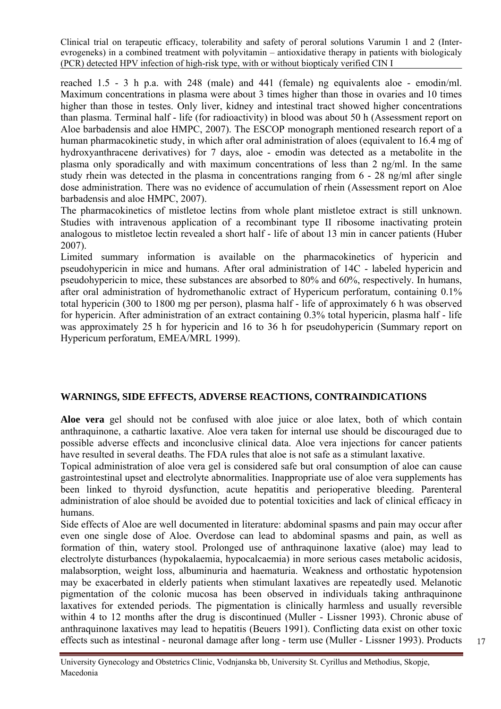reached 1.5 - 3 h p.a. with 248 (male) and 441 (female) ng equivalents aloe - emodin/ml. Maximum concentrations in plasma were about 3 times higher than those in ovaries and 10 times higher than those in testes. Only liver, kidney and intestinal tract showed higher concentrations than plasma. Terminal half - life (for radioactivity) in blood was about 50 h (Assessment report on Aloe barbadensis and aloe HMPC, 2007). The ESCOP monograph mentioned research report of a human pharmacokinetic study, in which after oral administration of aloes (equivalent to 16.4 mg of hydroxyanthracene derivatives) for 7 days, aloe - emodin was detected as a metabolite in the plasma only sporadically and with maximum concentrations of less than 2 ng/ml. In the same study rhein was detected in the plasma in concentrations ranging from 6 - 28 ng/ml after single dose administration. There was no evidence of accumulation of rhein (Assessment report on Aloe barbadensis and aloe HMPC, 2007).

The pharmacokinetics of mistletoe lectins from whole plant mistletoe extract is still unknown. Studies with intravenous application of a recombinant type II ribosome inactivating protein analogous to mistletoe lectin revealed a short half - life of about 13 min in cancer patients (Huber 2007).

Limited summary information is available on the pharmacokinetics of hypericin and pseudohypericin in mice and humans. After oral administration of 14C - labeled hypericin and pseudohypericin to mice, these substances are absorbed to 80% and 60%, respectively. In humans, after oral administration of hydromethanolic extract of Hypericum perforatum, containing 0.1% total hypericin (300 to 1800 mg per person), plasma half - life of approximately 6 h was observed for hypericin. After administration of an extract containing 0.3% total hypericin, plasma half - life was approximately 25 h for hypericin and 16 to 36 h for pseudohypericin (Summary report on Hypericum perforatum, EMEA/MRL 1999).

# **WARNINGS, SIDE EFFECTS, ADVERSE REACTIONS, CONTRAINDICATIONS**

**Aloe vera** gel should not be confused with aloe juice or aloe latex, both of which contain anthraquinone, a cathartic laxative. Aloe vera taken for internal use should be discouraged due to possible adverse effects and inconclusive clinical data. Aloe vera injections for cancer patients have resulted in several deaths. [The FDA rules that aloe is not safe as a stimulant laxative](http://www.fda.gov/ohrms/dockets/98fr/050902a.htm).

Topical administration of aloe vera gel is considered safe but oral consumption of aloe can cause gastrointestinal upset and electrolyte abnormalities. Inappropriate use of aloe vera supplements has been linked to thyroid dysfunction, acute hepatitis and perioperative bleeding. Parenteral administration of aloe should be avoided due to potential toxicities and lack of clinical efficacy in humans.

Side effects of Aloe are well documented in literature: abdominal spasms and pain may occur after even one single dose of Aloe. Overdose can lead to abdominal spasms and pain, as well as formation of thin, watery stool. Prolonged use of anthraquinone laxative (aloe) may lead to electrolyte disturbances (hypokalaemia, hypocalcaemia) in more serious cases metabolic acidosis, malabsorption, weight loss, albuminuria and haematuria. Weakness and orthostatic hypotension may be exacerbated in elderly patients when stimulant laxatives are repeatedly used. Melanotic pigmentation of the colonic mucosa has been observed in individuals taking anthraquinone laxatives for extended periods. The pigmentation is clinically harmless and usually reversible within 4 to 12 months after the drug is discontinued (Muller - Lissner 1993). Chronic abuse of anthraquinone laxatives may lead to hepatitis (Beuers 1991). Conflicting data exist on other toxic effects such as intestinal - neuronal damage after long - term use (Muller - Lissner 1993). Products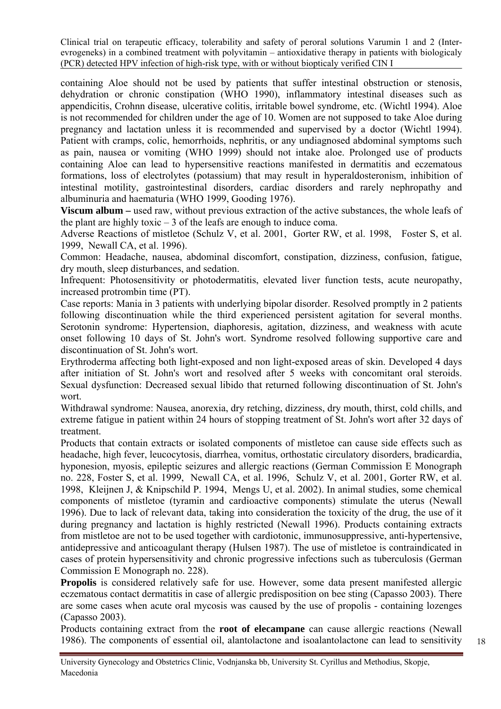containing Aloe should not be used by patients that suffer intestinal obstruction or stenosis, dehydration or chronic constipation (WHO 1990), inflammatory intestinal diseases such as appendicitis, Crohnn disease, ulcerative colitis, irritable bowel syndrome, etc. (Wichtl 1994). Aloe is not recommended for children under the age of 10. Women are not supposed to take Aloe during pregnancy and lactation unless it is recommended and supervised by a doctor (Wichtl 1994). Patient with cramps, colic, hemorrhoids, nephritis, or any undiagnosed abdominal symptoms such as pain, nausea or vomiting (WHO 1999) should not intake aloe. Prolonged use of products containing Aloe can lead to hypersensitive reactions manifested in dermatitis and eczematous formations, loss of electrolytes (potassium) that may result in hyperaldosteronism, inhibition of intestinal motility, gastrointestinal disorders, cardiac disorders and rarely nephropathy and albuminuria and haematuria (WHO 1999, Gooding 1976).

**Viscum album –** used raw, without previous extraction of the active substances, the whole leafs of the plant are highly toxic  $-3$  of the leafs are enough to induce coma.

Adverse Reactions of mistletoe (Schulz V, et al. 2001, Gorter RW, et al. 1998, Foster S, et al. 1999, Newall CA, et al. 1996).

Common: Headache, nausea, abdominal discomfort, constipation, dizziness, confusion, fatigue, dry mouth, sleep disturbances, and sedation.

Infrequent: Photosensitivity or photodermatitis, elevated liver function tests, acute neuropathy, increased protrombin time (PT).

Case reports: Mania in 3 patients with underlying bipolar disorder. Resolved promptly in 2 patients following discontinuation while the third experienced persistent agitation for several months. Serotonin syndrome: Hypertension, diaphoresis, agitation, dizziness, and weakness with acute onset following 10 days of St. John's wort. Syndrome resolved following supportive care and discontinuation of St. John's wort.

Erythroderma affecting both light-exposed and non light-exposed areas of skin. Developed 4 days after initiation of St. John's wort and resolved after 5 weeks with concomitant oral steroids. Sexual dysfunction: Decreased sexual libido that returned following discontinuation of St. John's wort.

Withdrawal syndrome: Nausea, anorexia, dry retching, dizziness, dry mouth, thirst, cold chills, and extreme fatigue in patient within 24 hours of stopping treatment of St. John's wort after 32 days of treatment.

Products that contain extracts or isolated components of mistletoe can cause side effects such as headache, high fever, leucocytosis, diarrhea, vomitus, orthostatic circulatory disorders, bradicardia, hyponesion, myosis, epileptic seizures and allergic reactions (German Commission E Monograph no. 228, Foster S, et al. 1999, Newall CA, et al. 1996, Schulz V, et al. 2001, Gorter RW, et al. 1998, Kleijnen J, & Knipschild P. 1994, Mengs U, et al. 2002). In animal studies, some chemical components of mistletoe (tyramin and cardioactive components) stimulate the uterus (Newall 1996). Due to lack of relevant data, taking into consideration the toxicity of the drug, the use of it during pregnancy and lactation is highly restricted (Newall 1996). Products containing extracts from mistletoe are not to be used together with cardiotonic, immunosuppressive, anti-hypertensive, antidepressive and anticoagulant therapy (Hulsen 1987). The use of mistletoe is contraindicated in cases of protein hypersensitivity and chronic progressive infections such as tuberculosis (German Commission E Monograph no. 228).

**Propolis** is considered relatively safe for use. However, some data present manifested allergic eczematous contact dermatitis in case of allergic predisposition on bee sting (Capasso 2003). There are some cases when acute oral mycosis was caused by the use of propolis - containing lozenges (Capasso 2003).

Products containing extract from the **root of elecampane** can cause allergic reactions (Newall 1986). The components of essential oil, alantolactone and isoalantolactone can lead to sensitivity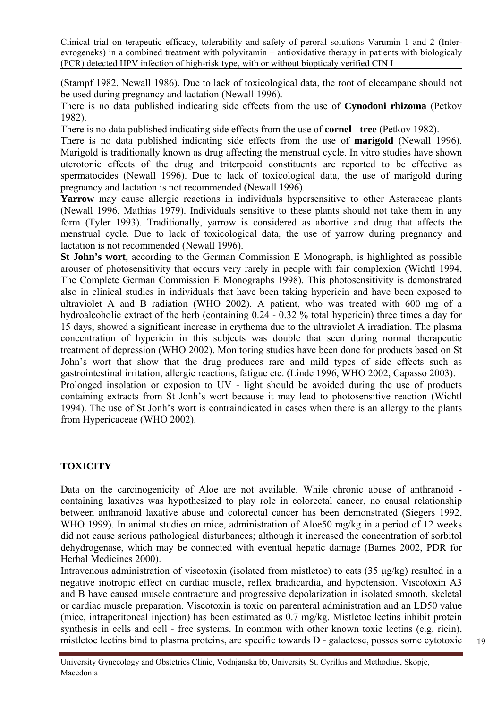(Stampf 1982, Newall 1986). Due to lack of toxicological data, the root of elecampane should not be used during pregnancy and lactation (Newall 1996).

There is no data published indicating side effects from the use of **Cynodoni rhizoma** (Petkov 1982).

There is no data published indicating side effects from the use of **cornel - tree** (Petkov 1982).

There is no data published indicating side effects from the use of **marigold** (Newall 1996). Marigold is traditionally known as drug affecting the menstrual cycle. In vitro studies have shown uterotonic effects of the drug and triterpeoid constituents are reported to be effective as spermatocides (Newall 1996). Due to lack of toxicological data, the use of marigold during pregnancy and lactation is not recommended (Newall 1996).

**Yarrow** may cause allergic reactions in individuals hypersensitive to other Asteraceae plants (Newall 1996, Mathias 1979). Individuals sensitive to these plants should not take them in any form (Tyler 1993). Traditionally, yarrow is considered as abortive and drug that affects the menstrual cycle. Due to lack of toxicological data, the use of yarrow during pregnancy and lactation is not recommended (Newall 1996).

**St John's wort**, according to the German Commission E Monograph, is highlighted as possible arouser of photosensitivity that occurs very rarely in people with fair complexion (Wichtl 1994, The Complete German Commission E Monographs 1998). This photosensitivity is demonstrated also in clinical studies in individuals that have been taking hypericin and have been exposed to ultraviolet A and B radiation (WHO 2002). A patient, who was treated with 600 mg of a hydroalcoholic extract of the herb (containing 0.24 - 0.32 % total hypericin) three times a day for 15 days, showed a significant increase in erythema due to the ultraviolet A irradiation. The plasma concentration of hypericin in this subjects was double that seen during normal therapeutic treatment of depression (WHO 2002). Monitoring studies have been done for products based on St John's wort that show that the drug produces rare and mild types of side effects such as gastrointestinal irritation, allergic reactions, fatigue etc. (Linde 1996, WHO 2002, Capasso 2003). Prolonged insolation or exposion to UV - light should be avoided during the use of products

containing extracts from St Jonh's wort because it may lead to photosensitive reaction (Wichtl 1994). The use of St Jonh's wort is contraindicated in cases when there is an allergy to the plants from Hypericaceae (WHO 2002).

# **TOXICITY**

Data on the carcinogenicity of Aloe are not available. While chronic abuse of anthranoid containing laxatives was hypothesized to play role in colorectal cancer, no causal relationship between anthranoid laxative abuse and colorectal cancer has been demonstrated (Siegers 1992, WHO 1999). In animal studies on mice, administration of Aloe50 mg/kg in a period of 12 weeks did not cause serious pathological disturbances; although it increased the concentration of sorbitol dehydrogenase, which may be connected with eventual hepatic damage (Barnes 2002, PDR for Herbal Medicines 2000).

Intravenous administration of viscotoxin (isolated from mistletoe) to cats (35 μg/kg) resulted in a negative inotropic effect on cardiac muscle, reflex bradicardia, and hypotension. Viscotoxin A3 and B have caused muscle contracture and progressive depolarization in isolated smooth, skeletal or cardiac muscle preparation. Viscotoxin is toxic on parenteral administration and an LD50 value (mice, intraperitoneal injection) has been estimated as 0.7 mg/kg. Mistletoe lectins inhibit protein synthesis in cells and cell - free systems. In common with other known toxic lectins (e.g. ricin), mistletoe lectins bind to plasma proteins, are specific towards D - galactose, posses some cytotoxic

University Gynecology and Obstetrics Clinic, Vodnjanska bb, University St. Cyrillus and Methodius, Skopje, Macedonia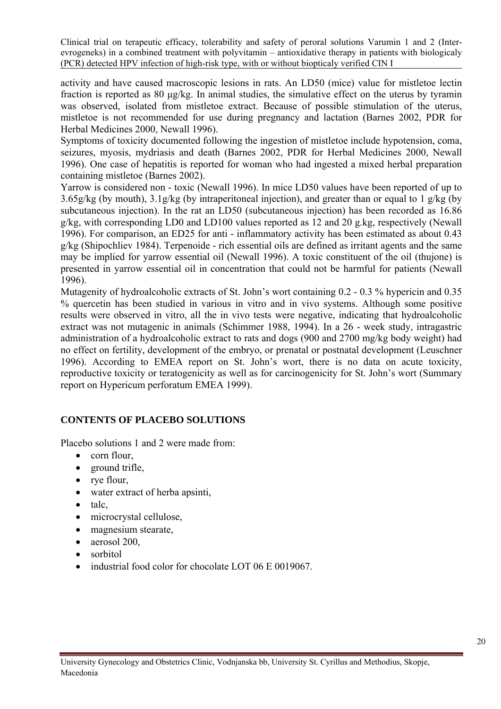activity and have caused macroscopic lesions in rats. An LD50 (mice) value for mistletoe lectin fraction is reported as 80 μg/kg. In animal studies, the simulative effect on the uterus by tyramin was observed, isolated from mistletoe extract. Because of possible stimulation of the uterus, mistletoe is not recommended for use during pregnancy and lactation (Barnes 2002, PDR for Herbal Medicines 2000, Newall 1996).

Symptoms of toxicity documented following the ingestion of mistletoe include hypotension, coma, seizures, myosis, mydriasis and death (Barnes 2002, PDR for Herbal Medicines 2000, Newall 1996). One case of hepatitis is reported for woman who had ingested a mixed herbal preparation containing mistletoe (Barnes 2002).

Yarrow is considered non - toxic (Newall 1996). In mice LD50 values have been reported of up to 3.65g/kg (by mouth), 3.1g/kg (by intraperitoneal injection), and greater than or equal to 1 g/kg (by subcutaneous injection). In the rat an LD50 (subcutaneous injection) has been recorded as 16.86 g/kg, with corresponding LD0 and LD100 values reported as 12 and 20 g.kg, respectively (Newall 1996). For comparison, an ED25 for anti - inflammatory activity has been estimated as about 0.43 g/kg (Shipochliev 1984). Terpenoide - rich essential oils are defined as irritant agents and the same may be implied for yarrow essential oil (Newall 1996). A toxic constituent of the oil (thujone) is presented in yarrow essential oil in concentration that could not be harmful for patients (Newall 1996).

Mutagenity of hydroalcoholic extracts of St. John's wort containing 0.2 - 0.3 % hypericin and 0.35 % quercetin has been studied in various in vitro and in vivo systems. Although some positive results were observed in vitro, all the in vivo tests were negative, indicating that hydroalcoholic extract was not mutagenic in animals (Schimmer 1988, 1994). In a 26 - week study, intragastric administration of a hydroalcoholic extract to rats and dogs (900 and 2700 mg/kg body weight) had no effect on fertility, development of the embryo, or prenatal or postnatal development (Leuschner 1996). According to EMEA report on St. John's wort, there is no data on acute toxicity, reproductive toxicity or teratogenicity as well as for carcinogenicity for St. John's wort (Summary report on Hypericum perforatum EMEA 1999).

# **CONTENTS OF PLACEBO SOLUTIONS**

Placebo solutions 1 and 2 were made from:

- corn flour,
- ground trifle,
- rye flour,
- water extract of herba apsinti,
- talc,
- microcrystal cellulose,
- magnesium stearate,
- aerosol 200.
- sorbitol
- industrial food color for chocolate LOT 06 E 0019067.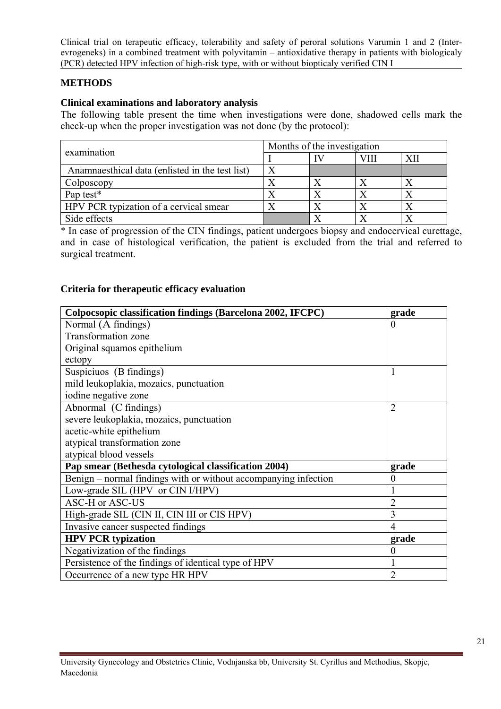# **METHODS**

#### **Clinical examinations and laboratory analysis**

The following table present the time when investigations were done, shadowed cells mark the check-up when the proper investigation was not done (by the protocol):

| examination                                     | Months of the investigation |  |      |    |  |  |
|-------------------------------------------------|-----------------------------|--|------|----|--|--|
|                                                 |                             |  | VIII | XП |  |  |
| Anamnaesthical data (enlisted in the test list) |                             |  |      |    |  |  |
| Colposcopy                                      |                             |  |      |    |  |  |
| Pap test*                                       |                             |  |      |    |  |  |
| HPV PCR typization of a cervical smear          |                             |  |      |    |  |  |
| Side effects                                    |                             |  |      |    |  |  |

\* In case of progression of the CIN findings, patient undergoes biopsy and endocervical curettage, and in case of histological verification, the patient is excluded from the trial and referred to surgical treatment.

#### **Criteria for therapeutic efficacy evaluation**

| Colpocsopic classification findings (Barcelona 2002, IFCPC)     | grade            |
|-----------------------------------------------------------------|------------------|
| Normal (A findings)                                             | $\theta$         |
| <b>Transformation zone</b>                                      |                  |
| Original squamos epithelium                                     |                  |
| ectopy                                                          |                  |
| Suspiciuos (B findings)                                         | 1                |
| mild leukoplakia, mozaics, punctuation                          |                  |
| iodine negative zone                                            |                  |
| Abnormal (C findings)                                           | $\overline{2}$   |
| severe leukoplakia, mozaics, punctuation                        |                  |
| acetic-white epithelium                                         |                  |
| atypical transformation zone                                    |                  |
| atypical blood vessels                                          |                  |
| Pap smear (Bethesda cytological classification 2004)            | grade            |
| Benign - normal findings with or without accompanying infection | $\boldsymbol{0}$ |
| Low-grade SIL (HPV or CIN I/HPV)                                | $\mathbf{1}$     |
| <b>ASC-H or ASC-US</b>                                          | $\overline{2}$   |
| High-grade SIL (CIN II, CIN III or CIS HPV)                     | 3                |
| Invasive cancer suspected findings                              | $\overline{4}$   |
| <b>HPV PCR typization</b>                                       | grade            |
| Negativization of the findings                                  | $\boldsymbol{0}$ |
| Persistence of the findings of identical type of HPV            | $\mathbf{1}$     |
| Occurrence of a new type HR HPV                                 | $\overline{2}$   |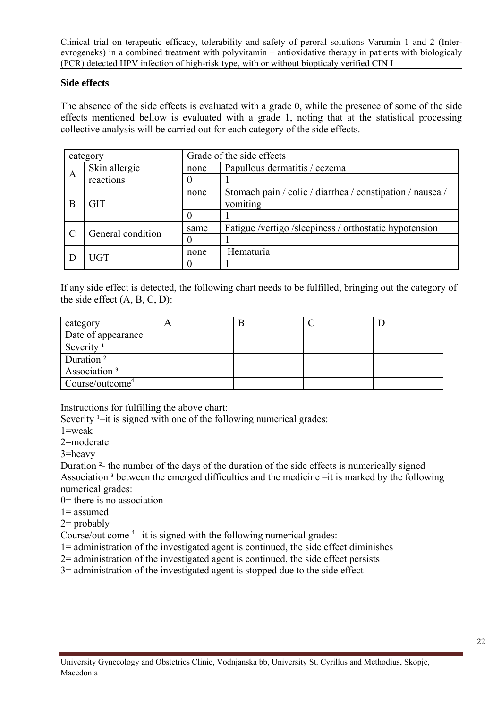#### **Side effects**

The absence of the side effects is evaluated with a grade 0, while the presence of some of the side effects mentioned bellow is evaluated with a grade 1, noting that at the statistical processing collective analysis will be carried out for each category of the side effects.

|   | category          |      | Grade of the side effects                                 |
|---|-------------------|------|-----------------------------------------------------------|
|   | Skin allergic     | none | Papullous dermatitis / eczema                             |
| A | reactions         |      |                                                           |
|   |                   | none | Stomach pain / colic / diarrhea / constipation / nausea / |
| B | <b>GIT</b>        |      | vomiting                                                  |
|   |                   |      |                                                           |
|   |                   | same | Fatigue /vertigo /sleepiness / orthostatic hypotension    |
|   | General condition | 0    |                                                           |
|   | <b>UGT</b>        | none | Hematuria                                                 |
|   |                   |      |                                                           |

If any side effect is detected, the following chart needs to be fulfilled, bringing out the category of the side effect  $(A, B, C, D)$ :

| category                           | n |  |  |
|------------------------------------|---|--|--|
| Date of appearance                 |   |  |  |
| Severity <sup><math>1</math></sup> |   |  |  |
| Duration <sup>2</sup>              |   |  |  |
| Association <sup>3</sup>           |   |  |  |
| Course/outcome <sup>4</sup>        |   |  |  |

Instructions for fulfilling the above chart:

Severity  $\frac{1}{x}$ –it is signed with one of the following numerical grades:

1=weak

2=moderate

3=heavy

Duration ²- the number of the days of the duration of the side effects is numerically signed Association<sup>3</sup> between the emerged difficulties and the medicine –it is marked by the following numerical grades:

0= there is no association

1= assumed

 $2=$  probably

Course/out come <sup>4</sup> - it is signed with the following numerical grades:

1= administration of the investigated agent is continued, the side effect diminishes

- 2= administration of the investigated agent is continued, the side effect persists
- 3= administration of the investigated agent is stopped due to the side effect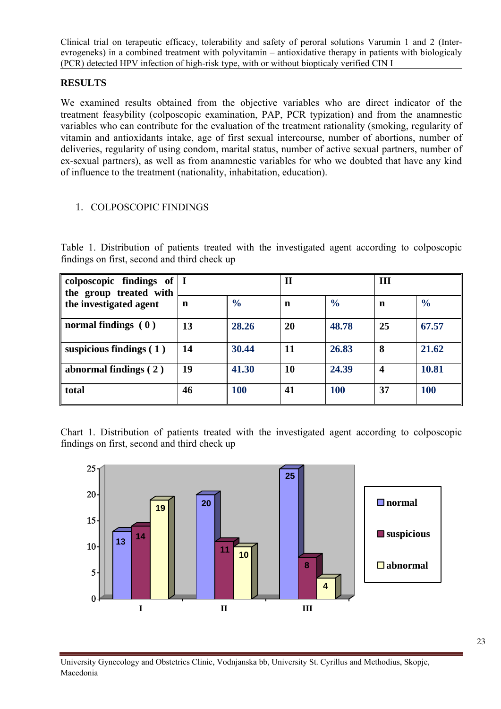# **RESULTS**

We examined results obtained from the objective variables who are direct indicator of the treatment feasybility (colposcopic examination, PAP, PCR typization) and from the anamnestic variables who can contribute for the evaluation of the treatment rationality (smoking, regularity of vitamin and antioxidants intake, age of first sexual intercourse, number of abortions, number of deliveries, regularity of using condom, marital status, number of active sexual partners, number of ex-sexual partners), as well as from anamnestic variables for who we doubted that have any kind of influence to the treatment (nationality, inhabitation, education).

#### 1. COLPOSCOPIC FINDINGS

Table 1. Distribution of patients treated with the investigated agent according to colposcopic findings on first, second and third check up

| colposcopic findings of $ I $<br>the group treated with |    |               | $\mathbf{I}$ |               | Ш                |               |  |
|---------------------------------------------------------|----|---------------|--------------|---------------|------------------|---------------|--|
| the investigated agent                                  | n  | $\frac{6}{6}$ | n            | $\frac{6}{6}$ | n                | $\frac{6}{6}$ |  |
| normal findings $(0)$                                   | 13 | 28.26         | 20           | 48.78         | 25               | 67.57         |  |
| suspicious findings $(1)$                               | 14 | 30.44         | 11           | 26.83         | 8                | 21.62         |  |
| abnormal findings $(2)$                                 | 19 | 41.30         | 10           | 24.39         | $\boldsymbol{4}$ | 10.81         |  |
| total                                                   | 46 | 100           | 41           | 100           | 37               | <b>100</b>    |  |

Chart 1. Distribution of patients treated with the investigated agent according to colposcopic findings on first, second and third check up

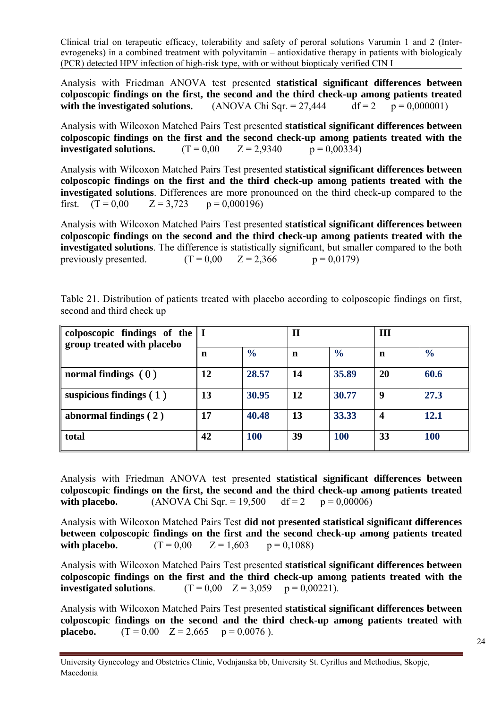Analysis with Friedman ANOVA test presented **statistical significant differences between colposcopic findings on the first, the second and the third check-up among patients treated**  with the investigated solutions.  $(ANOVA Chi Sqr. = 27,444$  df = 2 p = 0,000001)

Analysis with Wilcoxon Matched Pairs Test presented **statistical significant differences between colposcopic findings on the first and the second check-up among patients treated with the investigated solutions.**  $(T = 0.00 \quad Z = 2.9340 \quad p = 0.00334)$ 

Analysis with Wilcoxon Matched Pairs Test presented **statistical significant differences between colposcopic findings on the first and the third check-up among patients treated with the investigated solutions**. Differences are more pronounced on the third check-up compared to the first.  $(T = 0.00$   $Z = 3.723$   $p = 0.000196$ 

Analysis with Wilcoxon Matched Pairs Test presented **statistical significant differences between colposcopic findings on the second and the third check-up among patients treated with the investigated solutions**. The difference is statistically significant, but smaller compared to the both previously presented.  $(T = 0.00 \quad Z = 2.366 \quad p = 0.0179)$ 

| colposcopic findings of the<br>group treated with placebo |    |               | $\mathbf H$ |               | III              |               |  |
|-----------------------------------------------------------|----|---------------|-------------|---------------|------------------|---------------|--|
|                                                           | n  | $\frac{6}{6}$ | n           | $\frac{6}{6}$ | n                | $\frac{6}{6}$ |  |
| normal findings $(0)$                                     | 12 | 28.57         | 14          | 35.89         | 20               | 60.6          |  |
| suspicious findings $(1)$                                 | 13 | 30.95         | 12          | 30.77         | 9                | 27.3          |  |
| abnormal findings $(2)$                                   | 17 | 40.48         | 13          | 33.33         | $\boldsymbol{4}$ | 12.1          |  |
| total                                                     | 42 | 100           | 39          | <b>100</b>    | 33               | 100           |  |

Table 21. Distribution of patients treated with placebo according to colposcopic findings on first, second and third check up

Analysis with Friedman ANOVA test presented **statistical significant differences between colposcopic findings on the first, the second and the third check-up among patients treated with placebo.** (ANOVA Chi Sqr. =  $19,500$  df = 2 p = 0,00006)

Analysis with Wilcoxon Matched Pairs Test **did not presented statistical significant differences between colposcopic findings on the first and the second check-up among patients treated with placebo.**  $(T = 0.00 \quad Z = 1.603 \quad p = 0.1088)$ 

Analysis with Wilcoxon Matched Pairs Test presented **statistical significant differences between colposcopic findings on the first and the third check-up among patients treated with the investigated solutions**. (T =  $0.00$  Z =  $3.059$  p =  $0.00221$ ).

Analysis with Wilcoxon Matched Pairs Test presented **statistical significant differences between colposcopic findings on the second and the third check-up among patients treated with placebo.**  $(T = 0.00 \quad Z = 2.665 \quad p = 0.0076$ ).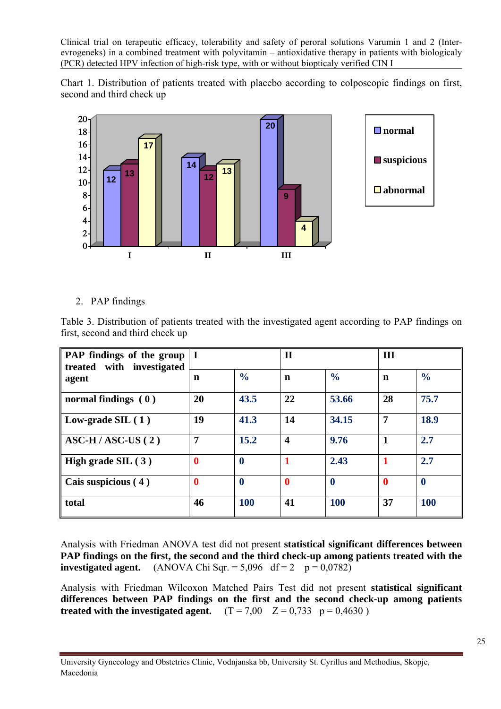Chart 1. Distribution of patients treated with placebo according to colposcopic findings on first, second and third check up



#### 2. PAP findings

Table 3. Distribution of patients treated with the investigated agent according to PAP findings on first, second and third check up

| PAP findings of the group<br>treated with investigated | $\blacksquare$   |               | $\mathbf{I}$            |                  | III          |                  |
|--------------------------------------------------------|------------------|---------------|-------------------------|------------------|--------------|------------------|
| agent                                                  | n                | $\frac{6}{6}$ | n                       | $\frac{0}{0}$    | n            | $\frac{0}{0}$    |
| normal findings $(0)$                                  | 20               | 43.5          | 22                      | 53.66            | 28           | 75.7             |
| Low-grade $SL(1)$                                      | 19               | 41.3          | 14                      | 34.15            | 7            | 18.9             |
| $\overline{\text{ASC-H}}$ / ASC-US (2)                 | 7                | 15.2          | $\overline{\mathbf{4}}$ | 9.76             | $\mathbf{1}$ | 2.7              |
| High grade $SL(3)$                                     | $\boldsymbol{0}$ | $\mathbf 0$   |                         | 2.43             | 1            | 2.7              |
| Cais suspicious (4)                                    | $\boldsymbol{0}$ | $\bf{0}$      | $\boldsymbol{0}$        | $\boldsymbol{0}$ | $\bf{0}$     | $\boldsymbol{0}$ |
| total                                                  | 46               | <b>100</b>    | 41                      | <b>100</b>       | 37           | <b>100</b>       |

Analysis with Friedman ANOVA test did not present **statistical significant differences between PAP findings on the first, the second and the third check-up among patients treated with the investigated agent.** (ANOVA Chi Sqr.  $= 5,096$  df  $= 2$  p  $= 0,0782$ )

Analysis with Friedman Wilcoxon Matched Pairs Test did not present **statistical significant differences between PAP findings on the first and the second check-up among patients treated with the investigated agent.**  $(T = 7.00 \quad Z = 0.733 \quad p = 0.4630)$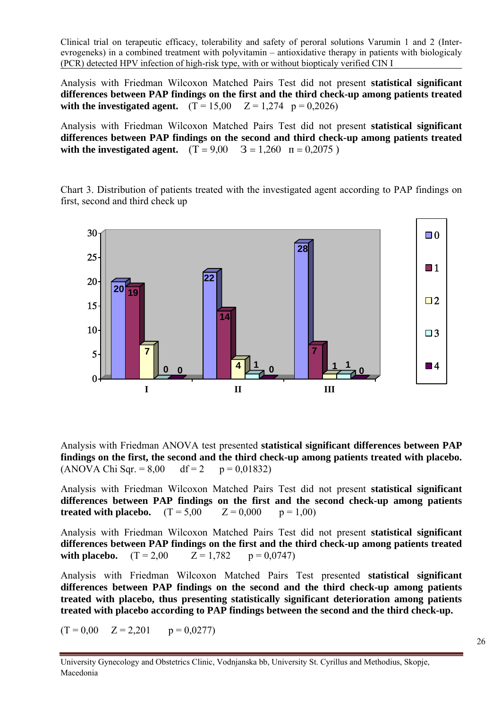Analysis with Friedman Wilcoxon Matched Pairs Test did not present **statistical significant differences between PAP findings on the first and the third check-up among patients treated with the investigated agent.**  $(T = 15,00 \quad Z = 1,274 \quad p = 0,2026)$ 

Analysis with Friedman Wilcoxon Matched Pairs Test did not present **statistical significant differences between PAP findings on the second and third check-up among patients treated**  with the investigated agent.  $(T = 9.00 \quad 3 = 1.260 \quad n = 0.2075)$ 

Chart 3. Distribution of patients treated with the investigated agent according to PAP findings on first, second and third check up



Analysis with Friedman ANOVA test presented **statistical significant differences between PAP findings on the first, the second and the third check-up among patients treated with placebo.**  $(ANOVA Chi Sgr. = 8.00 \text{ df} = 2 \text{ p} = 0.01832)$ 

Analysis with Friedman Wilcoxon Matched Pairs Test did not present **statistical significant differences between PAP findings on the first and the second check-up among patients treated with placebo.**  $(T = 5.00$   $Z = 0.000$   $p = 1.00$ 

Analysis with Friedman Wilcoxon Matched Pairs Test did not present **statistical significant differences between PAP findings on the first and the third check-up among patients treated**  with placebo.  $(T = 2.00$   $Z = 1.782$   $p = 0.0747$ 

Analysis with Friedman Wilcoxon Matched Pairs Test presented **statistical significant differences between PAP findings on the second and the third check-up among patients treated with placebo, thus presenting statistically significant deterioration among patients treated with placebo according to PAP findings between the second and the third check-up.**

 $(T = 0.00 \quad Z = 2.201 \quad p = 0.0277)$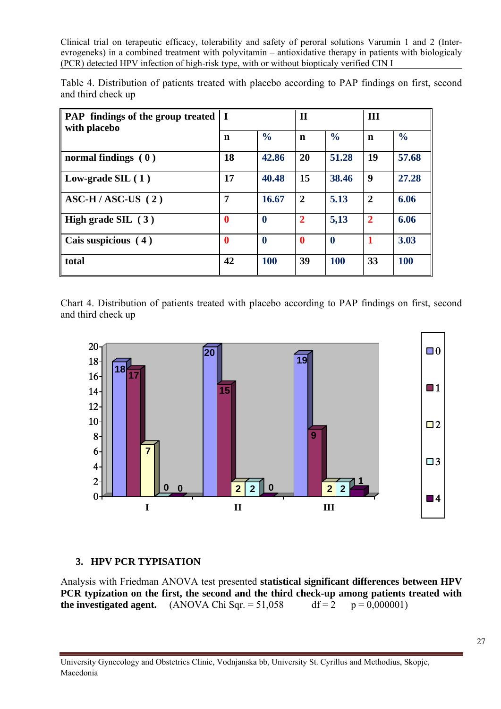| Table 4. Distribution of patients treated with placebo according to PAP findings on first, second |  |  |  |  |  |
|---------------------------------------------------------------------------------------------------|--|--|--|--|--|
| and third check up                                                                                |  |  |  |  |  |

| <b>PAP</b> findings of the group treated<br>with placebo | $\bf I$     |               | $\mathbf{I}$   |               | III            |               |  |
|----------------------------------------------------------|-------------|---------------|----------------|---------------|----------------|---------------|--|
|                                                          | n           | $\frac{1}{2}$ | n              | $\frac{6}{6}$ | n              | $\frac{6}{6}$ |  |
| normal findings $(0)$                                    | 18          | 42.86         | 20             | 51.28         | 19             | 57.68         |  |
| Low-grade $SL(1)$                                        | 17          | 40.48         | 15             | 38.46         | 9              | 27.28         |  |
| $\overline{\text{ASC-H}}$ / ASC-US (2)                   | 7           | 16.67         | $\overline{2}$ | 5.13          | $\overline{2}$ | 6.06          |  |
| High grade SIL $(3)$                                     | $\mathbf 0$ | $\bf{0}$      | $\mathbf{2}$   | 5,13          | $\overline{2}$ | 6.06          |  |
| Cais suspicious (4)                                      | $\bf{0}$    | $\bf{0}$      | $\mathbf 0$    | $\bf{0}$      | 1              | 3.03          |  |
| total                                                    | 42          | <b>100</b>    | 39             | <b>100</b>    | 33             | <b>100</b>    |  |

Chart 4. Distribution of patients treated with placebo according to PAP findings on first, second and third check up



# **3. HPV PCR TYPISATION**

Analysis with Friedman ANOVA test presented **statistical significant differences between HPV PCR typization on the first, the second and the third check-up among patients treated with the investigated agent.** (ANOVA Chi Sqr.  $= 51.058$  df  $= 2$  p  $= 0.000001$ )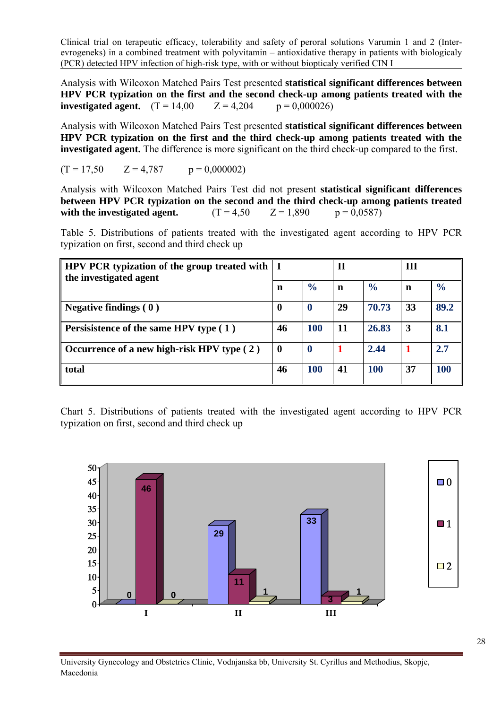Analysis with Wilcoxon Matched Pairs Test presented **statistical significant differences between HPV PCR typization on the first and the second check-up among patients treated with the investigated agent.**  $(T = 14,00$   $Z = 4,204$   $p = 0,000026)$ 

Analysis with Wilcoxon Matched Pairs Test presented **statistical significant differences between HPV PCR typization on the first and the third check-up among patients treated with the investigated agent.** The difference is more significant on the third check-up compared to the first.

$$
(T = 17,50 \t Z = 4,787 \t p = 0,000002)
$$

Analysis with Wilcoxon Matched Pairs Test did not present **statistical significant differences between HPV PCR typization on the second and the third check-up among patients treated with the investigated agent.**  $(T = 4.50 \quad Z = 1,890 \quad p = 0.0587)$ 

Table 5. Distributions of patients treated with the investigated agent according to HPV PCR typization on first, second and third check up

| HPV PCR typization of the group treated with   I<br>the investigated agent |          |                  | II |               | Ш  |               |
|----------------------------------------------------------------------------|----------|------------------|----|---------------|----|---------------|
|                                                                            | n        | $\frac{6}{6}$    | n  | $\frac{6}{9}$ | n  | $\frac{6}{6}$ |
| Negative findings $(0)$                                                    | $\bf{0}$ | $\boldsymbol{0}$ | 29 | 70.73         | 33 | 89.2          |
| <b>Persisistence of the same HPV type (1)</b>                              | 46       | 100              | 11 | 26.83         | 3  | 8.1           |
| Occurrence of a new high-risk HPV type $(2)$                               | $\bf{0}$ | $\bf{0}$         |    | 2.44          |    | 2.7           |
| total                                                                      | 46       | <b>100</b>       | 41 | <b>100</b>    | 37 | 100           |

Chart 5. Distributions of patients treated with the investigated agent according to HPV PCR typization on first, second and third check up

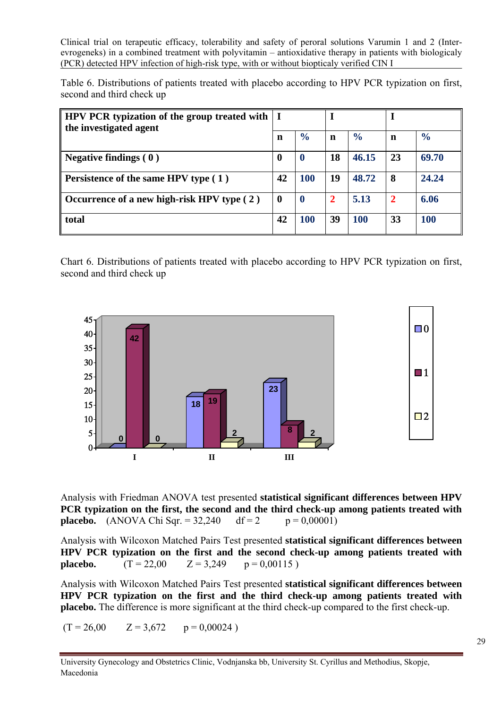Table 6. Distributions of patients treated with placebo according to HPV PCR typization on first, second and third check up

| <b>HPV PCR</b> typization of the group treated with   I<br>the investigated agent |          |               |    |               |    |               |  |
|-----------------------------------------------------------------------------------|----------|---------------|----|---------------|----|---------------|--|
|                                                                                   |          | $\frac{6}{6}$ | n  | $\frac{0}{0}$ | n  | $\frac{0}{0}$ |  |
| Negative findings $(0)$                                                           | 0        | O             | 18 | 46.15         | 23 | 69.70         |  |
| <b>Persistence of the same HPV type (1)</b>                                       | 42       | <b>100</b>    | 19 | 48.72         | 8  | 24.24         |  |
| Occurrence of a new high-risk HPV type $(2)$                                      | $\bf{0}$ | $\mathbf 0$   | 2  | 5.13          | 2  | 6.06          |  |
| total                                                                             | 42       | 100           | 39 | 100           | 33 | <b>100</b>    |  |

Chart 6. Distributions of patients treated with placebo according to HPV PCR typization on first, second and third check up



PCR typization on the first, the second and the third check-up among patients treated with **placebo.** (ANOVA Chi Sqr. =  $32,240$  df = 2 p =  $0,00001$ ) Analysis with Friedman ANOVA test presented **statistical significant differences between HPV** 

HPV PCR typization on the first and the second check-up among patients treated with **placebo.**  $(T = 22,00$   $Z = 3,249$   $p = 0,00115$ Analysis with Wilcoxon Matched Pairs Test presented **statistical significant differences between** 

HPV PCR typization on the first and the third check-up among patients treated with **placebo.** The difference is more significant at the third check-up compared to the first check-up. Analysis with Wilcoxon Matched Pairs Test presented **statistical significant differences between** 

 $(T = 26,00$   $Z = 3,672$   $p = 0,00024$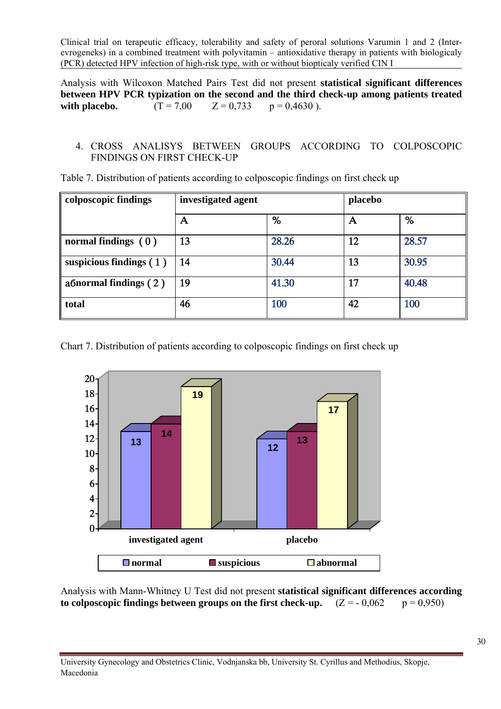Analysis with Wilcoxon Matched Pairs Test did not present **statistical significant differences between HPV PCR typization on the second and the third check-up among patients treated**  with placebo.  $(T = 7.00 \t Z = 0.733 \t p = 0.4630)$ .

#### 4. CROSS ANALISYS BETWEEN GROUPS ACCORDING TO COLPOSCOPIC FINDINGS ON FIRST CHECK-UP

| colposcopic findings      | investigated agent |       | placebo |       |  |
|---------------------------|--------------------|-------|---------|-------|--|
|                           | A                  | %     | А       | %     |  |
| normal findings $(0)$     | 13                 | 28.26 | 12      | 28.57 |  |
| suspicious findings $(1)$ | 14                 | 30.44 | 13      | 30.95 |  |
| a formal findings $(2)$   | 19                 | 41.30 | 17      | 40.48 |  |
| total                     | 46                 | 100   | 42      | 100   |  |

Table 7. Distribution of patients according to colposcopic findings on first check up

Chart 7. Distribution of patients according to colposcopic findings on first check up



Analysis with Mann-Whitney U Test did not present **statistical significant differences according**  to colposcopic findings between groups on the first check-up.  $(Z = -0.062 p = 0.950)$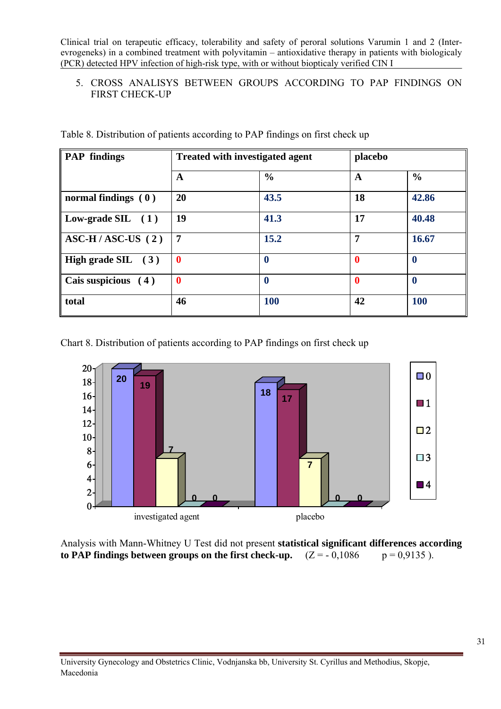# 5. CROSS ANALISYS BETWEEN GROUPS ACCORDING TO PAP FINDINGS ON FIRST CHECK-UP

| <b>PAP</b> findings                    |                | <b>Treated with investigated agent</b> |             | placebo       |  |  |
|----------------------------------------|----------------|----------------------------------------|-------------|---------------|--|--|
|                                        | A              | $\frac{0}{0}$                          | A           | $\frac{0}{0}$ |  |  |
| normal findings $(0)$                  | 20             | 43.5                                   | 18          | 42.86         |  |  |
| Low-grade SIL $(1)$                    | 19             | 41.3                                   | 17          | 40.48         |  |  |
| $\overline{\text{ASC-H}}$ / ASC-US (2) | $\overline{7}$ | 15.2                                   | 7           | 16.67         |  |  |
| High grade SIL $(3)$                   | $\mathbf{0}$   | $\boldsymbol{0}$                       | $\mathbf 0$ | $\bf{0}$      |  |  |
| Cais suspicious (4)                    | $\bf{0}$       | $\bf{0}$                               | $\bf{0}$    | 0             |  |  |
| total                                  | 46             | <b>100</b>                             | 42          | 100           |  |  |

Table 8. Distribution of patients according to PAP findings on first check up

Chart 8. Distribution of patients according to PAP findings on first check up



Analysis with Mann-Whitney U Test did not present **statistical significant differences according to PAP findings between groups on the first check-up.**  $(Z = -0.1086$   $p = 0.9135$ ).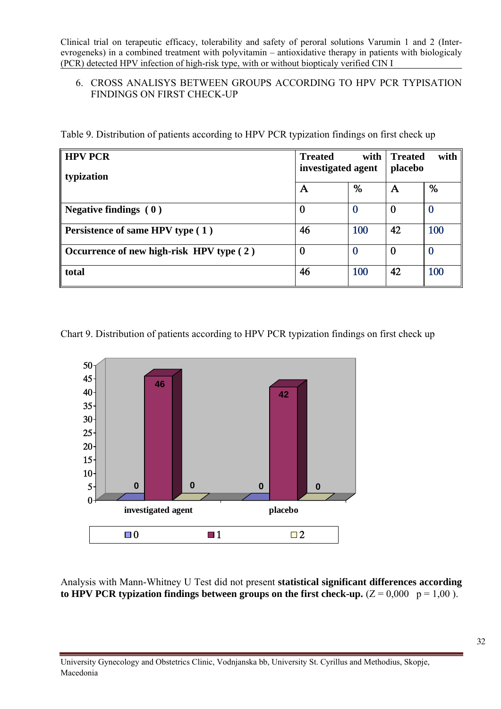# 6. CROSS ANALISYS BETWEEN GROUPS ACCORDING TO HPV PCR TYPISATION FINDINGS ON FIRST CHECK-UP

Table 9. Distribution of patients according to HPV PCR typization findings on first check up

| <b>HPV PCR</b>                                   | <b>Treated</b><br>investigated agent | with     | <b>Treated</b><br>placebo | with |
|--------------------------------------------------|--------------------------------------|----------|---------------------------|------|
| typization                                       |                                      |          |                           |      |
|                                                  | Α                                    | %        | A                         | %    |
| Negative findings $(0)$                          |                                      | 0        | 0                         |      |
| <b>Persistence of same HPV type (1)</b>          | 46                                   | 100      | 42                        | 100  |
| $\vert$ Occurrence of new high-risk HPV type (2) |                                      | $\bf{0}$ | $\bf{0}$                  |      |
| total                                            | 46                                   | 100      | 42                        | 100  |

Chart 9. Distribution of patients according to HPV PCR typization findings on first check up



Analysis with Mann-Whitney U Test did not present **statistical significant differences according**  to HPV PCR typization findings between groups on the first check-up.  $(Z = 0.000 \text{ p} = 1.00 \text{ m})$ .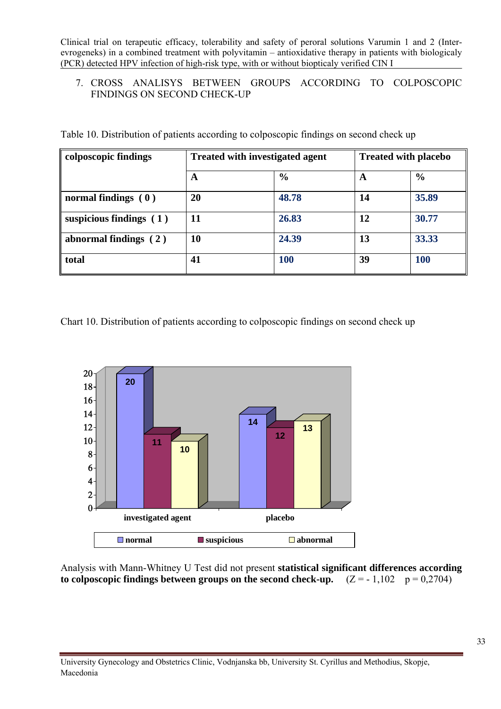# 7. CROSS ANALISYS BETWEEN GROUPS ACCORDING TO COLPOSCOPIC FINDINGS ON SECOND CHECK-UP

| colposcopic findings      | <b>Treated with investigated agent</b> |               | <b>Treated with placebo</b> |               |  |
|---------------------------|----------------------------------------|---------------|-----------------------------|---------------|--|
|                           | A                                      | $\frac{6}{9}$ | A                           | $\frac{6}{6}$ |  |
| normal findings $(0)$     | 20                                     | 48.78         | 14                          | 35.89         |  |
| suspicious findings $(1)$ | 11                                     | 26.83         | 12                          | 30.77         |  |
| abnormal findings $(2)$   | <b>10</b>                              | 24.39         | 13                          | 33.33         |  |
| total                     | 41                                     | <b>100</b>    | 39                          | <b>100</b>    |  |

Table 10. Distribution of patients according to colposcopic findings on second check up

Chart 10. Distribution of patients according to colposcopic findings on second check up



Analysis with Mann-Whitney U Test did not present **statistical significant differences according**  to colposcopic findings between groups on the second check-up.  $(Z = -1.102 p = 0.2704)$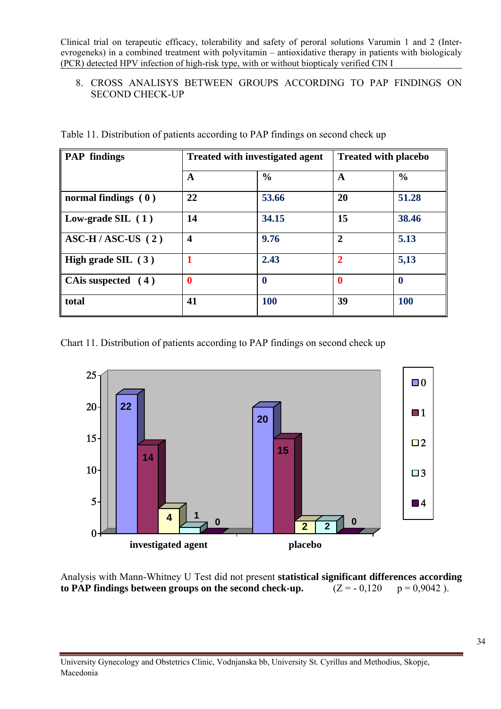# 8. CROSS ANALISYS BETWEEN GROUPS ACCORDING TO PAP FINDINGS ON SECOND CHECK-UP

| <b>PAP</b> findings                        |                  | <b>Treated with investigated agent</b> | <b>Treated with placebo</b> |               |  |
|--------------------------------------------|------------------|----------------------------------------|-----------------------------|---------------|--|
|                                            | A                | $\frac{0}{0}$                          | A                           | $\frac{6}{6}$ |  |
| normal findings $(0)$                      | 22               | 53.66                                  | 20                          | 51.28         |  |
| Low-grade SIL $(1)$                        | 14               | 34.15                                  | 15                          | 38.46         |  |
| $\overline{\text{ASC-H}}$ / ASC-US (2)     | $\boldsymbol{4}$ | 9.76                                   | $\mathbf{2}$                | 5.13          |  |
| High grade SIL (3)                         |                  | 2.43                                   | $\mathbf{2}$                | 5,13          |  |
| $\mathbf{\mathcal{C}}$ CA is suspected (4) |                  | $\boldsymbol{0}$                       | $\bf{0}$                    | $\bf{0}$      |  |
| total                                      | 41               | <b>100</b>                             | 39                          | <b>100</b>    |  |

Table 11. Distribution of patients according to PAP findings on second check up

Chart 11. Distribution of patients according to PAP findings on second check up



Analysis with Mann-Whitney U Test did not present **statistical significant differences according to PAP findings between groups on the second check-up.**  $(Z = -0.120 p = 0.9042)$ .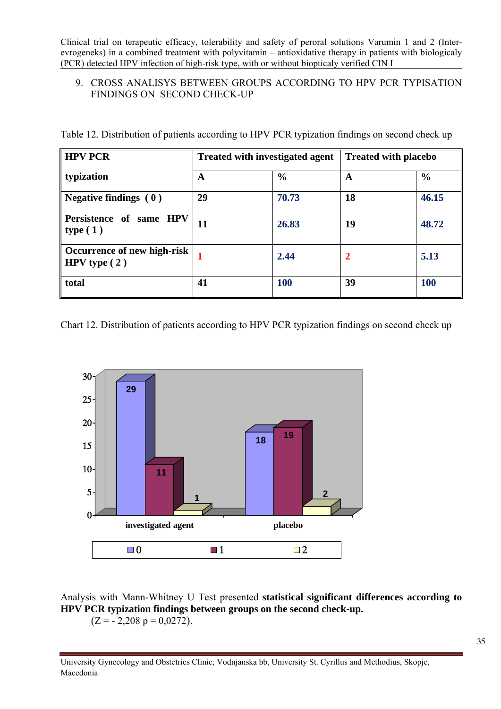# 9. CROSS ANALISYS BETWEEN GROUPS ACCORDING TO HPV PCR TYPISATION FINDINGS ON SECOND CHECK-UP

|  |  |  | Table 12. Distribution of patients according to HPV PCR typization findings on second check up |
|--|--|--|------------------------------------------------------------------------------------------------|
|  |  |  |                                                                                                |

| <b>HPV PCR</b>                                | <b>Treated with investigated agent</b> |               | <b>Treated with placebo</b> |               |  |
|-----------------------------------------------|----------------------------------------|---------------|-----------------------------|---------------|--|
| typization                                    | A                                      | $\frac{6}{9}$ | A                           | $\frac{6}{6}$ |  |
| Negative findings $(0)$                       | 29                                     | 70.73         | 18                          | 46.15         |  |
| Persistence of same HPV<br>type(1)            | 11                                     | 26.83         | 19                          | 48.72         |  |
| Occurrence of new high-risk<br>HPV type $(2)$ |                                        | 2.44          | $\mathbf{2}$                | 5.13          |  |
| total                                         | 41                                     | <b>100</b>    | 39                          | <b>100</b>    |  |

Chart 12. Distribution of patients according to HPV PCR typization findings on second check up



Analysis with Mann-Whitney U Test presented **statistical significant differences according to HPV PCR typization findings between groups on the second check-up.**   $(Z = -2,208 \text{ p} = 0,0272).$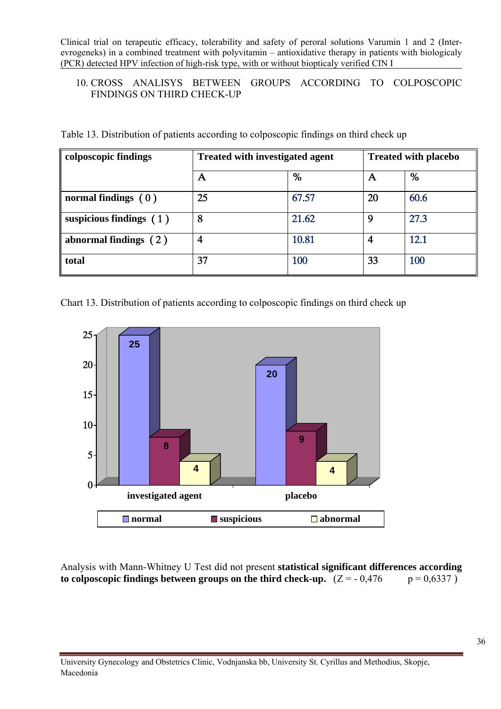# 10. CROSS ANALISYS BETWEEN GROUPS ACCORDING TO COLPOSCOPIC FINDINGS ON THIRD CHECK-UP

| Table 13. Distribution of patients according to colposcopic findings on third check up |  |  |  |
|----------------------------------------------------------------------------------------|--|--|--|
|                                                                                        |  |  |  |

| colposcopic findings      | <b>Treated with investigated agent</b> |       | <b>Treated with placebo</b> |      |
|---------------------------|----------------------------------------|-------|-----------------------------|------|
|                           | А                                      | %     | A                           | %    |
| normal findings $(0)$     | 25                                     | 67.57 | 20                          | 60.6 |
| suspicious findings $(1)$ | 8                                      | 21.62 | 9                           | 27.3 |
| abnormal findings $(2)$   |                                        | 10.81 | 4                           | 12.1 |
| total                     | 37                                     | 100   | 33                          | 100  |

Chart 13. Distribution of patients according to colposcopic findings on third check up



Analysis with Mann-Whitney U Test did not present **statistical significant differences according**  to colposcopic findings between groups on the third check-up.  $(Z = -0.476$  p = 0,6337)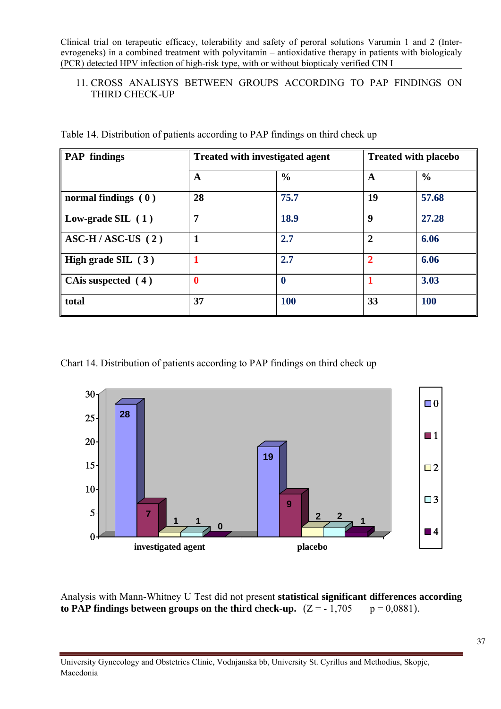# 11. CROSS ANALISYS BETWEEN GROUPS ACCORDING TO PAP FINDINGS ON THIRD CHECK-UP

| <b>PAP</b> findings                    |                  | <b>Treated with investigated agent</b> | <b>Treated with placebo</b> |               |  |
|----------------------------------------|------------------|----------------------------------------|-----------------------------|---------------|--|
|                                        | A                | $\frac{0}{0}$                          | $\mathbf A$                 | $\frac{0}{0}$ |  |
| normal findings $(0)$                  | 28               | 75.7                                   | 19                          | 57.68         |  |
| Low-grade SIL $(1)$                    | 7                | 18.9                                   | 9                           | 27.28         |  |
| $\overline{\text{ASC-H}}$ / ASC-US (2) | 1                | 2.7                                    | $\overline{2}$              | 6.06          |  |
| High grade SIL $(3)$                   | 1                | 2.7                                    | $\overline{2}$              | 6.06          |  |
| CA is suspected $(4)$                  | $\boldsymbol{0}$ | $\bf{0}$                               |                             | 3.03          |  |
| total                                  | 37               | <b>100</b>                             | 33                          | <b>100</b>    |  |

Table 14. Distribution of patients according to PAP findings on third check up

Chart 14. Distribution of patients according to PAP findings on third check up



Analysis with Mann-Whitney U Test did not present **statistical significant differences according**  to PAP findings between groups on the third check-up.  $(Z = -1.705 p = 0.0881)$ .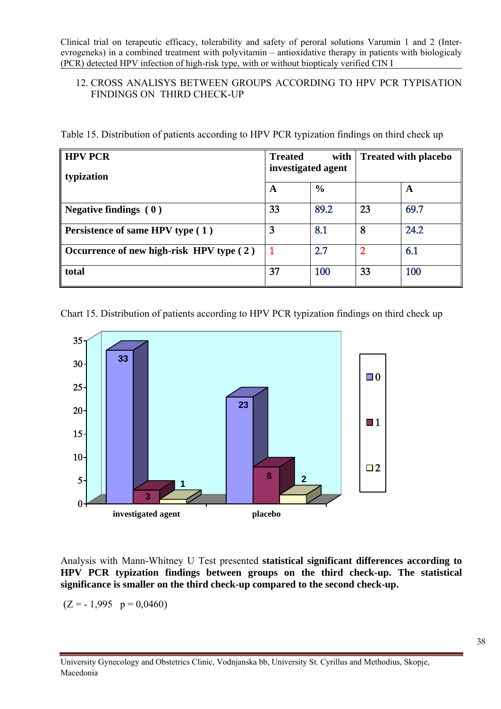# 12. CROSS ANALISYS BETWEEN GROUPS ACCORDING TO HPV PCR TYPISATION FINDINGS ON THIRD CHECK-UP

Table 15. Distribution of patients according to HPV PCR typization findings on third check up

| <b>HPV PCR</b><br>typization             | <b>Treated</b><br>with<br>investigated agent |               | <b>Treated with placebo</b> |      |
|------------------------------------------|----------------------------------------------|---------------|-----------------------------|------|
|                                          | A                                            | $\frac{6}{9}$ |                             | A    |
| Negative findings $(0)$                  | 33                                           | 89.2          | 23                          | 69.7 |
| <b>Persistence of same HPV type (1)</b>  | 3                                            | 8.1           | 8                           | 24.2 |
| Occurrence of new high-risk HPV type (2) |                                              | 2.7           | 2                           | 6.1  |
| total                                    | 37                                           | 100           | 33                          | 100  |

Chart 15. Distribution of patients according to HPV PCR typization findings on third check up



Analysis with Mann-Whitney U Test presented **statistical significant differences according to HPV PCR typization findings between groups on the third check-up. The statistical significance is smaller on the third check-up compared to the second check-up.**

 $(Z = -1.995 \text{ p} = 0.0460)$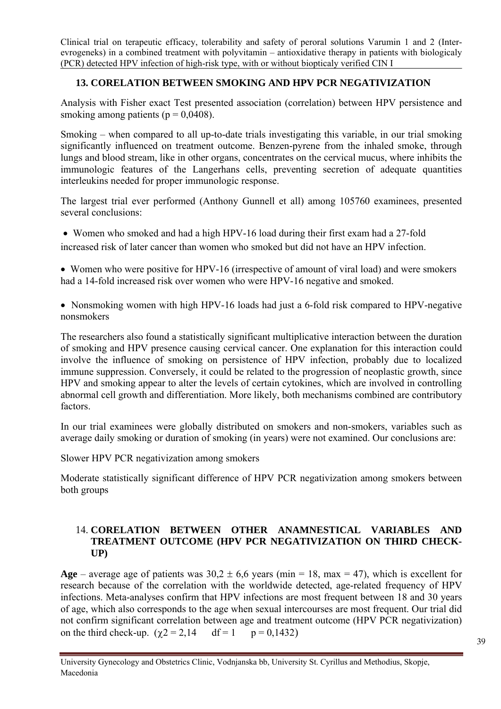# **13. CORELATION BETWEEN SMOKING AND HPV PCR NEGATIVIZATION**

Analysis with Fisher exact Test presented association (correlation) between HPV persistence and smoking among patients ( $p = 0.0408$ ).

Smoking – when compared to all up-to-date trials investigating this variable, in our trial smoking significantly influenced on treatment outcome. Benzen-pyrene from the inhaled smoke, through lungs and blood stream, like in other organs, concentrates on the cervical mucus, where inhibits the immunologic features of the Langerhans cells, preventing secretion of adequate quantities interleukins needed for proper immunologic response.

The largest trial ever performed (Anthony Gunnell et all) among 105760 examinees, presented several conclusions:

 • Women who smoked and had a high HPV-16 load during their first exam had a 27-fold increased risk of later cancer than women who smoked but did not have an HPV infection.

• Women who were positive for HPV-16 (irrespective of amount of viral load) and were smokers had a 14-fold increased risk over women who were HPV-16 negative and smoked.

• Nonsmoking women with high HPV-16 loads had just a 6-fold risk compared to HPV-negative nonsmokers

The researchers also found a statistically significant multiplicative interaction between the duration of smoking and HPV presence causing cervical cancer. One explanation for this interaction could involve the influence of smoking on persistence of HPV infection, probably due to localized immune suppression. Conversely, it could be related to the progression of neoplastic growth, since HPV and smoking appear to alter the levels of certain cytokines, which are involved in controlling abnormal cell growth and differentiation. More likely, both mechanisms combined are contributory factors.

In our trial examinees were globally distributed on smokers and non-smokers, variables such as average daily smoking or duration of smoking (in years) were not examined. Our conclusions are:

Slower HPV PCR negativization among smokers

Moderate statistically significant difference of HPV PCR negativization among smokers between both groups

# 14. **CORELATION BETWEEN OTHER ANAMNESTICAL VARIABLES AND TREATMENT OUTCOME (HPV PCR NEGATIVIZATION ON THIRD CHECK-UP)**

**Age** – average age of patients was  $30.2 \pm 6.6$  years (min = 18, max = 47), which is excellent for research because of the correlation with the worldwide detected, age-related frequency of HPV infections. Meta-analyses confirm that HPV infections are most frequent between 18 and 30 years of age, which also corresponds to the age when sexual intercourses are most frequent. Our trial did not confirm significant correlation between age and treatment outcome (HPV PCR negativization) on the third check-up.  $(\gamma 2 = 2.14$  df = 1 p = 0,1432)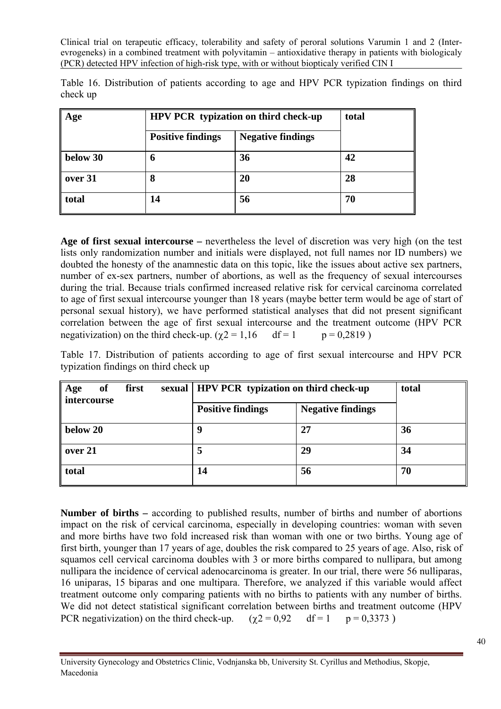|          | Table 16. Distribution of patients according to age and HPV PCR typization findings on third |  |  |  |  |  |  |
|----------|----------------------------------------------------------------------------------------------|--|--|--|--|--|--|
| check up |                                                                                              |  |  |  |  |  |  |

| Age             |                          | HPV PCR typization on third check-up | total |  |  |
|-----------------|--------------------------|--------------------------------------|-------|--|--|
|                 | <b>Positive findings</b> | <b>Negative findings</b>             |       |  |  |
| below $30$      | 6                        | 36                                   | 42    |  |  |
| $\vert$ over 31 | 8                        | 20                                   | 28    |  |  |
| total           | 14                       | 56                                   | 70    |  |  |

**Age of first sexual intercourse –** nevertheless the level of discretion was very high (on the test lists only randomization number and initials were displayed, not full names nor ID numbers) we doubted the honesty of the anamnestic data on this topic, like the issues about active sex partners, number of ex-sex partners, number of abortions, as well as the frequency of sexual intercourses during the trial. Because trials confirmed increased relative risk for cervical carcinoma correlated to age of first sexual intercourse younger than 18 years (maybe better term would be age of start of personal sexual history), we have performed statistical analyses that did not present significant correlation between the age of first sexual intercourse and the treatment outcome (HPV PCR negativization) on the third check-up. ( $\gamma$ 2 = 1,16 df = 1 p = 0,2819)

Table 17. Distribution of patients according to age of first sexual intercourse and HPV PCR typization findings on third check up

| <b>of</b><br>first<br>sexual<br>Age<br>intercourse | <b>HPV PCR</b> typization on third check-up | total |    |  |
|----------------------------------------------------|---------------------------------------------|-------|----|--|
|                                                    | <b>Positive findings</b>                    |       |    |  |
| below 20                                           | Q                                           | 27    | 36 |  |
| over 21                                            |                                             | 29    | 34 |  |
| total                                              | 14                                          | 56    | 70 |  |

**Number of births –** according to published results, number of births and number of abortions impact on the risk of cervical carcinoma, especially in developing countries: woman with seven and more births have two fold increased risk than woman with one or two births. Young age of first birth, younger than 17 years of age, doubles the risk compared to 25 years of age. Also, risk of squamos cell cervical carcinoma doubles with 3 or more births compared to nullipara, but among nullipara the incidence of cervical adenocarcinoma is greater. In our trial, there were 56 nulliparas, 16 uniparas, 15 biparas and one multipara. Therefore, we analyzed if this variable would affect treatment outcome only comparing patients with no births to patients with any number of births. We did not detect statistical significant correlation between births and treatment outcome (HPV PCR negativization) on the third check-up.  $(\gamma 2 = 0.92$  df = 1 p = 0,3373 )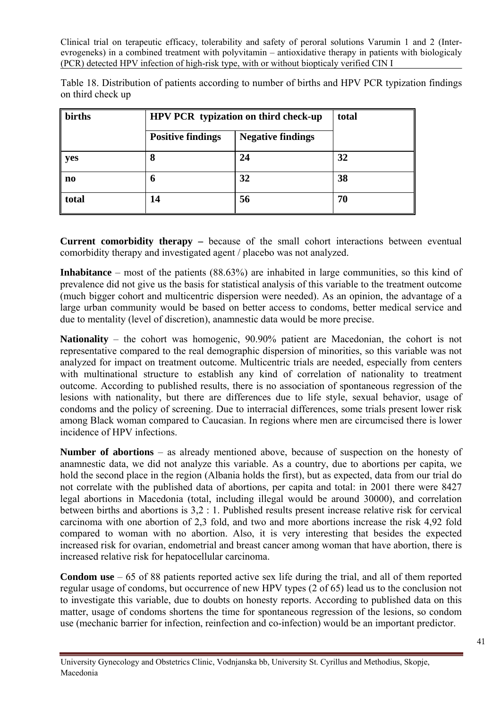Table 18. Distribution of patients according to number of births and HPV PCR typization findings on third check up

| births | HPV PCR typization on third check-up | total                    |    |  |
|--------|--------------------------------------|--------------------------|----|--|
|        | <b>Positive findings</b>             | <b>Negative findings</b> |    |  |
| yes    | 8                                    | 24                       | 32 |  |
| no     | h                                    | 32                       | 38 |  |
| total  | 14                                   | 56                       | 70 |  |

**Current comorbidity therapy –** because of the small cohort interactions between eventual comorbidity therapy and investigated agent / placebo was not analyzed.

**Inhabitance** – most of the patients (88.63%) are inhabited in large communities, so this kind of prevalence did not give us the basis for statistical analysis of this variable to the treatment outcome (much bigger cohort and multicentric dispersion were needed). As an opinion, the advantage of a large urban community would be based on better access to condoms, better medical service and due to mentality (level of discretion), anamnestic data would be more precise.

**Nationality** – the cohort was homogenic, 90.90% patient are Macedonian, the cohort is not representative compared to the real demographic dispersion of minorities, so this variable was not analyzed for impact on treatment outcome. Multicentric trials are needed, especially from centers with multinational structure to establish any kind of correlation of nationality to treatment outcome. According to published results, there is no association of spontaneous regression of the lesions with nationality, but there are differences due to life style, sexual behavior, usage of condoms and the policy of screening. Due to interracial differences, some trials present lower risk among Black woman compared to Caucasian. In regions where men are circumcised there is lower incidence of HPV infections.

**Number of abortions** – as already mentioned above, because of suspection on the honesty of anamnestic data, we did not analyze this variable. As a country, due to abortions per capita, we hold the second place in the region (Albania holds the first), but as expected, data from our trial do not correlate with the published data of abortions, per capita and total: in 2001 there were 8427 legal abortions in Macedonia (total, including illegal would be around 30000), and correlation between births and abortions is 3,2 : 1. Published results present increase relative risk for cervical carcinoma with one abortion of 2,3 fold, and two and more abortions increase the risk 4,92 fold compared to woman with no abortion. Also, it is very interesting that besides the expected increased risk for ovarian, endometrial and breast cancer among woman that have abortion, there is increased relative risk for hepatocellular carcinoma.

**Condom use** – 65 of 88 patients reported active sex life during the trial, and all of them reported regular usage of condoms, but occurrence of new HPV types (2 of 65) lead us to the conclusion not to investigate this variable, due to doubts on honesty reports. According to published data on this matter, usage of condoms shortens the time for spontaneous regression of the lesions, so condom use (mechanic barrier for infection, reinfection and co-infection) would be an important predictor.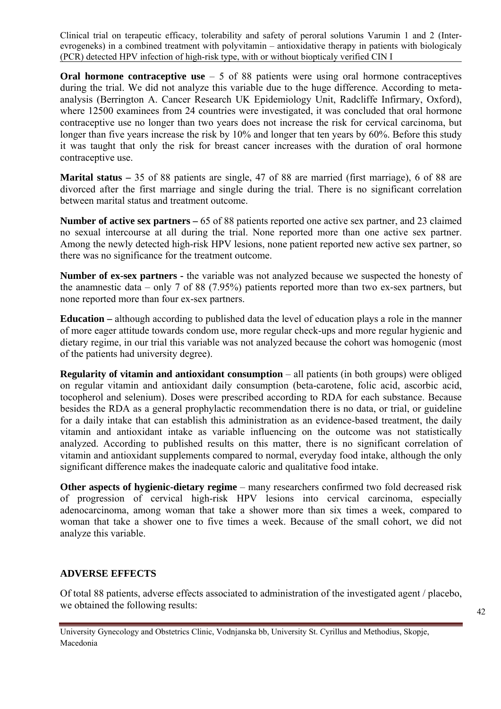**Oral hormone contraceptive use** – 5 of 88 patients were using oral hormone contraceptives during the trial. We did not analyze this variable due to the huge difference. According to metaanalysis (Berrington A. Cancer Research UK Epidemiology Unit, Radcliffe Infirmary, Oxford), where 12500 examinees from 24 countries were investigated, it was concluded that oral hormone contraceptive use no longer than two years does not increase the risk for cervical carcinoma, but longer than five years increase the risk by 10% and longer that ten years by 60%. Before this study it was taught that only the risk for breast cancer increases with the duration of oral hormone contraceptive use.

**Marital status –** 35 of 88 patients are single, 47 of 88 are married (first marriage), 6 of 88 are divorced after the first marriage and single during the trial. There is no significant correlation between marital status and treatment outcome.

**Number of active sex partners –** 65 of 88 patients reported one active sex partner, and 23 claimed no sexual intercourse at all during the trial. None reported more than one active sex partner. Among the newly detected high-risk HPV lesions, none patient reported new active sex partner, so there was no significance for the treatment outcome.

**Number of ex-sex partners -** the variable was not analyzed because we suspected the honesty of the anamnestic data – only 7 of 88 (7.95%) patients reported more than two ex-sex partners, but none reported more than four ex-sex partners.

**Education –** although according to published data the level of education plays a role in the manner of more eager attitude towards condom use, more regular check-ups and more regular hygienic and dietary regime, in our trial this variable was not analyzed because the cohort was homogenic (most of the patients had university degree).

**Regularity of vitamin and antioxidant consumption** – all patients (in both groups) were obliged on regular vitamin and antioxidant daily consumption (beta-carotene, folic acid, ascorbic acid, tocopherol and selenium). Doses were prescribed according to RDA for each substance. Because besides the RDA as a general prophylactic recommendation there is no data, or trial, or guideline for a daily intake that can establish this administration as an evidence-based treatment, the daily vitamin and antioxidant intake as variable influencing on the outcome was not statistically analyzed. According to published results on this matter, there is no significant correlation of vitamin and antioxidant supplements compared to normal, everyday food intake, although the only significant difference makes the inadequate caloric and qualitative food intake.

**Other aspects of hygienic-dietary regime** – many researchers confirmed two fold decreased risk of progression of cervical high-risk HPV lesions into cervical carcinoma, especially adenocarcinoma, among woman that take a shower more than six times a week, compared to woman that take a shower one to five times a week. Because of the small cohort, we did not analyze this variable.

# **ADVERSE EFFECTS**

Of total 88 patients, adverse effects associated to administration of the investigated agent / placebo, we obtained the following results:

University Gynecology and Obstetrics Clinic, Vodnjanska bb, University St. Cyrillus and Methodius, Skopje, Macedonia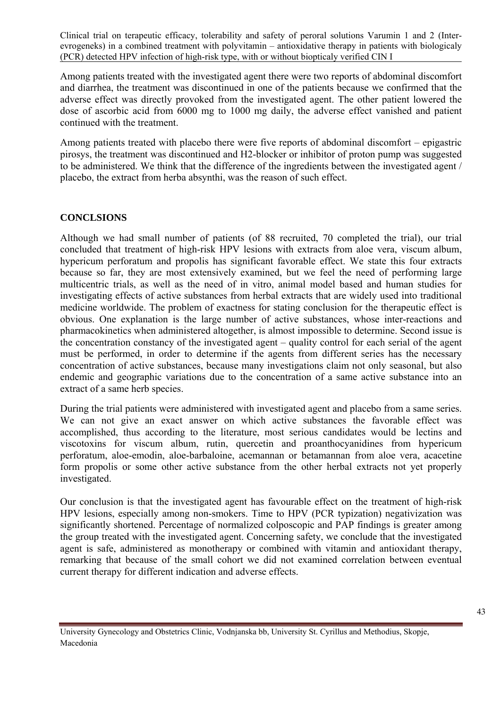Among patients treated with the investigated agent there were two reports of abdominal discomfort and diarrhea, the treatment was discontinued in one of the patients because we confirmed that the adverse effect was directly provoked from the investigated agent. The other patient lowered the dose of ascorbic acid from 6000 mg to 1000 mg daily, the adverse effect vanished and patient continued with the treatment.

Among patients treated with placebo there were five reports of abdominal discomfort – epigastric pirosys, the treatment was discontinued and H2-blocker or inhibitor of proton pump was suggested to be administered. We think that the difference of the ingredients between the investigated agent / placebo, the extract from herba absynthi, was the reason of such effect.

#### **CONCLSIONS**

Although we had small number of patients (of 88 recruited, 70 completed the trial), our trial concluded that treatment of high-risk HPV lesions with extracts from aloe vera, viscum album, hypericum perforatum and propolis has significant favorable effect. We state this four extracts because so far, they are most extensively examined, but we feel the need of performing large multicentric trials, as well as the need of in vitro, animal model based and human studies for investigating effects of active substances from herbal extracts that are widely used into traditional medicine worldwide. The problem of exactness for stating conclusion for the therapeutic effect is obvious. One explanation is the large number of active substances, whose inter-reactions and pharmacokinetics when administered altogether, is almost impossible to determine. Second issue is the concentration constancy of the investigated agent – quality control for each serial of the agent must be performed, in order to determine if the agents from different series has the necessary concentration of active substances, because many investigations claim not only seasonal, but also endemic and geographic variations due to the concentration of a same active substance into an extract of a same herb species.

During the trial patients were administered with investigated agent and placebo from a same series. We can not give an exact answer on which active substances the favorable effect was accomplished, thus according to the literature, most serious candidates would be lectins and viscotoxins for viscum album, rutin, quercetin and proanthocyanidines from hypericum perforatum, aloe-emodin, aloe-barbaloine, acemannan or betamannan from aloe vera, acacetine form propolis or some other active substance from the other herbal extracts not yet properly investigated.

Our conclusion is that the investigated agent has favourable effect on the treatment of high-risk HPV lesions, especially among non-smokers. Time to HPV (PCR typization) negativization was significantly shortened. Percentage of normalized colposcopic and PAP findings is greater among the group treated with the investigated agent. Concerning safety, we conclude that the investigated agent is safe, administered as monotherapy or combined with vitamin and antioxidant therapy, remarking that because of the small cohort we did not examined correlation between eventual current therapy for different indication and adverse effects.

University Gynecology and Obstetrics Clinic, Vodnjanska bb, University St. Cyrillus and Methodius, Skopje, Macedonia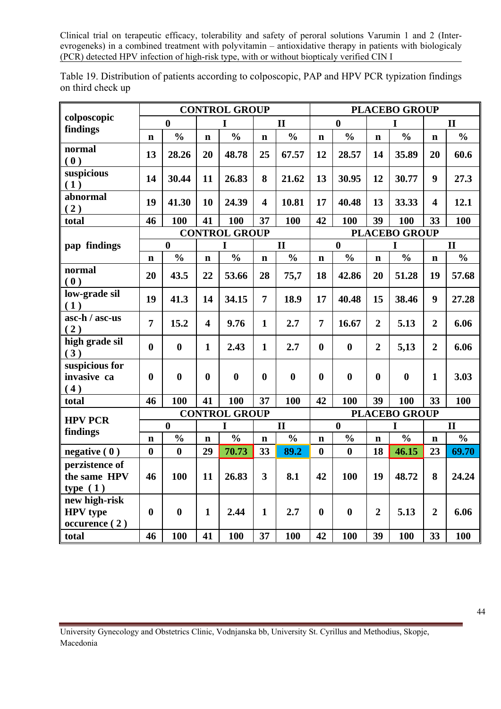|                                                   |                      |                  |                         | <b>CONTROL GROUP</b> |                         | <b>PLACEBO GROUP</b> |                  |                      |                |                  |                         |               |  |
|---------------------------------------------------|----------------------|------------------|-------------------------|----------------------|-------------------------|----------------------|------------------|----------------------|----------------|------------------|-------------------------|---------------|--|
| colposcopic                                       | $\bf{0}$             |                  | I                       |                      | $\mathbf{I}$            |                      |                  | $\bf{0}$             |                | I                |                         | $\mathbf{I}$  |  |
| findings                                          | $\mathbf n$          | $\frac{0}{0}$    | $\mathbf n$             | $\frac{0}{0}$        | $\mathbf n$             | $\frac{0}{0}$        | $\mathbf n$      | $\frac{0}{0}$        | $\mathbf n$    | $\frac{0}{0}$    | $\mathbf n$             | $\frac{0}{0}$ |  |
| normal<br>(0)                                     | 13                   | 28.26            | 20                      | 48.78                | 25                      | 67.57                | 12               | 28.57                | 14             | 35.89            | 20                      | 60.6          |  |
| suspicious<br>(1)                                 | 14                   | 30.44            | 11                      | 26.83                | 8                       | 21.62                | 13               | 30.95                | 12             | 30.77            | $\boldsymbol{9}$        | 27.3          |  |
| abnormal<br>(2)                                   | 19                   | 41.30            | 10                      | 24.39                | $\overline{\mathbf{4}}$ | 10.81                | 17               | 40.48                | 13             | 33.33            | $\overline{\mathbf{4}}$ | 12.1          |  |
| total                                             | 46                   | 100              | 41                      | 100                  | 37                      | 100                  | 42               | 100                  | 39             | 100              | 33                      | 100           |  |
|                                                   | <b>CONTROL GROUP</b> |                  |                         |                      |                         |                      |                  | <b>PLACEBO GROUP</b> |                |                  |                         |               |  |
| pap findings                                      |                      | $\mathbf{0}$     |                         | I                    |                         | $\mathbf{I}$         |                  | $\mathbf{0}$         |                | I                |                         | $\mathbf{I}$  |  |
|                                                   | $\mathbf n$          | $\frac{0}{0}$    | $\mathbf n$             | $\frac{0}{0}$        | $\mathbf n$             | $\frac{0}{0}$        | $\mathbf n$      | $\frac{0}{0}$        | $\mathbf n$    | $\frac{0}{0}$    | $\mathbf n$             | $\frac{0}{0}$ |  |
| normal<br>(0)                                     | 20                   | 43.5             | 22                      | 53.66                | 28                      | 75,7                 | 18               | 42.86                | 20             | 51.28            | 19                      | 57.68         |  |
| low-grade sil<br>(1)                              | 19                   | 41.3             | 14                      | 34.15                | $\overline{7}$          | 18.9                 | 17               | 40.48                | 15             | 38.46            | 9                       | 27.28         |  |
| asc-h / asc-us<br>(2)                             | $\overline{7}$       | 15.2             | $\overline{\mathbf{4}}$ | 9.76                 | $\mathbf{1}$            | 2.7                  | $\overline{7}$   | 16.67                | $\overline{2}$ | 5.13             | $\overline{2}$          | 6.06          |  |
| high grade sil<br>(3)                             | $\bf{0}$             | $\boldsymbol{0}$ | $\mathbf{1}$            | 2.43                 | $\mathbf{1}$            | 2.7                  | $\boldsymbol{0}$ | $\bf{0}$             | $\overline{2}$ | 5,13             | $\overline{2}$          | 6.06          |  |
| suspicious for<br>invasive ca<br>(4)              | $\bf{0}$             | $\bf{0}$         | $\bf{0}$                | $\bf{0}$             | $\boldsymbol{0}$        | $\bf{0}$             | $\bf{0}$         | $\bf{0}$             | $\mathbf{0}$   | $\boldsymbol{0}$ | $\mathbf{1}$            | 3.03          |  |
| total                                             | 46                   | 100              | 41                      | 100                  | 37                      | 100                  | 42               | 100                  | 39             | 100              | 33                      | 100           |  |
| <b>HPV PCR</b>                                    |                      |                  | <b>CONTROL GROUP</b>    |                      |                         | <b>PLACEBO GROUP</b> |                  |                      |                |                  |                         |               |  |
| findings                                          | $\boldsymbol{0}$     |                  | I                       |                      | $\mathbf{I}$            |                      | $\boldsymbol{0}$ |                      | I              |                  | $\mathbf{I}$            |               |  |
|                                                   | $\mathbf n$          | $\frac{0}{0}$    | $\mathbf n$             | $\frac{0}{0}$        | $\mathbf n$             | $\frac{0}{0}$        | $\mathbf n$      | $\frac{0}{0}$        | $\mathbf n$    | $\frac{0}{0}$    | $\mathbf n$             | $\frac{0}{0}$ |  |
| negative $(0)$                                    | $\bf{0}$             | $\bf{0}$         | 29                      | 70.73                | 33                      | 89.2                 | $\boldsymbol{0}$ | $\bf{0}$             | 18             | 46.15            | 23                      | 69.70         |  |
| perzistence of<br>the same HPV<br>type $(1)$      | 46                   | 100              | 11                      | 26.83                | $\overline{\mathbf{3}}$ | 8.1                  | 42               | 100                  | 19             | 48.72            | 8                       | 24.24         |  |
| new high-risk<br><b>HPV</b> type<br>occurence (2) | $\bf{0}$             | $\boldsymbol{0}$ | $\mathbf{1}$            | 2.44                 | $\mathbf{1}$            | 2.7                  | $\boldsymbol{0}$ | $\boldsymbol{0}$     | $\overline{2}$ | 5.13             | $\overline{2}$          | 6.06          |  |
| total                                             | 46                   | 100              | 41                      | 100                  | 37                      | 100                  | 42               | 100                  | 39             | 100              | 33                      | 100           |  |

Table 19. Distribution of patients according to colposcopic, PAP and HPV PCR typization findings on third check up

University Gynecology and Obstetrics Clinic, Vodnjanska bb, University St. Cyrillus and Methodius, Skopje, Macedonia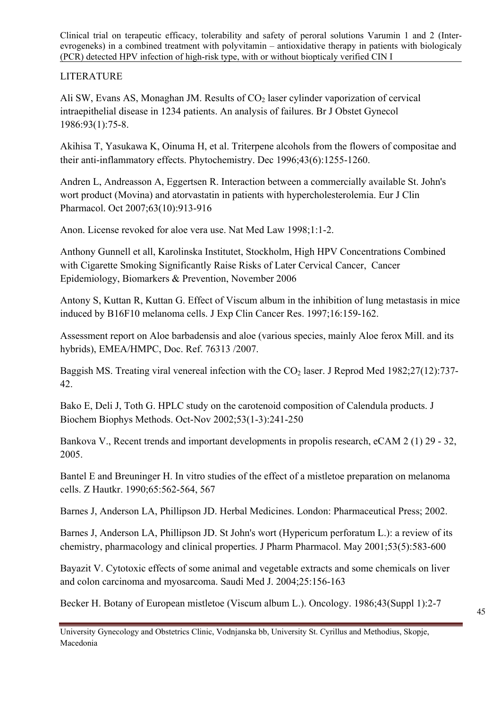# LITERATURE

Ali SW, Evans AS, Monaghan JM. Results of  $CO<sub>2</sub>$  laser cylinder vaporization of cervical intraepithelial disease in 1234 patients. An analysis of failures. Br J Obstet Gynecol 1986:93(1):75-8.

Akihisa T, Yasukawa K, Oinuma H, et al. [Triterpene alcohols from the flowers of compositae and](javascript:openPMID(8987908))  [their anti-inflammatory effects.](javascript:openPMID(8987908)) Phytochemistry. Dec 1996;43(6):1255-1260.

Andren L, Andreasson A, Eggertsen R. [Interaction between a commercially available St. John's](javascript:openPMID(17701167))  [wort product \(Movina\) and atorvastatin in patients with hypercholesterolemia](javascript:openPMID(17701167)). Eur J Clin Pharmacol. Oct 2007;63(10):913-916

Anon. License revoked for aloe vera use. Nat Med Law 1998;1:1-2.

Anthony Gunnell et all, Karolinska Institutet, Stockholm, High HPV Concentrations Combined with Cigarette Smoking Significantly Raise Risks of Later Cervical Cancer, Cancer Epidemiology, Biomarkers & Prevention, November 2006

Antony S, Kuttan R, Kuttan G. Effect of Viscum album in the inhibition of lung metastasis in mice induced by B16F10 melanoma cells. J Exp Clin Cancer Res. 1997;16:159-162.

Assessment report on Aloe barbadensis and aloe (various species, mainly Aloe ferox Mill. and its hybrids), EMEA/HMPC, Doc. Ref. 76313 /2007.

Baggish MS. Treating viral venereal infection with the  $CO<sub>2</sub>$  laser. J Reprod Med 1982;27(12):737-42.

Bako E, Deli J, Toth G. [HPLC study on the carotenoid composition of Calendula products](javascript:openPMID(12406606)). J Biochem Biophys Methods. Oct-Nov 2002;53(1-3):241-250

Bankova V., Recent trends and important developments in propolis research, eCAM 2 (1) 29 - 32, 2005.

Bantel E and Breuninger H. In vitro studies of the effect of a mistletoe preparation on melanoma cells. Z Hautkr. 1990;65:562-564, 567

Barnes J, Anderson LA, Phillipson JD. Herbal Medicines. London: Pharmaceutical Press; 2002.

Barnes J, Anderson LA, Phillipson JD. [St John's wort \(Hypericum perforatum L.\): a review of its](javascript:openPMID(11370698))  [chemistry, pharmacology and clinical properties](javascript:openPMID(11370698)). J Pharm Pharmacol. May 2001;53(5):583-600

Bayazit V. Cytotoxic effects of some animal and vegetable extracts and some chemicals on liver and colon carcinoma and myosarcoma. Saudi Med J. 2004;25:156-163

Becker H. Botany of European mistletoe (Viscum album L.). Oncology. 1986;43(Suppl 1):2-7

University Gynecology and Obstetrics Clinic, Vodnjanska bb, University St. Cyrillus and Methodius, Skopje, Macedonia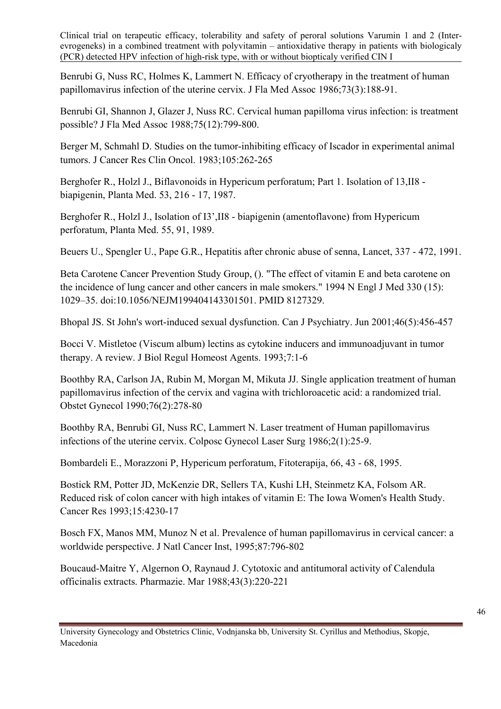Benrubi G, Nuss RC, Holmes K, Lammert N. Efficacy of cryotherapy in the treatment of human papillomavirus infection of the uterine cervix. J Fla Med Assoc 1986;73(3):188-91.

Benrubi GI, Shannon J, Glazer J, Nuss RC. Cervical human papilloma virus infection: is treatment possible? J Fla Med Assoc 1988;75(12):799-800.

Berger M, Schmahl D. Studies on the tumor-inhibiting efficacy of Iscador in experimental animal tumors. J Cancer Res Clin Oncol. 1983;105:262-265

Berghofer R., Holzl J., Biflavonoids in Hypericum perforatum; Part 1. Isolation of 13,II8 biapigenin, Planta Med. 53, 216 - 17, 1987.

Berghofer R., Holzl J., Isolation of I3',II8 - biapigenin (amentoflavone) from Hypericum perforatum, Planta Med. 55, 91, 1989.

Beuers U., Spengler U., Pape G.R., Hepatitis after chronic abuse of senna, Lancet, 337 - 472, 1991.

Beta Carotene Cancer Prevention Study Group, (). "The effect of vitamin E and beta carotene on the incidence of lung cancer and other cancers in male smokers." 1994 N Engl J Med 330 (15): 1029–35. [doi](http://en.wikipedia.org/wiki/Digital_object_identifier)[:10.1056/NEJM199404143301501.](http://dx.doi.org/10.1056%2FNEJM199404143301501) [PMID 8127329.](http://www.ncbi.nlm.nih.gov/pubmed/8127329)

Bhopal JS. [St John's wort-induced sexual dysfunction.](javascript:openPMID(11441793)) Can J Psychiatry. Jun 2001;46(5):456-457

Bocci V. Mistletoe (Viscum album) lectins as cytokine inducers and immunoadjuvant in tumor therapy. A review. J Biol Regul Homeost Agents. 1993;7:1-6

Boothby RA, Carlson JA, Rubin M, Morgan M, Mikuta JJ. Single application treatment of human papillomavirus infection of the cervix and vagina with trichloroacetic acid: a randomized trial. Obstet Gynecol 1990;76(2):278-80

Boothby RA, Benrubi GI, Nuss RC, Lammert N. Laser treatment of Human papillomavirus infections of the uterine cervix. Colposc Gynecol Laser Surg 1986;2(1):25-9.

Bombardeli E., Morazzoni P, Hypericum perforatum, Fitoterapija, 66, 43 - 68, 1995.

Bostick RM, Potter JD, McKenzie DR, Sellers TA, Kushi LH, Steinmetz KA, Folsom AR. Reduced risk of colon cancer with high intakes of vitamin E: The Iowa Women's Health Study. Cancer Res 1993;15:4230-17

Bosch FX, Manos MM, Munoz N et al. Prevalence of human papillomavirus in cervical cancer: a worldwide perspective. J Natl Cancer Inst, 1995;87:796-802

Boucaud-Maitre Y, Algernon O, Raynaud J. [Cytotoxic and antitumoral activity of Calendula](javascript:openPMID(3380875))  [officinalis extracts.](javascript:openPMID(3380875)) Pharmazie. Mar 1988;43(3):220-221

University Gynecology and Obstetrics Clinic, Vodnjanska bb, University St. Cyrillus and Methodius, Skopje, Macedonia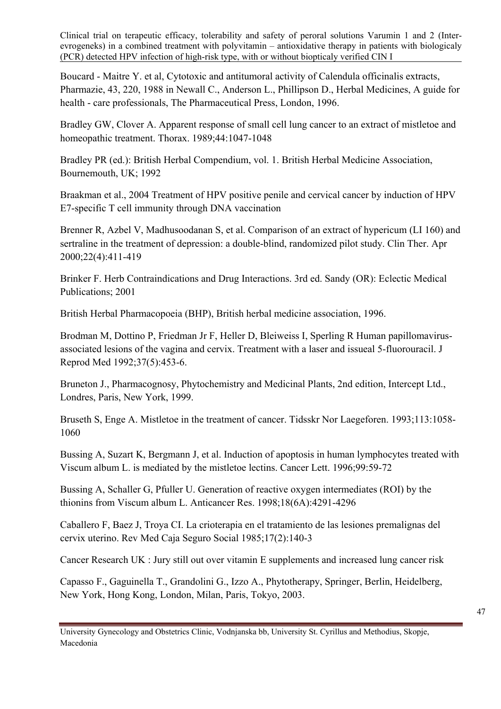Boucard - Maitre Y. et al, Cytotoxic and antitumoral activity of Calendula officinalis extracts, Pharmazie, 43, 220, 1988 in Newall C., Anderson L., Phillipson D., Herbal Medicines, A guide for health - care professionals, The Pharmaceutical Press, London, 1996.

Bradley GW, Clover A. Apparent response of small cell lung cancer to an extract of mistletoe and homeopathic treatment. Thorax. 1989;44:1047-1048

Bradley PR (ed.): British Herbal Compendium, vol. 1. British Herbal Medicine Association, Bournemouth, UK; 1992

Braakman et al., 2004 Treatment of HPV positive penile and cervical cancer by induction of HPV E7-specific T cell immunity through DNA vaccination

Brenner R, Azbel V, Madhusoodanan S, et al. [Comparison of an extract of hypericum \(LI 160\) and](javascript:openPMID(10823363))  [sertraline in the treatment of depression: a double-blind, randomized pilot study.](javascript:openPMID(10823363)) Clin Ther. Apr 2000;22(4):411-419

Brinker F. Herb Contraindications and Drug Interactions. 3rd ed. Sandy (OR): Eclectic Medical Publications; 2001

British Herbal Pharmacopoeia (BHP), British herbal medicine association, 1996.

Brodman M, Dottino P, Friedman Jr F, Heller D, Bleiweiss I, Sperling R Human papillomavirusassociated lesions of the vagina and cervix. Treatment with a laser and issueal 5-fluorouracil. J Reprod Med 1992;37(5):453-6.

Bruneton J., Pharmacognosy, Phytochemistry and Medicinal Plants, 2nd edition, Intercept Ltd., Londres, Paris, New York, 1999.

Bruseth S, Enge A. Mistletoe in the treatment of cancer. Tidsskr Nor Laegeforen. 1993;113:1058- 1060

Bussing A, Suzart K, Bergmann J, et al. Induction of apoptosis in human lymphocytes treated with Viscum album L. is mediated by the mistletoe lectins. Cancer Lett. 1996;99:59-72

Bussing A, Schaller G, Pfuller U. Generation of reactive oxygen intermediates (ROI) by the thionins from Viscum album L. Anticancer Res. 1998;18(6A):4291-4296

Caballero F, Baez J, Troya CI. La crioterapia en el tratamiento de las lesiones premalignas del cervix uterino. Rev Med Caja Seguro Social 1985;17(2):140-3

[Cancer Research UK : Jury still out over vitamin E supplements and increased lung cancer risk](http://info.cancerresearchuk.org/news/archive/newsarchive/2008/march/18493364) 

Capasso F., Gaguinella T., Grandolini G., Izzo A., Phytotherapy, Springer, Berlin, Heidelberg, New York, Hong Kong, London, Milan, Paris, Tokyo, 2003.

University Gynecology and Obstetrics Clinic, Vodnjanska bb, University St. Cyrillus and Methodius, Skopje, Macedonia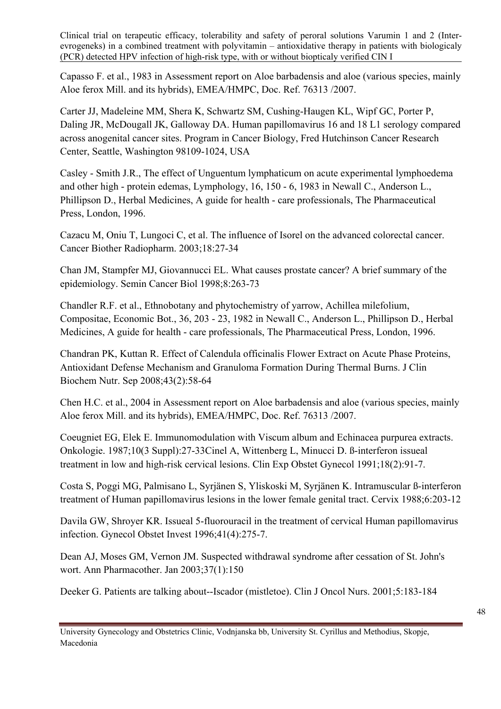Capasso F. et al., 1983 in Assessment report on Aloe barbadensis and aloe (various species, mainly Aloe ferox Mill. and its hybrids), EMEA/HMPC, Doc. Ref. 76313 /2007.

[Carter JJ,](http://www.ncbi.nlm.nih.gov/sites/entrez?Db=pubmed&Cmd=Search&Term=%22Carter%20JJ%22%5BAuthor%5D&itool=EntrezSystem2.PEntrez.Pubmed.Pubmed_ResultsPanel.Pubmed_RVAbstract) [Madeleine MM,](http://www.ncbi.nlm.nih.gov/sites/entrez?Db=pubmed&Cmd=Search&Term=%22Madeleine%20MM%22%5BAuthor%5D&itool=EntrezSystem2.PEntrez.Pubmed.Pubmed_ResultsPanel.Pubmed_RVAbstract) [Shera K,](http://www.ncbi.nlm.nih.gov/sites/entrez?Db=pubmed&Cmd=Search&Term=%22Shera%20K%22%5BAuthor%5D&itool=EntrezSystem2.PEntrez.Pubmed.Pubmed_ResultsPanel.Pubmed_RVAbstract) [Schwartz SM,](http://www.ncbi.nlm.nih.gov/sites/entrez?Db=pubmed&Cmd=Search&Term=%22Schwartz%20SM%22%5BAuthor%5D&itool=EntrezSystem2.PEntrez.Pubmed.Pubmed_ResultsPanel.Pubmed_RVAbstract) [Cushing-Haugen KL](http://www.ncbi.nlm.nih.gov/sites/entrez?Db=pubmed&Cmd=Search&Term=%22Cushing-Haugen%20KL%22%5BAuthor%5D&itool=EntrezSystem2.PEntrez.Pubmed.Pubmed_ResultsPanel.Pubmed_RVAbstract), [Wipf GC](http://www.ncbi.nlm.nih.gov/sites/entrez?Db=pubmed&Cmd=Search&Term=%22Wipf%20GC%22%5BAuthor%5D&itool=EntrezSystem2.PEntrez.Pubmed.Pubmed_ResultsPanel.Pubmed_RVAbstract), [Porter P,](http://www.ncbi.nlm.nih.gov/sites/entrez?Db=pubmed&Cmd=Search&Term=%22Porter%20P%22%5BAuthor%5D&itool=EntrezSystem2.PEntrez.Pubmed.Pubmed_ResultsPanel.Pubmed_RVAbstract) [Daling JR,](http://www.ncbi.nlm.nih.gov/sites/entrez?Db=pubmed&Cmd=Search&Term=%22Daling%20JR%22%5BAuthor%5D&itool=EntrezSystem2.PEntrez.Pubmed.Pubmed_ResultsPanel.Pubmed_RVAbstract) [McDougall JK,](http://www.ncbi.nlm.nih.gov/sites/entrez?Db=pubmed&Cmd=Search&Term=%22McDougall%20JK%22%5BAuthor%5D&itool=EntrezSystem2.PEntrez.Pubmed.Pubmed_ResultsPanel.Pubmed_RVAbstract) [Galloway DA.](http://www.ncbi.nlm.nih.gov/sites/entrez?Db=pubmed&Cmd=Search&Term=%22Galloway%20DA%22%5BAuthor%5D&itool=EntrezSystem2.PEntrez.Pubmed.Pubmed_ResultsPanel.Pubmed_RVAbstract) Human papillomavirus 16 and 18 L1 serology compared across anogenital cancer sites. Program in Cancer Biology, Fred Hutchinson Cancer Research Center, Seattle, Washington 98109-1024, USA

Casley - Smith J.R., The effect of Unguentum lymphaticum on acute experimental lymphoedema and other high - protein edemas, Lymphology, 16, 150 - 6, 1983 in Newall C., Anderson L., Phillipson D., Herbal Medicines, A guide for health - care professionals, The Pharmaceutical Press, London, 1996.

Cazacu M, Oniu T, Lungoci C, et al. The influence of Isorel on the advanced colorectal cancer. Cancer Biother Radiopharm. 2003;18:27-34

Chan JM, Stampfer MJ, Giovannucci EL. What causes prostate cancer? A brief summary of the epidemiology. Semin Cancer Biol 1998;8:263-73

Chandler R.F. et al., Ethnobotany and phytochemistry of yarrow, Achillea milefolium, Compositae, Economic Bot., 36, 203 - 23, 1982 in Newall C., Anderson L., Phillipson D., Herbal Medicines, A guide for health - care professionals, The Pharmaceutical Press, London, 1996.

Chandran PK, Kuttan R. [Effect of Calendula officinalis Flower Extract on Acute Phase Proteins,](javascript:openPMID(18818737))  [Antioxidant Defense Mechanism and Granuloma Formation During Thermal Burns.](javascript:openPMID(18818737)) J Clin Biochem Nutr. Sep 2008;43(2):58-64

Chen H.C. et al., 2004 in Assessment report on Aloe barbadensis and aloe (various species, mainly Aloe ferox Mill. and its hybrids), EMEA/HMPC, Doc. Ref. 76313 /2007.

Coeugniet EG, Elek E. Immunomodulation with Viscum album and Echinacea purpurea extracts. Onkologie. 1987;10(3 Suppl):27-33Cinel A, Wittenberg L, Minucci D. ß-interferon issueal treatment in low and high-risk cervical lesions. Clin Exp Obstet Gynecol 1991;18(2):91-7.

Costa S, Poggi MG, Palmisano L, Syrjänen S, Yliskoski M, Syrjänen K. Intramuscular ß-interferon treatment of Human papillomavirus lesions in the lower female genital tract. Cervix 1988;6:203-12

Davila GW, Shroyer KR. Issueal 5-fluorouracil in the treatment of cervical Human papillomavirus infection. Gynecol Obstet Invest 1996;41(4):275-7.

Dean AJ, Moses GM, Vernon JM. [Suspected withdrawal syndrome after cessation of St. John's](javascript:openPMID(12503953))  [wort.](javascript:openPMID(12503953)) Ann Pharmacother. Jan 2003;37(1):150

Deeker G. Patients are talking about--Iscador (mistletoe). Clin J Oncol Nurs. 2001;5:183-184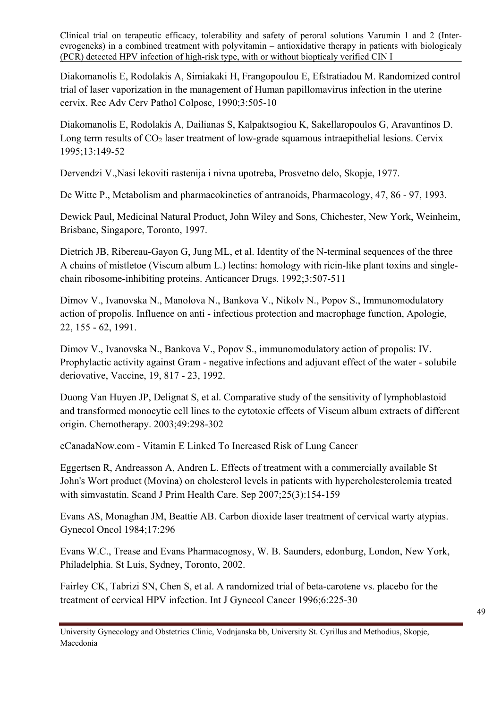Diakomanolis E, Rodolakis A, Simiakaki H, Frangopoulou E, Efstratiadou M. Randomized control trial of laser vaporization in the management of Human papillomavirus infection in the uterine cervix. Rec Adv Cerv Pathol Colposc, 1990;3:505-10

Diakomanolis E, Rodolakis A, Dailianas S, Kalpaktsogiou K, Sakellaropoulos G, Aravantinos D. Long term results of  $CO<sub>2</sub>$  laser treatment of low-grade squamous intraepithelial lesions. Cervix 1995;13:149-52

Dervendzi V.,Nasi lekoviti rastenija i nivna upotreba, Prosvetno delo, Skopje, 1977.

De Witte P., Metabolism and pharmacokinetics of antranoids, Pharmacology, 47, 86 - 97, 1993.

Dewick Paul, Medicinal Natural Product, John Wiley and Sons, Chichester, New York, Weinheim, Brisbane, Singapore, Toronto, 1997.

Dietrich JB, Ribereau-Gayon G, Jung ML, et al. Identity of the N-terminal sequences of the three A chains of mistletoe (Viscum album L.) lectins: homology with ricin-like plant toxins and singlechain ribosome-inhibiting proteins. Anticancer Drugs. 1992;3:507-511

Dimov V., Ivanovska N., Manolova N., Bankova V., Nikolv N., Popov S., Immunomodulatory action of propolis. Influence on anti - infectious protection and macrophage function, Apologie, 22, 155 - 62, 1991.

Dimov V., Ivanovska N., Bankova V., Popov S., immunomodulatory action of propolis: IV. Prophylactic activity against Gram - negative infections and adjuvant effect of the water - solubile deriovative, Vaccine, 19, 817 - 23, 1992.

Duong Van Huyen JP, Delignat S, et al. Comparative study of the sensitivity of lymphoblastoid and transformed monocytic cell lines to the cytotoxic effects of Viscum album extracts of different origin. Chemotherapy. 2003;49:298-302

[eCanadaNow.com - Vitamin E Linked To Increased Risk of Lung Cancer](http://www.ecanadanow.com/news/health/vitamin-e-linked-to-increased-risk-of-lung-cancer-20080303.html)

Eggertsen R, Andreasson A, Andren L. [Effects of treatment with a commercially available St](javascript:openPMID(17846933))  [John's Wort product \(Movina\) on cholesterol levels in patients with hypercholesterolemia treated](javascript:openPMID(17846933))  [with simvastatin.](javascript:openPMID(17846933)) Scand J Prim Health Care. Sep 2007;25(3):154-159

Evans AS, Monaghan JM, Beattie AB. Carbon dioxide laser treatment of cervical warty atypias. Gynecol Oncol 1984;17:296

Evans W.C., Trease and Evans Pharmacognosy, W. B. Saunders, edonburg, London, New York, Philadelphia. St Luis, Sydney, Toronto, 2002.

Fairley CK, Tabrizi SN, Chen S, et al. A randomized trial of beta-carotene vs. placebo for the treatment of cervical HPV infection. Int J Gynecol Cancer 1996;6:225-30

University Gynecology and Obstetrics Clinic, Vodnjanska bb, University St. Cyrillus and Methodius, Skopje, Macedonia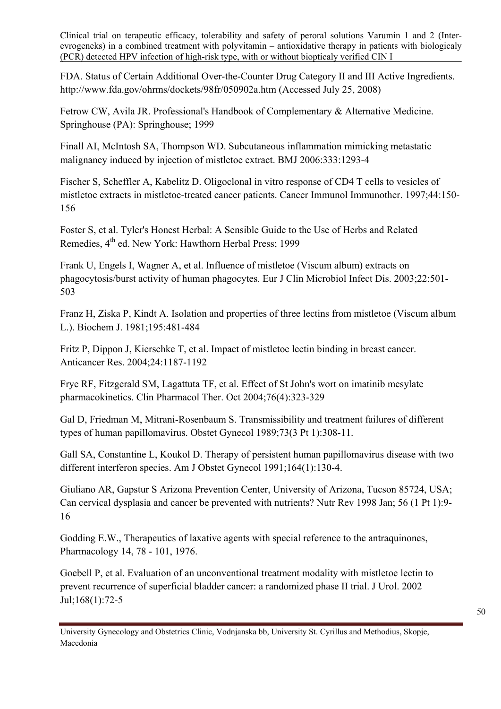FDA. Status of Certain Additional Over-the-Counter Drug Category II and III Active Ingredients. <http://www.fda.gov/ohrms/dockets/98fr/050902a.htm>(Accessed July 25, 2008)

Fetrow CW, Avila JR. Professional's Handbook of Complementary & Alternative Medicine. Springhouse (PA): Springhouse; 1999

Finall AI, McIntosh SA, Thompson WD. [Subcutaneous inflammation mimicking metastatic](http://www.ncbi.nlm.nih.gov/entrez/query.fcgi?db=pubmed&cmd=Retrieve&dopt=AbstractPlus&list_uids=17185712&query_hl=3&itool=pubmed_docsum)  [malignancy induced by injection of mistletoe extract.](http://www.ncbi.nlm.nih.gov/entrez/query.fcgi?db=pubmed&cmd=Retrieve&dopt=AbstractPlus&list_uids=17185712&query_hl=3&itool=pubmed_docsum) BMJ 2006:333:1293-4

Fischer S, Scheffler A, Kabelitz D. Oligoclonal in vitro response of CD4 T cells to vesicles of mistletoe extracts in mistletoe-treated cancer patients. Cancer Immunol Immunother. 1997;44:150- 156

Foster S, et al. Tyler's Honest Herbal: A Sensible Guide to the Use of Herbs and Related Remedies, 4<sup>th</sup> ed. New York: Hawthorn Herbal Press; 1999

Frank U, Engels I, Wagner A, et al. Influence of mistletoe (Viscum album) extracts on phagocytosis/burst activity of human phagocytes. Eur J Clin Microbiol Infect Dis. 2003;22:501- 503

Franz H, Ziska P, Kindt A. Isolation and properties of three lectins from mistletoe (Viscum album L.). Biochem J. 1981;195:481-484

Fritz P, Dippon J, Kierschke T, et al. Impact of mistletoe lectin binding in breast cancer. Anticancer Res. 2004;24:1187-1192

Frye RF, Fitzgerald SM, Lagattuta TF, et al. [Effect of St John's wort on imatinib mesylate](javascript:openPMID(15470331))  [pharmacokinetics](javascript:openPMID(15470331)). Clin Pharmacol Ther. Oct 2004;76(4):323-329

Gal D, Friedman M, Mitrani-Rosenbaum S. Transmissibility and treatment failures of different types of human papillomavirus. Obstet Gynecol 1989;73(3 Pt 1):308-11.

Gall SA, Constantine L, Koukol D. Therapy of persistent human papillomavirus disease with two different interferon species. Am J Obstet Gynecol 1991;164(1):130-4.

Giuliano AR, Gapstur S Arizona Prevention Center, University of Arizona, Tucson 85724, USA; Can cervical dysplasia and cancer be prevented with nutrients? Nutr Rev 1998 Jan; 56 (1 Pt 1):9- 16

Godding E.W., Therapeutics of laxative agents with special reference to the antraquinones, Pharmacology 14, 78 - 101, 1976.

Goebell P, et al. [Evaluation of an unconventional treatment modality with mistletoe lectin to](javascript:openPMID(12050495))  [prevent recurrence of superficial bladder cancer: a randomized phase II trial.](javascript:openPMID(12050495)) J Urol. 2002 Jul;168(1):72-5

University Gynecology and Obstetrics Clinic, Vodnjanska bb, University St. Cyrillus and Methodius, Skopje, Macedonia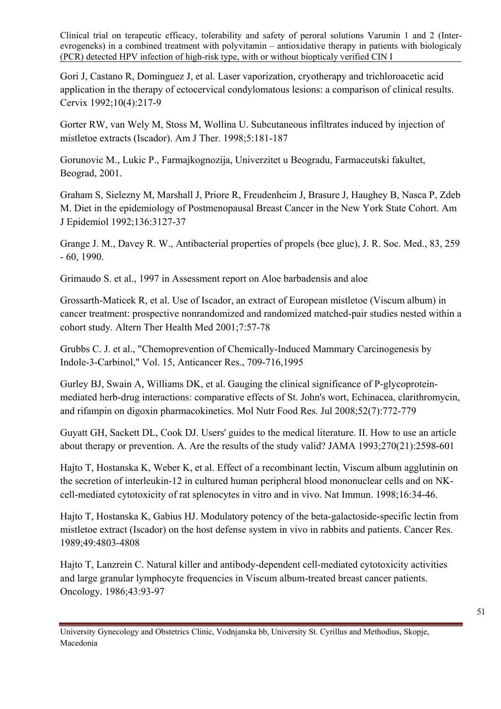Gori J, Castano R, Dominguez J, et al. Laser vaporization, cryotherapy and trichloroacetic acid application in the therapy of ectocervical condylomatous lesions: a comparison of clinical results. Cervix 1992;10(4):217-9

Gorter RW, van Wely M, Stoss M, Wollina U. Subcutaneous infiltrates induced by injection of mistletoe extracts (Iscador). Am J Ther. 1998;5:181-187

Gorunovic M., Lukic P., Farmajkognozija, Univerzitet u Beogradu, Farmaceutski fakultet, Beograd, 2001.

Graham S, Sielezny M, Marshall J, Priore R, Freudenheim J, Brasure J, Haughey B, Nasca P, Zdeb M. Diet in the epidemiology of Postmenopausal Breast Cancer in the New York State Cohort. Am J Epidemiol 1992;136:3127-37

Grange J. M., Davey R. W., Antibacterial properties of propels (bee glue), J. R. Soc. Med., 83, 259 - 60, 1990.

Grimaudo S. et al., 1997 in Assessment report on Aloe barbadensis and aloe

Grossarth-Maticek R, et al. [Use of Iscador, an extract of European mistletoe \(Viscum album\) in](javascript:openPMID(11347286))  [cancer treatment: prospective nonrandomized and randomized matched-pair studies nested within a](javascript:openPMID(11347286))  [cohort study.](javascript:openPMID(11347286)) Altern Ther Health Med 2001;7:57-78

Grubbs C. J. et al., "Chemoprevention of Chemically-Induced Mammary Carcinogenesis by Indole-3-Carbinol," Vol. 15, Anticancer Res., 709-716,1995

Gurley BJ, Swain A, Williams DK, et al. [Gauging the clinical significance of P-glycoprotein](javascript:openPMID(18214850))[mediated herb-drug interactions: comparative effects of St. John's wort, Echinacea, clarithromycin,](javascript:openPMID(18214850))  [and rifampin on digoxin pharmacokinetics](javascript:openPMID(18214850)). Mol Nutr Food Res. Jul 2008;52(7):772-779

Guyatt GH, Sackett DL, Cook DJ. Users' guides to the medical literature. II. How to use an article about therapy or prevention. A. Are the results of the study valid? JAMA 1993;270(21):2598-601

Hajto T, Hostanska K, Weber K, et al. Effect of a recombinant lectin, Viscum album agglutinin on the secretion of interleukin-12 in cultured human peripheral blood mononuclear cells and on NKcell-mediated cytotoxicity of rat splenocytes in vitro and in vivo. Nat Immun. 1998;16:34-46.

Hajto T, Hostanska K, Gabius HJ. Modulatory potency of the beta-galactoside-specific lectin from mistletoe extract (Iscador) on the host defense system in vivo in rabbits and patients. Cancer Res. 1989;49:4803-4808

Hajto T, Lanzrein C. Natural killer and antibody-dependent cell-mediated cytotoxicity activities and large granular lymphocyte frequencies in Viscum album-treated breast cancer patients. Oncology. 1986;43:93-97

University Gynecology and Obstetrics Clinic, Vodnjanska bb, University St. Cyrillus and Methodius, Skopje, Macedonia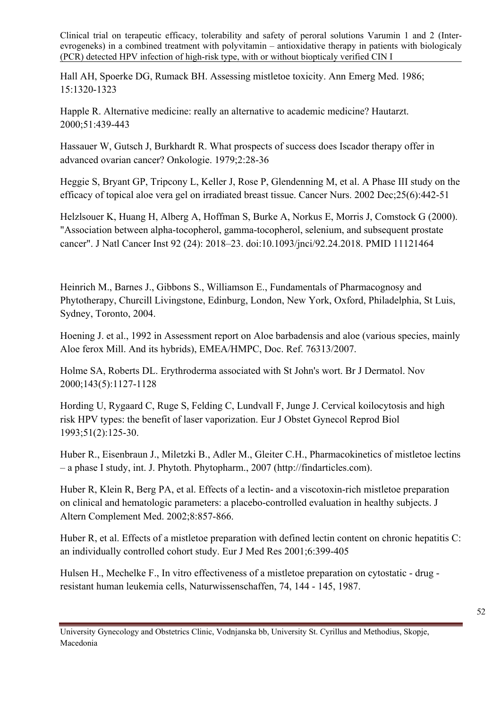Hall AH, Spoerke DG, Rumack BH. Assessing mistletoe toxicity. Ann Emerg Med. 1986; 15:1320-1323

Happle R. Alternative medicine: really an alternative to academic medicine? Hautarzt. 2000;51:439-443

Hassauer W, Gutsch J, Burkhardt R. What prospects of success does Iscador therapy offer in advanced ovarian cancer? Onkologie. 1979;2:28-36

Heggie S, Bryant GP, Tripcony L, Keller J, Rose P, Glendenning M, et al. [A Phase III study on the](javascript:openPMID(12464836))  [efficacy of topical aloe vera gel on irradiated breast tissue](javascript:openPMID(12464836)). Cancer Nurs. 2002 Dec;25(6):442-51

Helzlsouer K, Huang H, Alberg A, Hoffman S, Burke A, Norkus E, Morris J, Comstock G (2000). "Association between alpha-tocopherol, gamma-tocopherol, selenium, and subsequent prostate cancer". J Natl Cancer Inst 92 (24): 2018–23. [doi:](http://en.wikipedia.org/wiki/Digital_object_identifier)[10.1093/jnci/92.24.2018.](http://dx.doi.org/10.1093%2Fjnci%2F92.24.2018) [PMID 11121464](http://www.ncbi.nlm.nih.gov/pubmed/11121464) 

Heinrich M., Barnes J., Gibbons S., Williamson E., Fundamentals of Pharmacognosy and Phytotherapy, Churcill Livingstone, Edinburg, London, New York, Oxford, Philadelphia, St Luis, Sydney, Toronto, 2004.

Hoening J. et al., 1992 in Assessment report on Aloe barbadensis and aloe (various species, mainly Aloe ferox Mill. And its hybrids), EMEA/HMPC, Doc. Ref. 76313/2007.

Holme SA, Roberts DL. [Erythroderma associated with St John's wort.](javascript:openPMID(11069554)) Br J Dermatol. Nov 2000;143(5):1127-1128

Hording U, Rygaard C, Ruge S, Felding C, Lundvall F, Junge J. Cervical koilocytosis and high risk HPV types: the benefit of laser vaporization. Eur J Obstet Gynecol Reprod Biol 1993;51(2):125-30.

Huber R., Eisenbraun J., Miletzki B., Adler M., Gleiter C.H., Pharmacokinetics of mistletoe lectins – a phase I study, int. J. Phytoth. Phytopharm., 2007 (http://findarticles.com).

Huber R, Klein R, Berg PA, et al. Effects of a lectin- and a viscotoxin-rich mistletoe preparation on clinical and hematologic parameters: a placebo-controlled evaluation in healthy subjects. J Altern Complement Med. 2002;8:857-866.

Huber R, et al. Effects of a mistletoe preparation with defined lectin content on chronic hepatitis C: [an individually controlled cohort study.](javascript:openPMID(11669085)) Eur J Med Res 2001;6:399-405

Hulsen H., Mechelke F., In vitro effectiveness of a mistletoe preparation on cytostatic - drug resistant human leukemia cells, Naturwissenschaffen, 74, 144 - 145, 1987.

University Gynecology and Obstetrics Clinic, Vodnjanska bb, University St. Cyrillus and Methodius, Skopje, Macedonia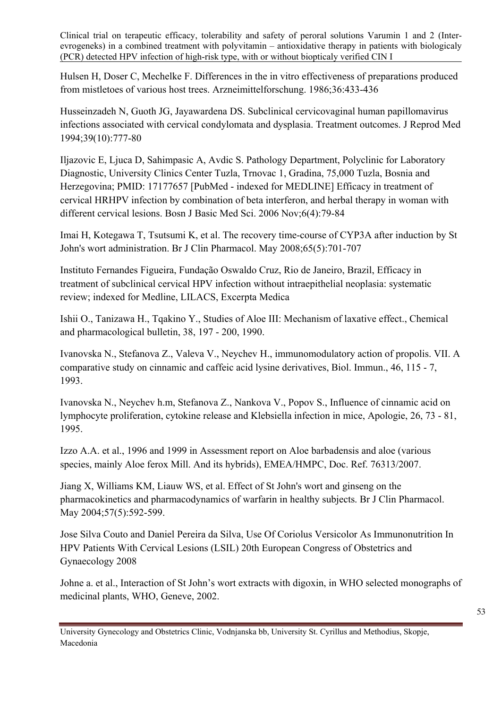Hulsen H, Doser C, Mechelke F. Differences in the in vitro effectiveness of preparations produced from mistletoes of various host trees. Arzneimittelforschung. 1986;36:433-436

Husseinzadeh N, Guoth JG, Jayawardena DS. Subclinical cervicovaginal human papillomavirus infections associated with cervical condylomata and dysplasia. Treatment outcomes. J Reprod Med 1994;39(10):777-80

Iljazovic E, Ljuca D, Sahimpasic A, Avdic S. Pathology Department, Polyclinic for Laboratory Diagnostic, University Clinics Center Tuzla, Trnovac 1, Gradina, 75,000 Tuzla, Bosnia and Herzegovina; PMID: 17177657 [PubMed - indexed for MEDLINE] Efficacy in treatment of cervical HRHPV infection by combination of beta interferon, and herbal therapy in woman with different cervical lesions. Bosn J Basic Med Sci. 2006 Nov;6(4):79-84

Imai H, Kotegawa T, Tsutsumi K, et al. [The recovery time-course of CYP3A after induction by St](javascript:openPMID(18294328))  [John's wort administration](javascript:openPMID(18294328)). Br J Clin Pharmacol. May 2008;65(5):701-707

Instituto Fernandes Figueira, Fundação Oswaldo Cruz, Rio de Janeiro, Brazil, Efficacy in treatment of subclinical cervical HPV infection without intraepithelial neoplasia: systematic review; indexed for Medline, LILACS, Excerpta Medica

Ishii O., Tanizawa H., Tqakino Y., Studies of Aloe III: Mechanism of laxative effect., Chemical and pharmacological bulletin, 38, 197 - 200, 1990.

Ivanovska N., Stefanova Z., Valeva V., Neychev H., immunomodulatory action of propolis. VII. A comparative study on cinnamic and caffeic acid lysine derivatives, Biol. Immun., 46, 115 - 7, 1993.

Ivanovska N., Neychev h.m, Stefanova Z., Nankova V., Popov S., Influence of cinnamic acid on lymphocyte proliferation, cytokine release and Klebsiella infection in mice, Apologie, 26, 73 - 81, 1995.

Izzo A.A. et al., 1996 and 1999 in Assessment report on Aloe barbadensis and aloe (various species, mainly Aloe ferox Mill. And its hybrids), EMEA/HMPC, Doc. Ref. 76313/2007.

Jiang X, Williams KM, Liauw WS, et al. [Effect of St John's wort and ginseng on the](javascript:openPMID(15089812))  [pharmacokinetics and pharmacodynamics of warfarin in healthy subjects.](javascript:openPMID(15089812)) Br J Clin Pharmacol. May 2004:57(5):592-599.

Jose Silva Couto and Daniel Pereira da Silva, Use Of Coriolus Versicolor As Immunonutrition In HPV Patients With Cervical Lesions (LSIL) 20th European Congress of Obstetrics and Gynaecology 2008

Johne a. et al., Interaction of St John's wort extracts with digoxin, in WHO selected monographs of medicinal plants, WHO, Geneve, 2002.

University Gynecology and Obstetrics Clinic, Vodnjanska bb, University St. Cyrillus and Methodius, Skopje, Macedonia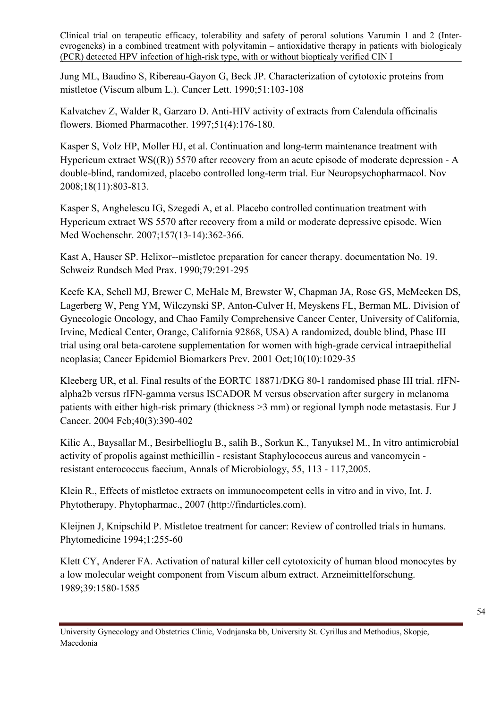Jung ML, Baudino S, Ribereau-Gayon G, Beck JP. Characterization of cytotoxic proteins from mistletoe (Viscum album L.). Cancer Lett. 1990;51:103-108

Kalvatchev Z, Walder R, Garzaro D. [Anti-HIV activity of extracts from Calendula officinalis](javascript:openPMID(9207986))  [flowers.](javascript:openPMID(9207986)) Biomed Pharmacother. 1997;51(4):176-180.

Kasper S, Volz HP, Moller HJ, et al. [Continuation and long-term maintenance treatment with](javascript:openPMID(18694635))  Hypericum extract  $WS((R))$  5570 after recovery from an acute episode of moderate depression - A [double-blind, randomized, placebo controlled long-term trial](javascript:openPMID(18694635)). Eur Neuropsychopharmacol. Nov 2008;18(11):803-813.

Kasper S, Anghelescu IG, Szegedi A, et al. [Placebo controlled continuation treatment with](javascript:openPMID(17704988))  [Hypericum extract WS 5570 after recovery from a mild or moderate depressive episode.](javascript:openPMID(17704988)) Wien Med Wochenschr. 2007;157(13-14):362-366.

Kast A, Hauser SP. Helixor--mistletoe preparation for cancer therapy. documentation No. 19. Schweiz Rundsch Med Prax. 1990;79:291-295

Keefe KA, Schell MJ, Brewer C, McHale M, Brewster W, Chapman JA, Rose GS, McMeeken DS, Lagerberg W, Peng YM, Wilczynski SP, Anton-Culver H, Meyskens FL, Berman ML. Division of Gynecologic Oncology, and Chao Family Comprehensive Cancer Center, University of California, Irvine, Medical Center, Orange, California 92868, USA) A randomized, double blind, Phase III trial using oral beta-carotene supplementation for women with high-grade cervical intraepithelial neoplasia; Cancer Epidemiol Biomarkers Prev. 2001 Oct;10(10):1029-35

Kleeberg UR, et al. [Final results of the EORTC 18871/DKG 80-1 randomised phase III trial. rIFN](javascript:openPMID(14746858))[alpha2b versus rIFN-gamma versus ISCADOR M versus observation after surgery in melanoma](javascript:openPMID(14746858))  [patients with either high-risk primary \(thickness >3 mm\) or regional lymph node metastasis.](javascript:openPMID(14746858)) Eur J Cancer. 2004 Feb;40(3):390-402

Kilic A., Baysallar M., Besirbellioglu B., salih B., Sorkun K., Tanyuksel M., In vitro antimicrobial activity of propolis against methicillin - resistant Staphylococcus aureus and vancomycin resistant enterococcus faecium, Annals of Microbiology, 55, 113 - 117,2005.

Klein R., Effects of mistletoe extracts on immunocompetent cells in vitro and in vivo, Int. J. Phytotherapy. Phytopharmac., 2007 (http://findarticles.com).

Kleijnen J, Knipschild P. Mistletoe treatment for cancer: Review of controlled trials in humans. Phytomedicine 1994;1:255-60

Klett CY, Anderer FA. Activation of natural killer cell cytotoxicity of human blood monocytes by a low molecular weight component from Viscum album extract. Arzneimittelforschung. 1989;39:1580-1585

University Gynecology and Obstetrics Clinic, Vodnjanska bb, University St. Cyrillus and Methodius, Skopje, Macedonia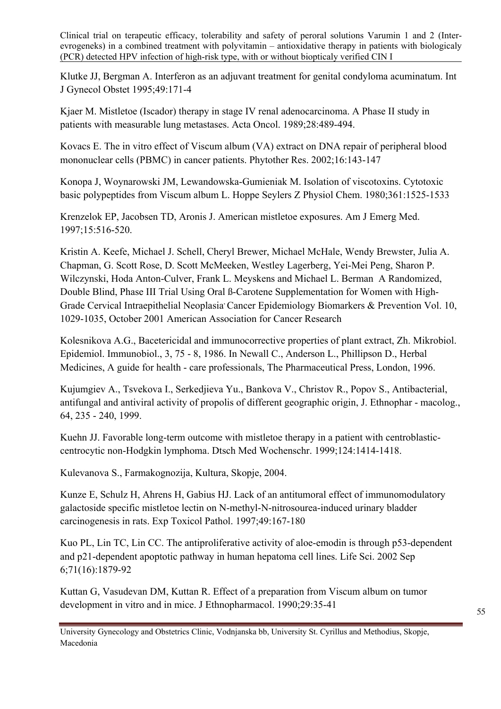Klutke JJ, Bergman A. Interferon as an adjuvant treatment for genital condyloma acuminatum. Int J Gynecol Obstet 1995;49:171-4

Kjaer M. Mistletoe (Iscador) therapy in stage IV renal adenocarcinoma. A Phase II study in patients with measurable lung metastases. Acta Oncol. 1989;28:489-494.

Kovacs E. The in vitro effect of Viscum album (VA) extract on DNA repair of peripheral blood mononuclear cells (PBMC) in cancer patients. Phytother Res. 2002;16:143-147

Konopa J, Woynarowski JM, Lewandowska-Gumieniak M. Isolation of viscotoxins. Cytotoxic basic polypeptides from Viscum album L. Hoppe Seylers Z Physiol Chem. 1980;361:1525-1533

Krenzelok EP, Jacobsen TD, Aronis J. American mistletoe exposures. Am J Emerg Med. 1997;15:516-520.

Kristin A. Keefe, Michael J. Schell, Cheryl Brewer, Michael McHale, Wendy Brewster, Julia A. Chapman, G. Scott Rose, D. Scott McMeeken, Westley Lagerberg, Yei-Mei Peng, Sharon P. Wilczynski, Hoda Anton-Culver, Frank L. Meyskens and Michael L. Berman A Randomized, Double Blind, Phase III Trial Using Oral ß-Carotene Supplementation for Women with High-Grade Cervical Intraepithelial Neoplasia Cancer Epidemiology Biomarkers & Prevention Vol. 10, 1029-1035, October 2001 [American Association for Cancer Research](http://cebp.aacrjournals.org/misc/terms.shtml) 

Kolesnikova A.G., Bacetericidal and immunocorrective properties of plant extract, Zh. Mikrobiol. Epidemiol. Immunobiol., 3, 75 - 8, 1986. In Newall C., Anderson L., Phillipson D., Herbal Medicines, A guide for health - care professionals, The Pharmaceutical Press, London, 1996.

Kujumgiev A., Tsvekova I., Serkedjieva Yu., Bankova V., Christov R., Popov S., Antibacterial, antifungal and antiviral activity of propolis of different geographic origin, J. Ethnophar - macolog., 64, 235 - 240, 1999.

Kuehn JJ. Favorable long-term outcome with mistletoe therapy in a patient with centroblasticcentrocytic non-Hodgkin lymphoma. Dtsch Med Wochenschr. 1999;124:1414-1418.

Kulevanova S., Farmakognozija, Kultura, Skopje, 2004.

Kunze E, Schulz H, Ahrens H, Gabius HJ. Lack of an antitumoral effect of immunomodulatory galactoside specific mistletoe lectin on N-methyl-N-nitrosourea-induced urinary bladder carcinogenesis in rats. Exp Toxicol Pathol. 1997;49:167-180

Kuo PL, Lin TC, Lin CC. [The antiproliferative activity of aloe-emodin is through p53-dependent](javascript:openPMID(12175703))  [and p21-dependent apoptotic pathway in human hepatoma cell lines](javascript:openPMID(12175703)). Life Sci. 2002 Sep 6;71(16):1879-92

Kuttan G, Vasudevan DM, Kuttan R. Effect of a preparation from Viscum album on tumor development in vitro and in mice. J Ethnopharmacol. 1990;29:35-41

University Gynecology and Obstetrics Clinic, Vodnjanska bb, University St. Cyrillus and Methodius, Skopje, Macedonia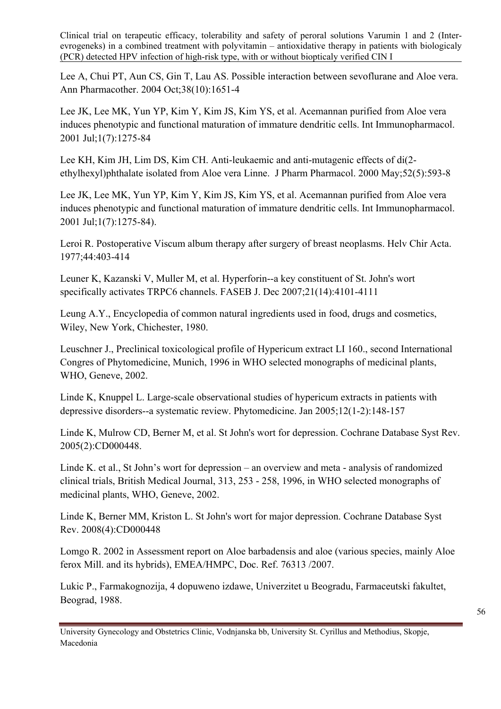Lee A, Chui PT, Aun CS, Gin T, Lau AS. [Possible interaction between sevoflurane and Aloe vera.](javascript:openPMID(15292490)) Ann Pharmacother. 2004 Oct;38(10):1651-4

Lee JK, Lee MK, Yun YP, Kim Y, Kim JS, Kim YS, et al. [Acemannan purified from Aloe vera](javascript:openPMID(11460308))  [induces phenotypic and functional maturation of immature dendritic cells.](javascript:openPMID(11460308)) Int Immunopharmacol. 2001 Jul;1(7):1275-84

Lee KH, Kim JH, Lim DS, Kim CH. [Anti-leukaemic and anti-mutagenic effects of di\(2](javascript:openPMID(10864149)) [ethylhexyl\)phthalate isolated from Aloe vera Linne.](javascript:openPMID(10864149)) J Pharm Pharmacol. 2000 May;52(5):593-8

Lee JK, Lee MK, Yun YP, Kim Y, Kim JS, Kim YS, et al. [Acemannan purified from Aloe vera](javascript:openPMID(11460308))  [induces phenotypic and functional maturation of immature dendritic cells.](javascript:openPMID(11460308)) Int Immunopharmacol. 2001 Jul;1(7):1275-84).

Leroi R. Postoperative Viscum album therapy after surgery of breast neoplasms. Helv Chir Acta. 1977;44:403-414

Leuner K, Kazanski V, Muller M, et al. [Hyperforin--a key constituent of St. John's wort](javascript:openPMID(17666455))  [specifically activates TRPC6 channels.](javascript:openPMID(17666455)) FASEB J. Dec 2007;21(14):4101-4111

Leung A.Y., Encyclopedia of common natural ingredients used in food, drugs and cosmetics, Wiley, New York, Chichester, 1980.

Leuschner J., Preclinical toxicological profile of Hypericum extract LI 160., second International Congres of Phytomedicine, Munich, 1996 in WHO selected monographs of medicinal plants, WHO, Geneve, 2002.

Linde K, Knuppel L. [Large-scale observational studies of hypericum extracts in patients with](javascript:openPMID(15693723))  [depressive disorders--a systematic review.](javascript:openPMID(15693723)) Phytomedicine. Jan 2005;12(1-2):148-157

Linde K, Mulrow CD, Berner M, et al. [St John's wort for depression](javascript:openPMID(15846605)). Cochrane Database Syst Rev. 2005(2):CD000448.

Linde K. et al., St John's wort for depression – an overview and meta - analysis of randomized clinical trials, British Medical Journal, 313, 253 - 258, 1996, in WHO selected monographs of medicinal plants, WHO, Geneve, 2002.

Linde K, Berner MM, Kriston L. [St John's wort for major depression](javascript:openPMID(18843608)). Cochrane Database Syst Rev. 2008(4):CD000448

Lomgo R. 2002 in Assessment report on Aloe barbadensis and aloe (various species, mainly Aloe ferox Mill. and its hybrids), EMEA/HMPC, Doc. Ref. 76313 /2007.

Lukic P., Farmakognozija, 4 dopuweno izdawe, Univerzitet u Beogradu, Farmaceutski fakultet, Beograd, 1988.

University Gynecology and Obstetrics Clinic, Vodnjanska bb, University St. Cyrillus and Methodius, Skopje, Macedonia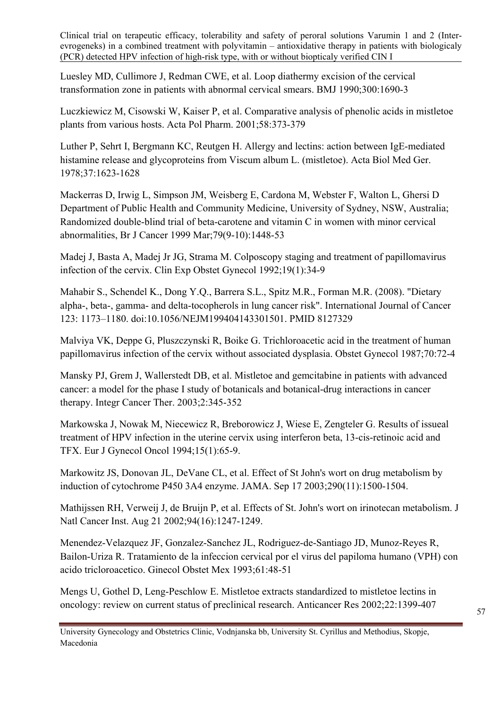Luesley MD, Cullimore J, Redman CWE, et al. Loop diathermy excision of the cervical transformation zone in patients with abnormal cervical smears. BMJ 1990;300:1690-3

Luczkiewicz M, Cisowski W, Kaiser P, et al. Comparative analysis of phenolic acids in mistletoe plants from various hosts. Acta Pol Pharm. 2001;58:373-379

Luther P, Sehrt I, Bergmann KC, Reutgen H. Allergy and lectins: action between IgE-mediated histamine release and glycoproteins from Viscum album L. (mistletoe). Acta Biol Med Ger. 1978;37:1623-1628

Mackerras D, Irwig L, Simpson JM, Weisberg E, Cardona M, Webster F, Walton L, Ghersi D Department of Public Health and Community Medicine, University of Sydney, NSW, Australia; Randomized double-blind trial of beta-carotene and vitamin C in women with minor cervical abnormalities, Br J Cancer 1999 Mar;79(9-10):1448-53

Madej J, Basta A, Madej Jr JG, Strama M. Colposcopy staging and treatment of papillomavirus infection of the cervix. Clin Exp Obstet Gynecol 1992;19(1):34-9

Mahabir S., Schendel K., Dong Y.Q., Barrera S.L., Spitz M.R., Forman M.R. (2008). "Dietary alpha-, beta-, gamma- and delta-tocopherols in lung cancer risk". International Journal of Cancer 123: 1173–1180. [doi](http://en.wikipedia.org/wiki/Digital_object_identifier):[10.1056/NEJM199404143301501](http://dx.doi.org/10.1056%2FNEJM199404143301501). [PMID 8127329](http://www.ncbi.nlm.nih.gov/pubmed/8127329) 

Malviya VK, Deppe G, Pluszczynski R, Boike G. Trichloroacetic acid in the treatment of human papillomavirus infection of the cervix without associated dysplasia. Obstet Gynecol 1987;70:72-4

Mansky PJ, Grem J, Wallerstedt DB, et al. Mistletoe and gemcitabine in patients with advanced cancer: a model for the phase I study of botanicals and botanical-drug interactions in cancer therapy. Integr Cancer Ther. 2003;2:345-352

Markowska J, Nowak M, Niecewicz R, Breborowicz J, Wiese E, Zengteler G. Results of issueal treatment of HPV infection in the uterine cervix using interferon beta, 13-cis-retinoic acid and TFX. Eur J Gynecol Oncol 1994;15(1):65-9.

Markowitz JS, Donovan JL, DeVane CL, et al. [Effect of St John's wort on drug metabolism by](javascript:openPMID(13129991))  [induction of cytochrome P450 3A4 enzyme](javascript:openPMID(13129991)). JAMA. Sep 17 2003;290(11):1500-1504.

Mathijssen RH, Verweij J, de Bruijn P, et al. [Effects of St. John's wort on irinotecan metabolism.](javascript:openPMID(12189228)) J Natl Cancer Inst. Aug 21 2002;94(16):1247-1249.

Menendez-Velazquez JF, Gonzalez-Sanchez JL, Rodriguez-de-Santiago JD, Munoz-Reyes R, Bailon-Uriza R. Tratamiento de la infeccion cervical por el virus del papiloma humano (VPH) con acido tricloroacetico. Ginecol Obstet Mex 1993;61:48-51

Mengs U, Gothel D, Leng-Peschlow E. [Mistletoe extracts standardized to mistletoe lectins in](javascript:openPMID(12168816))  [oncology: review on current status of preclinical research.](javascript:openPMID(12168816)) Anticancer Res 2002;22:1399-407

University Gynecology and Obstetrics Clinic, Vodnjanska bb, University St. Cyrillus and Methodius, Skopje, Macedonia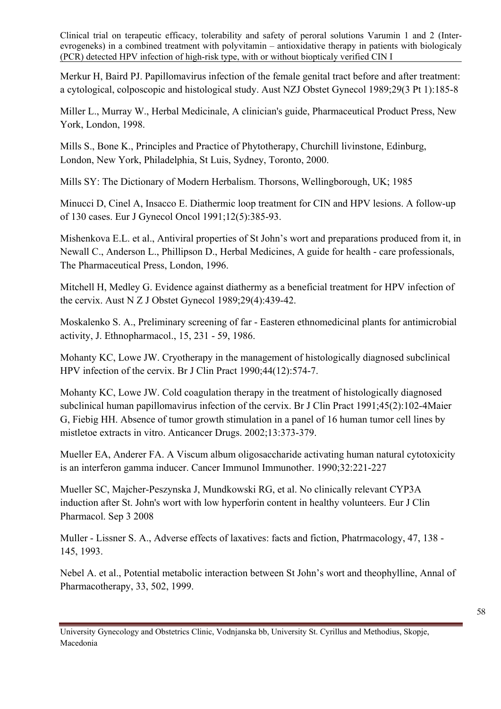Merkur H, Baird PJ. Papillomavirus infection of the female genital tract before and after treatment: a cytological, colposcopic and histological study. Aust NZJ Obstet Gynecol 1989;29(3 Pt 1):185-8

Miller L., Murray W., Herbal Medicinale, A clinician's guide, Pharmaceutical Product Press, New York, London, 1998.

Mills S., Bone K., Principles and Practice of Phytotherapy, Churchill livinstone, Edinburg, London, New York, Philadelphia, St Luis, Sydney, Toronto, 2000.

Mills SY: The Dictionary of Modern Herbalism. Thorsons, Wellingborough, UK; 1985

Minucci D, Cinel A, Insacco E. Diathermic loop treatment for CIN and HPV lesions. A follow-up of 130 cases. Eur J Gynecol Oncol 1991;12(5):385-93.

Mishenkova E.L. et al., Antiviral properties of St John's wort and preparations produced from it, in Newall C., Anderson L., Phillipson D., Herbal Medicines, A guide for health - care professionals, The Pharmaceutical Press, London, 1996.

Mitchell H, Medley G. Evidence against diathermy as a beneficial treatment for HPV infection of the cervix. Aust N Z J Obstet Gynecol 1989;29(4):439-42.

Moskalenko S. A., Preliminary screening of far - Easteren ethnomedicinal plants for antimicrobial activity, J. Ethnopharmacol., 15, 231 - 59, 1986.

Mohanty KC, Lowe JW. Cryotherapy in the management of histologically diagnosed subclinical HPV infection of the cervix. Br J Clin Pract 1990;44(12):574-7.

Mohanty KC, Lowe JW. Cold coagulation therapy in the treatment of histologically diagnosed subclinical human papillomavirus infection of the cervix. Br J Clin Pract 1991;45(2):102-4Maier G, Fiebig HH. Absence of tumor growth stimulation in a panel of 16 human tumor cell lines by mistletoe extracts in vitro. Anticancer Drugs. 2002;13:373-379.

Mueller EA, Anderer FA. A Viscum album oligosaccharide activating human natural cytotoxicity is an interferon gamma inducer. Cancer Immunol Immunother. 1990;32:221-227

Mueller SC, Majcher-Peszynska J, Mundkowski RG, et al. [No clinically relevant CYP3A](javascript:openPMID(18762932))  [induction after St. John's wort with low hyperforin content in healthy volunteers](javascript:openPMID(18762932)). Eur J Clin Pharmacol. Sep 3 2008

Muller - Lissner S. A., Adverse effects of laxatives: facts and fiction, Phatrmacology, 47, 138 - 145, 1993.

Nebel A. et al., Potential metabolic interaction between St John's wort and theophylline, Annal of Pharmacotherapy, 33, 502, 1999.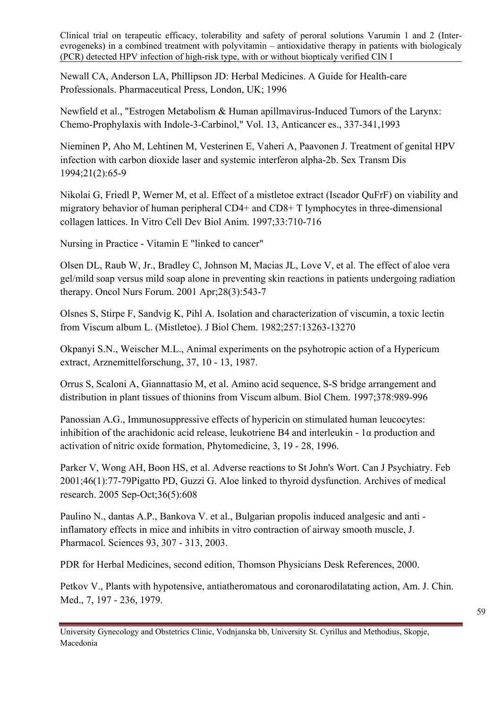Newall CA, Anderson LA, Phillipson JD: Herbal Medicines. A Guide for Health-care Professionals. Pharmaceutical Press, London, UK; 1996

Newfield et al., "Estrogen Metabolism & Human apillmavirus-Induced Tumors of the Larynx: Chemo-Prophylaxis with Indole-3-Carbinol," Vol. 13, Anticancer es., 337-341,1993

Nieminen P, Aho M, Lehtinen M, Vesterinen E, Vaheri A, Paavonen J. Treatment of genital HPV infection with carbon dioxide laser and systemic interferon alpha-2b. Sex Transm Dis 1994;21(2):65-9

Nikolai G, Friedl P, Werner M, et al. Effect of a mistletoe extract (Iscador QuFrF) on viability and migratory behavior of human peripheral CD4+ and CD8+ T lymphocytes in three-dimensional collagen lattices. In Vitro Cell Dev Biol Anim. 1997;33:710-716

[Nursing in Practice - Vitamin E "linked to cancer"](http://www.nursinginpractice.com/default.asp?title=VitaminE%22linkedtocancer%22&page=article.display&article.id=8926)

Olsen DL, Raub W, Jr., Bradley C, Johnson M, Macias JL, Love V, et al. [The effect of aloe vera](javascript:openPMID(11338761))  [gel/mild soap versus mild soap alone in preventing skin reactions in patients undergoing radiation](javascript:openPMID(11338761))  [therapy.](javascript:openPMID(11338761)) Oncol Nurs Forum. 2001 Apr;28(3):543-7

Olsnes S, Stirpe F, Sandvig K, Pihl A. Isolation and characterization of viscumin, a toxic lectin from Viscum album L. (Mistletoe). J Biol Chem. 1982;257:13263-13270

Okpanyi S.N., Weischer M.L., Animal experiments on the psyhotropic action of a Hypericum extract, Arznemittelforschung, 37, 10 - 13, 1987.

Orrus S, Scaloni A, Giannattasio M, et al. Amino acid sequence, S-S bridge arrangement and distribution in plant tissues of thionins from Viscum album. Biol Chem. 1997;378:989-996

Panossian A.G., Immunosuppressive effects of hypericin on stimulated human leucocytes: inhibition of the arachidonic acid release, leukotriene B4 and interleukin - 1α production and activation of nitric oxide formation, Phytomedicine, 3, 19 - 28, 1996.

Parker V, Wong AH, Boon HS, et al. [Adverse reactions to St John's Wort](javascript:openPMID(11221494)). Can J Psychiatry. Feb 2001;46(1):77-79Pigatto PD, Guzzi G. Aloe linked to thyroid dysfunction. Archives of medical research. 2005 Sep-Oct;36(5):608

Paulino N., dantas A.P., Bankova V. et al., Bulgarian propolis induced analgesic and anti inflamatory effects in mice and inhibits in vitro contraction of airway smooth muscle, J. Pharmacol. Sciences 93, 307 - 313, 2003.

PDR for Herbal Medicines, second edition, Thomson Physicians Desk References, 2000.

Petkov V., Plants with hypotensive, antiatheromatous and coronarodilatating action, Am. J. Chin. Med., 7, 197 - 236, 1979.

University Gynecology and Obstetrics Clinic, Vodnjanska bb, University St. Cyrillus and Methodius, Skopje, Macedonia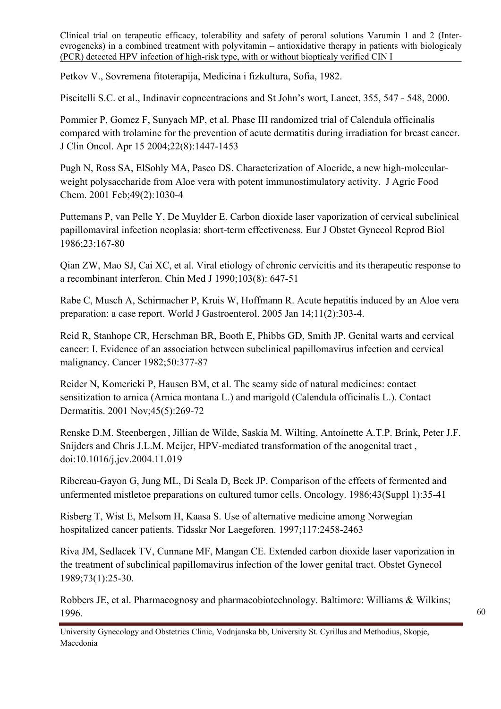Petkov V., Sovremena fitoterapija, Medicina i fizkultura, Sofia, 1982.

Piscitelli S.C. et al., Indinavir copncentracions and St John's wort, Lancet, 355, 547 - 548, 2000.

Pommier P, Gomez F, Sunyach MP, et al. [Phase III randomized trial of Calendula officinalis](javascript:openPMID(15084618))  [compared with trolamine for the prevention of acute dermatitis during irradiation for breast cancer.](javascript:openPMID(15084618)) J Clin Oncol. Apr 15 2004;22(8):1447-1453

Pugh N, Ross SA, ElSohly MA, Pasco DS. [Characterization of Aloeride, a new high-molecular](javascript:openPMID(11262067))[weight polysaccharide from Aloe vera with potent immunostimulatory activity.](javascript:openPMID(11262067)) J Agric Food Chem. 2001 Feb;49(2):1030-4

Puttemans P, van Pelle Y, De Muylder E. Carbon dioxide laser vaporization of cervical subclinical papillomaviral infection neoplasia: short-term effectiveness. Eur J Obstet Gynecol Reprod Biol 1986;23:167-80

Qian ZW, Mao SJ, Cai XC, et al. Viral etiology of chronic cervicitis and its therapeutic response to a recombinant interferon. Chin Med J 1990;103(8): 647-51

Rabe C, Musch A, Schirmacher P, Kruis W, Hoffmann R. [Acute hepatitis induced by an Aloe vera](javascript:openPMID(15633238))  [preparation: a case report.](javascript:openPMID(15633238)) World J Gastroenterol. 2005 Jan 14;11(2):303-4.

Reid R, Stanhope CR, Herschman BR, Booth E, Phibbs GD, Smith JP. Genital warts and cervical cancer: I. Evidence of an association between subclinical papillomavirus infection and cervical malignancy. Cancer 1982;50:377-87

Reider N, Komericki P, Hausen BM, et al. [The seamy side of natural medicines: contact](javascript:openPMID(11722485))  [sensitization to arnica \(Arnica montana L.\) and marigold \(Calendula officinalis L.\).](javascript:openPMID(11722485)) Contact Dermatitis. 2001 Nov;45(5):269-72

Renske D.M. Steenbergen , Jillian de Wilde, Saskia M. Wilting, Antoinette A.T.P. Brink, Peter J.F. Snijders and Chris J.L.M. Meijer, HPV-mediated transformation of the anogenital tract , [doi:10.1016/j.jcv.2004.11.019](http://dx.doi.org/10.1016/j.jcv.2004.11.019) 

Ribereau-Gayon G, Jung ML, Di Scala D, Beck JP. Comparison of the effects of fermented and unfermented mistletoe preparations on cultured tumor cells. Oncology. 1986;43(Suppl 1):35-41

Risberg T, Wist E, Melsom H, Kaasa S. Use of alternative medicine among Norwegian hospitalized cancer patients. Tidsskr Nor Laegeforen. 1997;117:2458-2463

Riva JM, Sedlacek TV, Cunnane MF, Mangan CE. Extended carbon dioxide laser vaporization in the treatment of subclinical papillomavirus infection of the lower genital tract. Obstet Gynecol 1989;73(1):25-30.

Robbers JE, et al. Pharmacognosy and pharmacobiotechnology. Baltimore: Williams & Wilkins; 1996.

University Gynecology and Obstetrics Clinic, Vodnjanska bb, University St. Cyrillus and Methodius, Skopje, Macedonia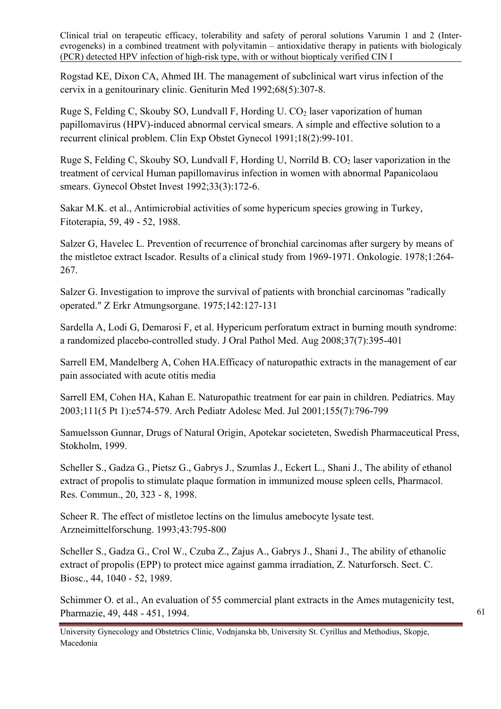Rogstad KE, Dixon CA, Ahmed IH. The management of subclinical wart virus infection of the cervix in a genitourinary clinic. Geniturin Med 1992;68(5):307-8.

Ruge S, Felding C, Skouby SO, Lundvall F, Hording U.  $CO<sub>2</sub>$  laser vaporization of human papillomavirus (HPV)-induced abnormal cervical smears. A simple and effective solution to a recurrent clinical problem. Clin Exp Obstet Gynecol 1991;18(2):99-101.

Ruge S, Felding C, Skouby SO, Lundvall F, Hording U, Norrild B. CO<sub>2</sub> laser vaporization in the treatment of cervical Human papillomavirus infection in women with abnormal Papanicolaou smears. Gynecol Obstet Invest 1992;33(3):172-6.

Sakar M.K. et al., Antimicrobial activities of some hypericum species growing in Turkey, Fitoterapia, 59, 49 - 52, 1988.

Salzer G, Havelec L. Prevention of recurrence of bronchial carcinomas after surgery by means of the mistletoe extract Iscador. Results of a clinical study from 1969-1971. Onkologie. 1978;1:264- 267.

Salzer G. Investigation to improve the survival of patients with bronchial carcinomas "radically operated." Z Erkr Atmungsorgane. 1975;142:127-131

Sardella A, Lodi G, Demarosi F, et al. [Hypericum perforatum extract in burning mouth syndrome:](javascript:openPMID(18331283))  [a randomized placebo-controlled study](javascript:openPMID(18331283)). J Oral Pathol Med. Aug 2008;37(7):395-401

Sarrell EM, Mandelberg A, Cohen HA.[Efficacy of naturopathic extracts in the management of ear](javascript:openPMID(11434846))  [pain associated with acute otitis media](javascript:openPMID(11434846)) 

Sarrell EM, Cohen HA, Kahan E. [Naturopathic treatment for ear pain in children.](javascript:openPMID(12728112)) Pediatrics. May 2003;111(5 Pt 1):e574-579. Arch Pediatr Adolesc Med. Jul 2001;155(7):796-799

Samuelsson Gunnar, Drugs of Natural Origin, Apotekar societeten, Swedish Pharmaceutical Press, Stokholm, 1999.

Scheller S., Gadza G., Pietsz G., Gabrys J., Szumlas J., Eckert L., Shani J., The ability of ethanol extract of propolis to stimulate plaque formation in immunized mouse spleen cells, Pharmacol. Res. Commun., 20, 323 - 8, 1998.

Scheer R. The effect of mistletoe lectins on the limulus amebocyte lysate test. Arzneimittelforschung. 1993;43:795-800

Scheller S., Gadza G., Crol W., Czuba Z., Zajus A., Gabrys J., Shani J., The ability of ethanolic extract of propolis (EPP) to protect mice against gamma irradiation, Z. Naturforsch. Sect. C. Biosc., 44, 1040 - 52, 1989.

Schimmer O. et al., An evaluation of 55 commercial plant extracts in the Ames mutagenicity test, Pharmazie, 49, 448 - 451, 1994.

University Gynecology and Obstetrics Clinic, Vodnjanska bb, University St. Cyrillus and Methodius, Skopje, Macedonia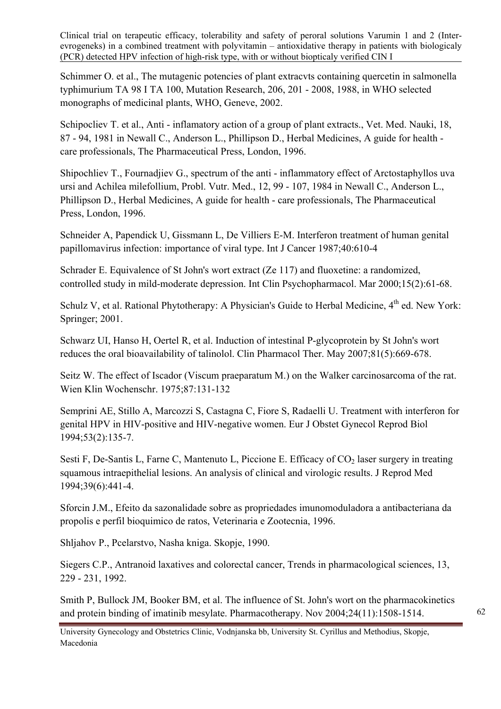Schimmer O. et al., The mutagenic potencies of plant extracvts containing quercetin in salmonella typhimurium TA 98 I TA 100, Mutation Research, 206, 201 - 2008, 1988, in WHO selected monographs of medicinal plants, WHO, Geneve, 2002.

Schipocliev T. et al., Anti - inflamatory action of a group of plant extracts., Vet. Med. Nauki, 18, 87 - 94, 1981 in Newall C., Anderson L., Phillipson D., Herbal Medicines, A guide for health care professionals, The Pharmaceutical Press, London, 1996.

Shipochliev T., Fournadjiev G., spectrum of the anti - inflammatory effect of Arctostaphyllos uva ursi and Achilea milefollium, Probl. Vutr. Med., 12, 99 - 107, 1984 in Newall C., Anderson L., Phillipson D., Herbal Medicines, A guide for health - care professionals, The Pharmaceutical Press, London, 1996.

Schneider A, Papendick U, Gissmann L, De Villiers E-M. Interferon treatment of human genital papillomavirus infection: importance of viral type. Int J Cancer 1987;40:610-4

Schrader E. [Equivalence of St John's wort extract \(Ze 117\) and fluoxetine: a randomized,](javascript:openPMID(10759336))  [controlled study in mild-moderate depression.](javascript:openPMID(10759336)) Int Clin Psychopharmacol. Mar 2000;15(2):61-68.

Schulz V, et al. Rational Phytotherapy: A Physician's Guide to Herbal Medicine, 4<sup>th</sup> ed. New York: Springer; 2001.

Schwarz UI, Hanso H, Oertel R, et al. [Induction of intestinal P-glycoprotein by St John's wort](javascript:openPMID(17392718))  [reduces the oral bioavailability of talinolol.](javascript:openPMID(17392718)) Clin Pharmacol Ther. May 2007;81(5):669-678.

Seitz W. The effect of Iscador (Viscum praeparatum M.) on the Walker carcinosarcoma of the rat. Wien Klin Wochenschr. 1975;87:131-132

Semprini AE, Stillo A, Marcozzi S, Castagna C, Fiore S, Radaelli U. Treatment with interferon for genital HPV in HIV-positive and HIV-negative women. Eur J Obstet Gynecol Reprod Biol 1994;53(2):135-7.

Sesti F, De-Santis L, Farne C, Mantenuto L, Piccione E. Efficacy of  $CO<sub>2</sub>$  laser surgery in treating squamous intraepithelial lesions. An analysis of clinical and virologic results. J Reprod Med 1994;39(6):441-4.

Sforcin J.M., Efeito da sazonalidade sobre as propriedades imunomoduladora a antibacteriana da propolis e perfil bioquimico de ratos, Veterinaria e Zootecnia, 1996.

Shljahov P., Pcelarstvo, Nasha kniga. Skopje, 1990.

Siegers C.P., Antranoid laxatives and colorectal cancer, Trends in pharmacological sciences, 13, 229 - 231, 1992.

Smith P, Bullock JM, Booker BM, et al. [The influence of St. John's wort on the pharmacokinetics](javascript:openPMID(15537555))  [and protein binding of imatinib mesylate](javascript:openPMID(15537555)). Pharmacotherapy. Nov 2004;24(11):1508-1514.

University Gynecology and Obstetrics Clinic, Vodnjanska bb, University St. Cyrillus and Methodius, Skopje, Macedonia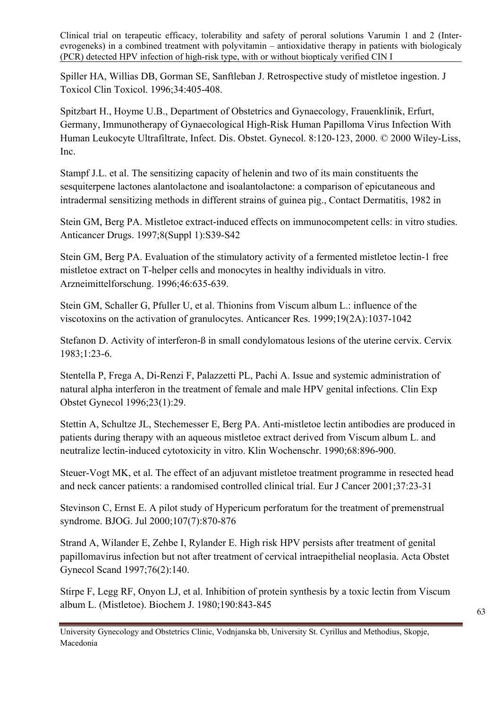Spiller HA, Willias DB, Gorman SE, Sanftleban J. Retrospective study of mistletoe ingestion. J Toxicol Clin Toxicol. 1996;34:405-408.

Spitzbart H., Hoyme U.B., Department of Obstetrics and Gynaecology, Frauenklinik, Erfurt, Germany, Immunotherapy of Gynaecological High-Risk Human Papilloma Virus Infection With Human Leukocyte Ultrafiltrate, Infect. Dis. Obstet. Gynecol. 8:120-123, 2000. © 2000 Wiley-Liss, Inc.

Stampf J.L. et al. The sensitizing capacity of helenin and two of its main constituents the sesquiterpene lactones alantolactone and isoalantolactone: a comparison of epicutaneous and intradermal sensitizing methods in different strains of guinea pig., Contact Dermatitis, 1982 in

Stein GM, Berg PA. Mistletoe extract-induced effects on immunocompetent cells: in vitro studies. Anticancer Drugs. 1997;8(Suppl 1):S39-S42

Stein GM, Berg PA. Evaluation of the stimulatory activity of a fermented mistletoe lectin-1 free mistletoe extract on T-helper cells and monocytes in healthy individuals in vitro. Arzneimittelforschung. 1996;46:635-639.

Stein GM, Schaller G, Pfuller U, et al. Thionins from Viscum album L.: influence of the viscotoxins on the activation of granulocytes. Anticancer Res. 1999;19(2A):1037-1042

Stefanon D. Activity of interferon-ß in small condylomatous lesions of the uterine cervix. Cervix 1983;1:23-6.

Stentella P, Frega A, Di-Renzi F, Palazzetti PL, Pachi A. Issue and systemic administration of natural alpha interferon in the treatment of female and male HPV genital infections. Clin Exp Obstet Gynecol 1996;23(1):29.

Stettin A, Schultze JL, Stechemesser E, Berg PA. Anti-mistletoe lectin antibodies are produced in patients during therapy with an aqueous mistletoe extract derived from Viscum album L. and neutralize lectin-induced cytotoxicity in vitro. Klin Wochenschr. 1990;68:896-900.

Steuer-Vogt MK, et al. [The effect of an adjuvant mistletoe treatment programme in resected head](javascript:openPMID(11165126))  [and neck cancer patients: a randomised controlled clinical trial.](javascript:openPMID(11165126)) Eur J Cancer 2001;37:23-31

Stevinson C, Ernst E. [A pilot study of Hypericum perforatum for the treatment of premenstrual](javascript:openPMID(10901558))  [syndrome.](javascript:openPMID(10901558)) BJOG. Jul 2000;107(7):870-876

Strand A, Wilander E, Zehbe I, Rylander E. High risk HPV persists after treatment of genital papillomavirus infection but not after treatment of cervical intraepithelial neoplasia. Acta Obstet Gynecol Scand 1997;76(2):140.

Stirpe F, Legg RF, Onyon LJ, et al. Inhibition of protein synthesis by a toxic lectin from Viscum album L. (Mistletoe). Biochem J. 1980;190:843-845

University Gynecology and Obstetrics Clinic, Vodnjanska bb, University St. Cyrillus and Methodius, Skopje, Macedonia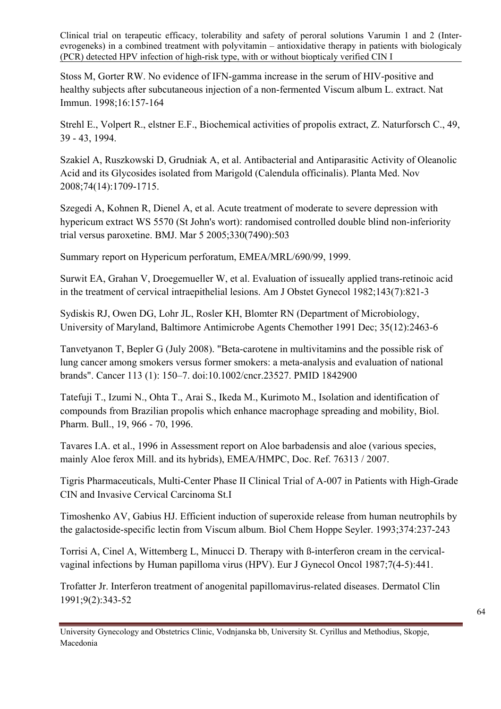Stoss M, Gorter RW. No evidence of IFN-gamma increase in the serum of HIV-positive and healthy subjects after subcutaneous injection of a non-fermented Viscum album L. extract. Nat Immun. 1998;16:157-164

Strehl E., Volpert R., elstner E.F., Biochemical activities of propolis extract, Z. Naturforsch C., 49, 39 - 43, 1994.

Szakiel A, Ruszkowski D, Grudniak A, et al. [Antibacterial and Antiparasitic Activity of Oleanolic](javascript:openPMID(18951335))  [Acid and its Glycosides isolated from Marigold \(Calendula officinalis\).](javascript:openPMID(18951335)) Planta Med. Nov 2008;74(14):1709-1715.

Szegedi A, Kohnen R, Dienel A, et al. [Acute treatment of moderate to severe depression with](javascript:openPMID(15708844))  [hypericum extract WS 5570 \(St John's wort\): randomised controlled double blind non-inferiority](javascript:openPMID(15708844))  [trial versus paroxetine](javascript:openPMID(15708844)). BMJ. Mar 5 2005;330(7490):503

Summary report on Hypericum perforatum, EMEA/MRL/690/99, 1999.

Surwit EA, Grahan V, Droegemueller W, et al. Evaluation of issueally applied trans-retinoic acid in the treatment of cervical intraepithelial lesions. Am J Obstet Gynecol 1982;143(7):821-3

Sydiskis RJ, Owen DG, Lohr JL, Rosler KH, Blomter RN (Department of Microbiology, University of Maryland, Baltimore Antimicrobe Agents Chemother 1991 Dec; 35(12):2463-6

Tanvetyanon T, Bepler G (July 2008). "Beta-carotene in multivitamins and the possible risk of lung cancer among smokers versus former smokers: a meta-analysis and evaluation of national brands". Cancer 113 (1): 150–7. [doi](http://en.wikipedia.org/wiki/Digital_object_identifier)[:10.1002/cncr.23527](http://dx.doi.org/10.1002%2Fcncr.23527). [PMID 1842900](http://www.ncbi.nlm.nih.gov/pubmed/18429004) 

Tatefuji T., Izumi N., Ohta T., Arai S., Ikeda M., Kurimoto M., Isolation and identification of compounds from Brazilian propolis which enhance macrophage spreading and mobility, Biol. Pharm. Bull., 19, 966 - 70, 1996.

Tavares I.A. et al., 1996 in Assessment report on Aloe barbadensis and aloe (various species, mainly Aloe ferox Mill. and its hybrids), EMEA/HMPC, Doc. Ref. 76313 / 2007.

Tigris Pharmaceuticals, Multi-Center Phase II Clinical Trial of A-007 in Patients with High-Grade CIN and Invasive Cervical Carcinoma St.I

Timoshenko AV, Gabius HJ. Efficient induction of superoxide release from human neutrophils by the galactoside-specific lectin from Viscum album. Biol Chem Hoppe Seyler. 1993;374:237-243

Torrisi A, Cinel A, Wittemberg L, Minucci D. Therapy with ß-interferon cream in the cervicalvaginal infections by Human papilloma virus (HPV). Eur J Gynecol Oncol 1987;7(4-5):441.

Trofatter Jr. Interferon treatment of anogenital papillomavirus-related diseases. Dermatol Clin 1991;9(2):343-52

University Gynecology and Obstetrics Clinic, Vodnjanska bb, University St. Cyrillus and Methodius, Skopje, Macedonia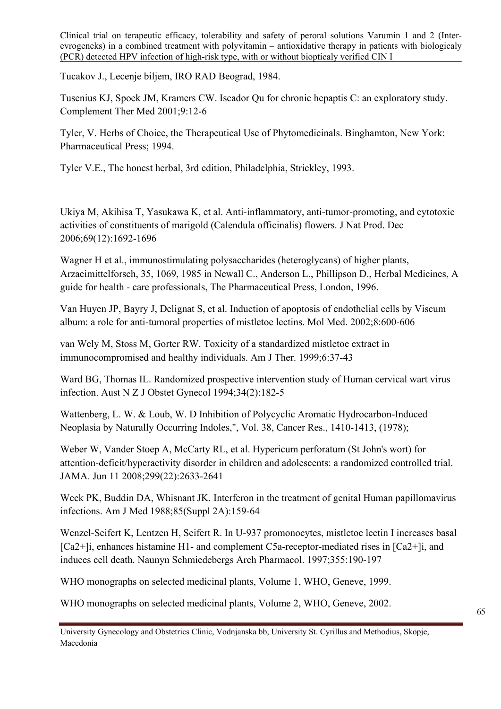Tucakov J., Lecenje biljem, IRO RAD Beograd, 1984.

Tusenius KJ, Spoek JM, Kramers CW. [Iscador Qu for chronic hepaptis C: an exploratory study.](javascript:openPMID(11264964)) Complement Ther Med 2001;9:12-6

Tyler, V. Herbs of Choice, the Therapeutical Use of Phytomedicinals. Binghamton, New York: Pharmaceutical Press; 1994.

Tyler V.E., The honest herbal, 3rd edition, Philadelphia, Strickley, 1993.

Ukiya M, Akihisa T, Yasukawa K, et al. [Anti-inflammatory, anti-tumor-promoting, and cytotoxic](javascript:openPMID(17190444))  [activities of constituents of marigold \(Calendula officinalis\) flowers.](javascript:openPMID(17190444)) J Nat Prod. Dec 2006;69(12):1692-1696

Wagner H et al., immunostimulating polysaccharides (heteroglycans) of higher plants, Arzaeimittelforsch, 35, 1069, 1985 in Newall C., Anderson L., Phillipson D., Herbal Medicines, A guide for health - care professionals, The Pharmaceutical Press, London, 1996.

Van Huyen JP, Bayry J, Delignat S, et al. Induction of apoptosis of endothelial cells by Viscum album: a role for anti-tumoral properties of mistletoe lectins. Mol Med. 2002;8:600-606

van Wely M, Stoss M, Gorter RW. Toxicity of a standardized mistletoe extract in immunocompromised and healthy individuals. Am J Ther. 1999;6:37-43

Ward BG, Thomas IL. Randomized prospective intervention study of Human cervical wart virus infection. Aust N Z J Obstet Gynecol 1994;34(2):182-5

Wattenberg, L. W. & Loub, W. D Inhibition of Polycyclic Aromatic Hydrocarbon-Induced Neoplasia by Naturally Occurring Indoles,", Vol. 38, Cancer Res., 1410-1413, (1978);

Weber W, Vander Stoep A, McCarty RL, et al. [Hypericum perforatum \(St John's wort\) for](javascript:openPMID(18544723))  [attention-deficit/hyperactivity disorder in children and adolescents: a randomized controlled tria](javascript:openPMID(18544723))l. JAMA. Jun 11 2008;299(22):2633-2641

Weck PK, Buddin DA, Whisnant JK. Interferon in the treatment of genital Human papillomavirus infections. Am J Med 1988;85(Suppl 2A):159-64

Wenzel-Seifert K, Lentzen H, Seifert R. In U-937 promonocytes, mistletoe lectin I increases basal [Ca2+]i, enhances histamine H1- and complement C5a-receptor-mediated rises in [Ca2+]i, and induces cell death. Naunyn Schmiedebergs Arch Pharmacol. 1997;355:190-197

WHO monographs on selected medicinal plants, Volume 1, WHO, Geneve, 1999.

WHO monographs on selected medicinal plants, Volume 2, WHO, Geneve, 2002.

University Gynecology and Obstetrics Clinic, Vodnjanska bb, University St. Cyrillus and Methodius, Skopje, Macedonia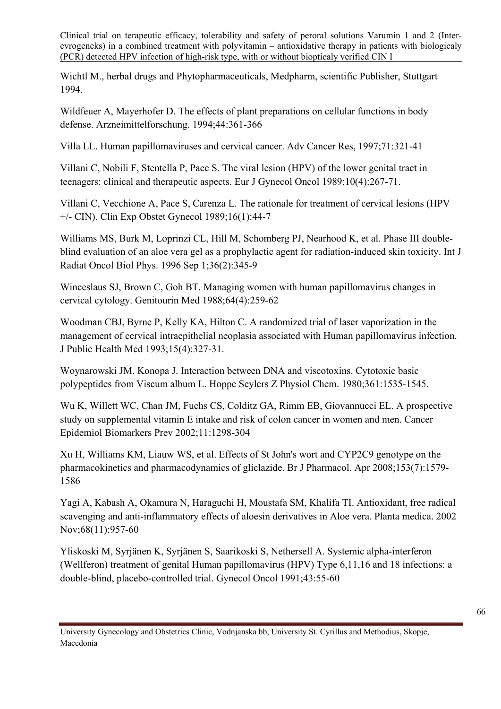Wichtl M., herbal drugs and Phytopharmaceuticals, Medpharm, scientific Publisher, Stuttgart 1994.

Wildfeuer A, Mayerhofer D. The effects of plant preparations on cellular functions in body defense. Arzneimittelforschung. 1994;44:361-366

Villa LL. Human papillomaviruses and cervical cancer. Adv Cancer Res, 1997;71:321-41

Villani C, Nobili F, Stentella P, Pace S. The viral lesion (HPV) of the lower genital tract in teenagers: clinical and therapeutic aspects. Eur J Gynecol Oncol 1989;10(4):267-71.

Villani C, Vecchione A, Pace S, Carenza L. The rationale for treatment of cervical lesions (HPV +/- CIN). Clin Exp Obstet Gynecol 1989;16(1):44-7

Williams MS, Burk M, Loprinzi CL, Hill M, Schomberg PJ, Nearhood K, et al. [Phase III double](javascript:openPMID(8892458))[blind evaluation of an aloe vera gel as a prophylactic agent for radiation-induced skin toxicity](javascript:openPMID(8892458)). Int J Radiat Oncol Biol Phys. 1996 Sep 1;36(2):345-9

Winceslaus SJ, Brown C, Goh BT. Managing women with human papillomavirus changes in cervical cytology. Genitourin Med 1988;64(4):259-62

Woodman CBJ, Byrne P, Kelly KA, Hilton C. A randomized trial of laser vaporization in the management of cervical intraepithelial neoplasia associated with Human papillomavirus infection. J Public Health Med 1993;15(4):327-31.

Woynarowski JM, Konopa J. Interaction between DNA and viscotoxins. Cytotoxic basic polypeptides from Viscum album L. Hoppe Seylers Z Physiol Chem. 1980;361:1535-1545.

Wu K, Willett WC, Chan JM, Fuchs CS, Colditz GA, Rimm EB, Giovannucci EL. A prospective study on supplemental vitamin E intake and risk of colon cancer in women and men. Cancer Epidemiol Biomarkers Prev 2002;11:1298-304

Xu H, Williams KM, Liauw WS, et al. [Effects of St John's wort and CYP2C9 genotype on the](javascript:openPMID(18204476))  [pharmacokinetics and pharmacodynamics of gliclazide](javascript:openPMID(18204476)). Br J Pharmacol. Apr 2008;153(7):1579- 1586

Yagi A, Kabash A, Okamura N, Haraguchi H, Moustafa SM, Khalifa TI. [Antioxidant, free radical](javascript:openPMID(12451482))  [scavenging and anti-inflammatory effects of aloesin derivatives in Aloe vera.](javascript:openPMID(12451482)) Planta medica. 2002 Nov;68(11):957-60

Yliskoski M, Syrjänen K, Syrjänen S, Saarikoski S, Nethersell A. Systemic alpha-interferon (Wellferon) treatment of genital Human papillomavirus (HPV) Type 6,11,16 and 18 infections: a double-blind, placebo-controlled trial. Gynecol Oncol 1991;43:55-60

University Gynecology and Obstetrics Clinic, Vodnjanska bb, University St. Cyrillus and Methodius, Skopje, Macedonia